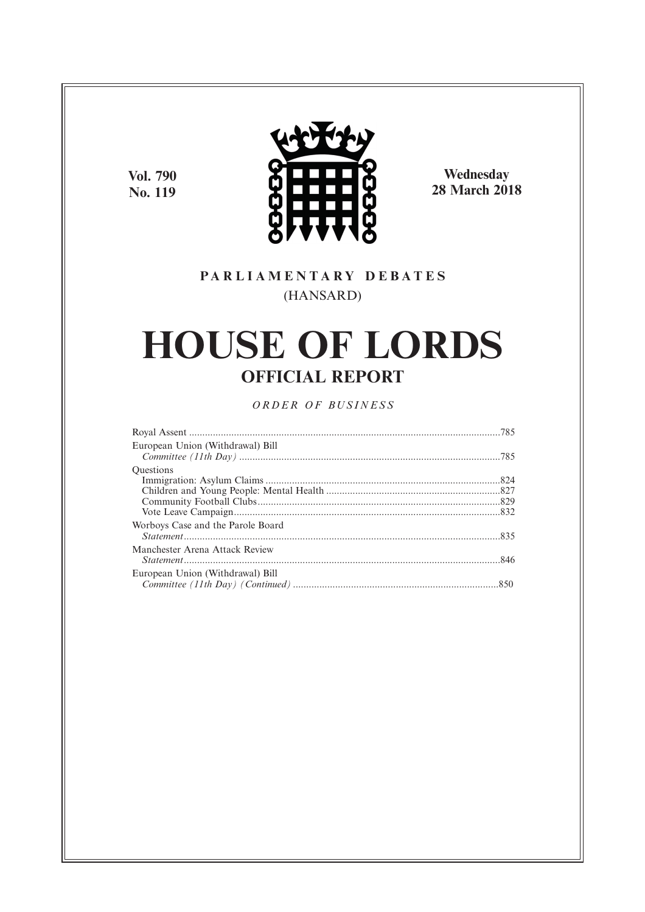**Vol. 790 No. 119**



**Wednesday 28 March 2018**

# **P A R L I A M E N T A R Y D E B A T E S** (HANSARD)

# **HOUSE OF LORDS OFFICIAL REPORT**

*O R D E R O F BU S I N E S S*

| European Union (Withdrawal) Bill  |  |
|-----------------------------------|--|
|                                   |  |
| <b>Ouestions</b>                  |  |
|                                   |  |
|                                   |  |
|                                   |  |
|                                   |  |
| Worboys Case and the Parole Board |  |
|                                   |  |
| Manchester Arena Attack Review    |  |
|                                   |  |
| European Union (Withdrawal) Bill  |  |
|                                   |  |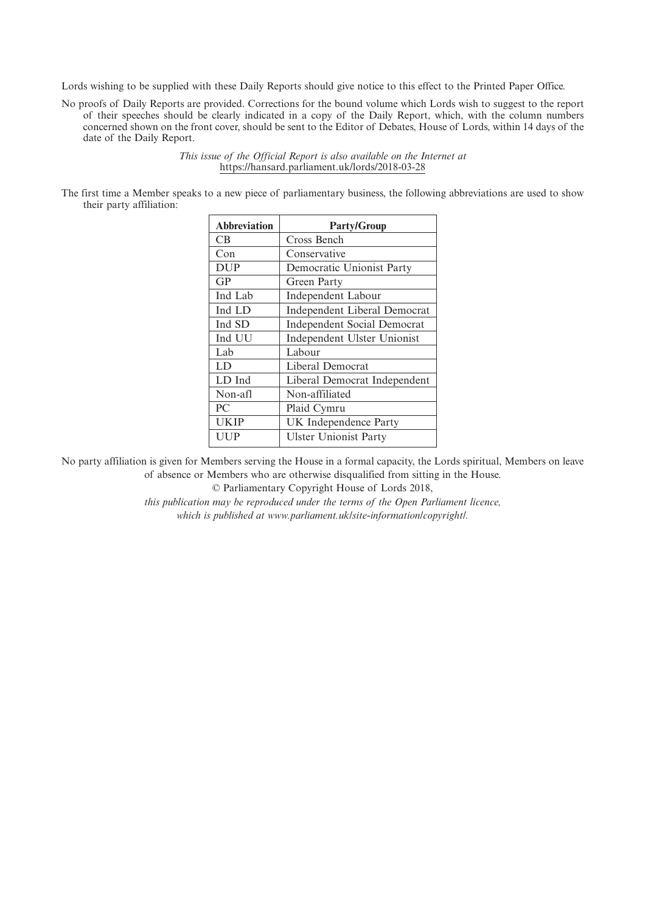Lords wishing to be supplied with these Daily Reports should give notice to this effect to the Printed Paper Office.

No proofs of Daily Reports are provided. Corrections for the bound volume which Lords wish to suggest to the report of their speeches should be clearly indicated in a copy of the Daily Report, which, with the column numbers concerned shown on the front cover, should be sent to the Editor of Debates, House of Lords, within 14 days of the date of the Daily Report.

> *This issue of the Official Report is also available on the Internet at* https://hansard.parliament.uk/lords/2018-03-28

The first time a Member speaks to a new piece of parliamentary business, the following abbreviations are used to show their party affiliation:

| <b>Abbreviation</b> | <b>Party/Group</b>                  |
|---------------------|-------------------------------------|
| CB.                 | Cross Bench                         |
| Con                 | Conservative                        |
| <b>DUP</b>          | Democratic Unionist Party           |
| GP                  | Green Party                         |
| Ind Lab             | Independent Labour                  |
| Ind LD              | <b>Independent Liberal Democrat</b> |
| Ind SD              | <b>Independent Social Democrat</b>  |
| Ind UU              | Independent Ulster Unionist         |
| Lab                 | Labour                              |
| LD                  | Liberal Democrat                    |
| LD Ind              | Liberal Democrat Independent        |
| Non-afl             | Non-affiliated                      |
| PC                  | Plaid Cymru                         |
| <b>UKIP</b>         | UK Independence Party               |
| UUP                 | <b>Ulster Unionist Party</b>        |

No party affiliation is given for Members serving the House in a formal capacity, the Lords spiritual, Members on leave of absence or Members who are otherwise disqualified from sitting in the House.

© Parliamentary Copyright House of Lords 2018,

*this publication may be reproduced under the terms of the Open Parliament licence, which is published at www.parliament.uk/site-information/copyright/.*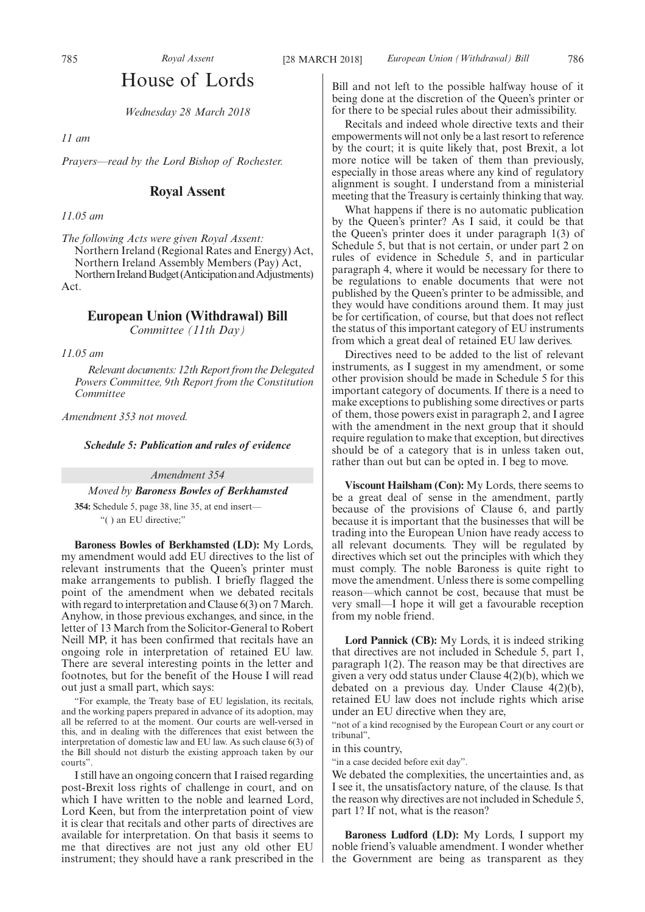## House of Lords

*Wednesday 28 March 2018*

*11 am*

*Prayers—read by the Lord Bishop of Rochester.*

## **Royal Assent**

*11.05 am*

*The following Acts were given Royal Assent:* Northern Ireland (Regional Rates and Energy) Act, Northern Ireland Assembly Members (Pay) Act, Northern Ireland Budget (Anticipation and Adjustments) Act.

## **European Union (Withdrawal) Bill**

*Committee (11th Day)*

*11.05 am*

*Relevant documents: 12th Report from the Delegated Powers Committee, 9th Report from the Constitution Committee*

*Amendment 353 not moved.*

*Schedule 5: Publication and rules of evidence*

*Amendment 354*

*Moved by Baroness Bowles of Berkhamsted*

**354:** Schedule 5, page 38, line 35, at end insert— "( ) an EU directive;"

**Baroness Bowles of Berkhamsted (LD):** My Lords, my amendment would add EU directives to the list of relevant instruments that the Queen's printer must make arrangements to publish. I briefly flagged the point of the amendment when we debated recitals with regard to interpretation and Clause 6(3) on 7 March. Anyhow, in those previous exchanges, and since, in the letter of 13 March from the Solicitor-General to Robert Neill MP, it has been confirmed that recitals have an ongoing role in interpretation of retained EU law. There are several interesting points in the letter and footnotes, but for the benefit of the House I will read out just a small part, which says:

"For example, the Treaty base of EU legislation, its recitals, and the working papers prepared in advance of its adoption, may all be referred to at the moment. Our courts are well-versed in this, and in dealing with the differences that exist between the interpretation of domestic law and EU law. As such clause 6(3) of the Bill should not disturb the existing approach taken by our courts".

I still have an ongoing concern that I raised regarding post-Brexit loss rights of challenge in court, and on which I have written to the noble and learned Lord, Lord Keen, but from the interpretation point of view it is clear that recitals and other parts of directives are available for interpretation. On that basis it seems to me that directives are not just any old other EU instrument; they should have a rank prescribed in the

Bill and not left to the possible halfway house of it being done at the discretion of the Queen's printer or for there to be special rules about their admissibility.

Recitals and indeed whole directive texts and their empowerments will not only be a last resort to reference by the court; it is quite likely that, post Brexit, a lot more notice will be taken of them than previously, especially in those areas where any kind of regulatory alignment is sought. I understand from a ministerial meeting that the Treasury is certainly thinking that way.

What happens if there is no automatic publication by the Queen's printer? As I said, it could be that the Queen's printer does it under paragraph 1(3) of Schedule 5, but that is not certain, or under part 2 on rules of evidence in Schedule 5, and in particular paragraph 4, where it would be necessary for there to be regulations to enable documents that were not published by the Queen's printer to be admissible, and they would have conditions around them. It may just be for certification, of course, but that does not reflect the status of this important category of EU instruments from which a great deal of retained EU law derives.

Directives need to be added to the list of relevant instruments, as I suggest in my amendment, or some other provision should be made in Schedule 5 for this important category of documents. If there is a need to make exceptions to publishing some directives or parts of them, those powers exist in paragraph 2, and I agree with the amendment in the next group that it should require regulation to make that exception, but directives should be of a category that is in unless taken out, rather than out but can be opted in. I beg to move.

**Viscount Hailsham (Con):** My Lords, there seems to be a great deal of sense in the amendment, partly because of the provisions of Clause 6, and partly because it is important that the businesses that will be trading into the European Union have ready access to all relevant documents. They will be regulated by directives which set out the principles with which they must comply. The noble Baroness is quite right to move the amendment. Unless there is some compelling reason—which cannot be cost, because that must be very small—I hope it will get a favourable reception from my noble friend.

**Lord Pannick (CB):** My Lords, it is indeed striking that directives are not included in Schedule 5, part 1, paragraph 1(2). The reason may be that directives are given a very odd status under Clause 4(2)(b), which we debated on a previous day. Under Clause 4(2)(b), retained EU law does not include rights which arise under an EU directive when they are,

"not of a kind recognised by the European Court or any court or tribunal",

in this country,

"in a case decided before exit day".

We debated the complexities, the uncertainties and, as I see it, the unsatisfactory nature, of the clause. Is that the reason why directives are not included in Schedule 5, part 1? If not, what is the reason?

**Baroness Ludford (LD):** My Lords, I support my noble friend's valuable amendment. I wonder whether the Government are being as transparent as they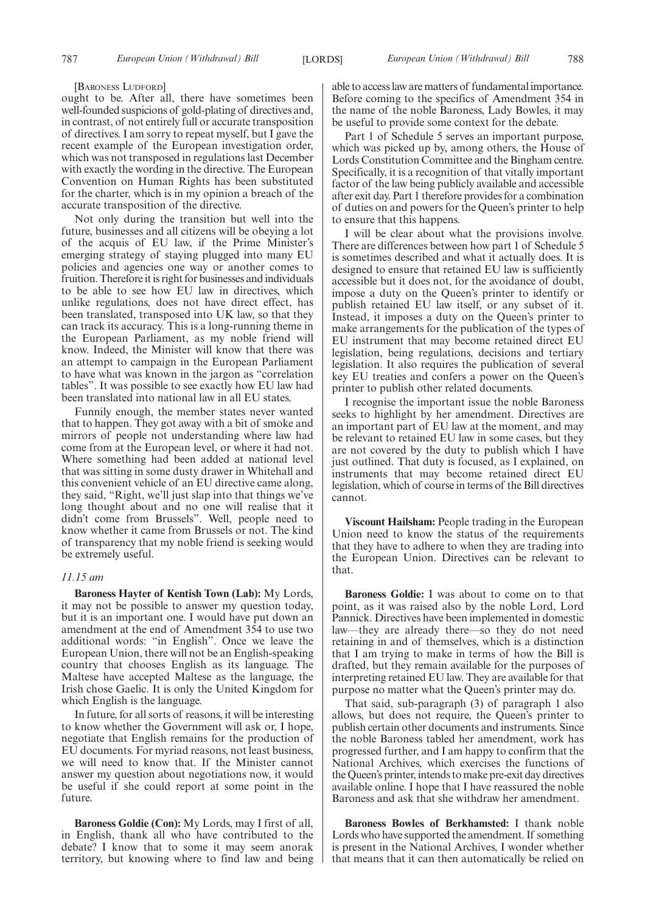[BARONESS LUDFORD]

ought to be. After all, there have sometimes been well-founded suspicions of gold-plating of directives and, in contrast, of not entirely full or accurate transposition of directives. I am sorry to repeat myself, but I gave the recent example of the European investigation order, which was not transposed in regulations last December with exactly the wording in the directive. The European Convention on Human Rights has been substituted for the charter, which is in my opinion a breach of the accurate transposition of the directive.

Not only during the transition but well into the future, businesses and all citizens will be obeying a lot of the acquis of EU law, if the Prime Minister's emerging strategy of staying plugged into many EU policies and agencies one way or another comes to fruition. Therefore it is right for businesses and individuals to be able to see how EU law in directives, which unlike regulations, does not have direct effect, has been translated, transposed into UK law, so that they can track its accuracy. This is a long-running theme in the European Parliament, as my noble friend will know. Indeed, the Minister will know that there was an attempt to campaign in the European Parliament to have what was known in the jargon as "correlation tables". It was possible to see exactly how EU law had been translated into national law in all EU states.

Funnily enough, the member states never wanted that to happen. They got away with a bit of smoke and mirrors of people not understanding where law had come from at the European level, or where it had not. Where something had been added at national level that was sitting in some dusty drawer in Whitehall and this convenient vehicle of an EU directive came along, they said, "Right, we'll just slap into that things we've long thought about and no one will realise that it didn't come from Brussels". Well, people need to know whether it came from Brussels or not. The kind of transparency that my noble friend is seeking would be extremely useful.

#### *11.15 am*

**Baroness Hayter of Kentish Town (Lab):** My Lords, it may not be possible to answer my question today, but it is an important one. I would have put down an amendment at the end of Amendment 354 to use two additional words: "in English". Once we leave the European Union, there will not be an English-speaking country that chooses English as its language. The Maltese have accepted Maltese as the language, the Irish chose Gaelic. It is only the United Kingdom for which English is the language.

In future, for all sorts of reasons, it will be interesting to know whether the Government will ask or, I hope, negotiate that English remains for the production of EU documents. For myriad reasons, not least business, we will need to know that. If the Minister cannot answer my question about negotiations now, it would be useful if she could report at some point in the future.

**Baroness Goldie (Con):** My Lords, may I first of all, in English, thank all who have contributed to the debate? I know that to some it may seem anorak territory, but knowing where to find law and being able to access law are matters of fundamental importance. Before coming to the specifics of Amendment 354 in the name of the noble Baroness, Lady Bowles, it may be useful to provide some context for the debate.

Part 1 of Schedule 5 serves an important purpose, which was picked up by, among others, the House of Lords Constitution Committee and the Bingham centre. Specifically, it is a recognition of that vitally important factor of the law being publicly available and accessible after exit day. Part 1 therefore provides for a combination of duties on and powers for the Queen's printer to help to ensure that this happens.

I will be clear about what the provisions involve. There are differences between how part 1 of Schedule 5 is sometimes described and what it actually does. It is designed to ensure that retained EU law is sufficiently accessible but it does not, for the avoidance of doubt, impose a duty on the Queen's printer to identify or publish retained EU law itself, or any subset of it. Instead, it imposes a duty on the Queen's printer to make arrangements for the publication of the types of EU instrument that may become retained direct EU legislation, being regulations, decisions and tertiary legislation. It also requires the publication of several key EU treaties and confers a power on the Queen's printer to publish other related documents.

I recognise the important issue the noble Baroness seeks to highlight by her amendment. Directives are an important part of EU law at the moment, and may be relevant to retained EU law in some cases, but they are not covered by the duty to publish which I have just outlined. That duty is focused, as I explained, on instruments that may become retained direct EU legislation, which of course in terms of the Bill directives cannot.

**Viscount Hailsham:** People trading in the European Union need to know the status of the requirements that they have to adhere to when they are trading into the European Union. Directives can be relevant to that.

**Baroness Goldie:** I was about to come on to that point, as it was raised also by the noble Lord, Lord Pannick. Directives have been implemented in domestic law—they are already there—so they do not need retaining in and of themselves, which is a distinction that I am trying to make in terms of how the Bill is drafted, but they remain available for the purposes of interpreting retained EU law. They are available for that purpose no matter what the Queen's printer may do.

That said, sub-paragraph (3) of paragraph 1 also allows, but does not require, the Queen's printer to publish certain other documents and instruments. Since the noble Baroness tabled her amendment, work has progressed further, and I am happy to confirm that the National Archives, which exercises the functions of the Queen's printer, intends to make pre-exit day directives available online. I hope that I have reassured the noble Baroness and ask that she withdraw her amendment.

**Baroness Bowles of Berkhamsted:** I thank noble Lords who have supported the amendment. If something is present in the National Archives, I wonder whether that means that it can then automatically be relied on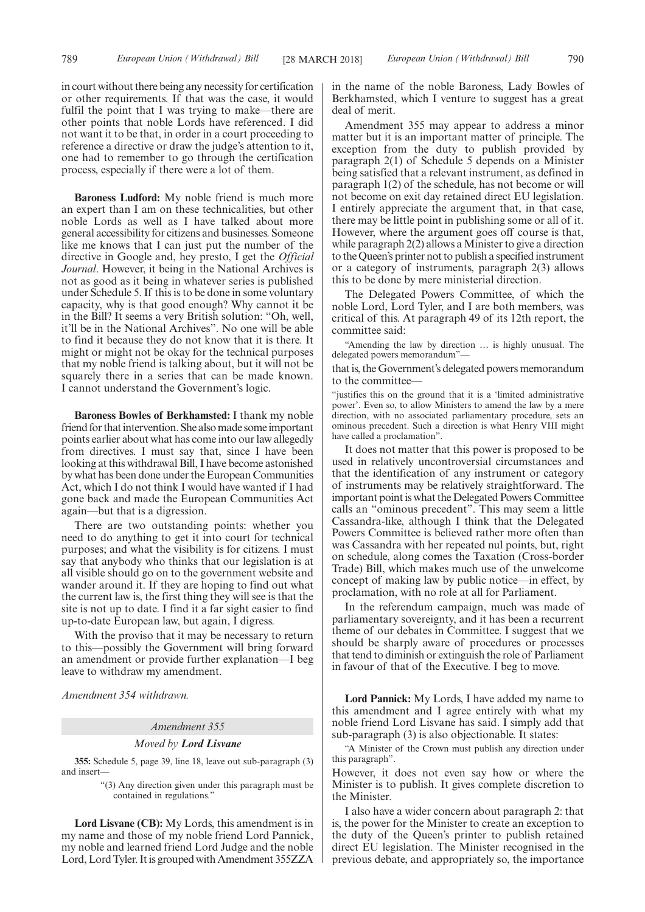in court without there being any necessity for certification or other requirements. If that was the case, it would fulfil the point that I was trying to make—there are other points that noble Lords have referenced. I did not want it to be that, in order in a court proceeding to reference a directive or draw the judge's attention to it, one had to remember to go through the certification process, especially if there were a lot of them.

**Baroness Ludford:** My noble friend is much more an expert than I am on these technicalities, but other noble Lords as well as I have talked about more general accessibility for citizens and businesses. Someone like me knows that I can just put the number of the directive in Google and, hey presto, I get the *Official Journal*. However, it being in the National Archives is not as good as it being in whatever series is published under Schedule 5. If this is to be done in some voluntary capacity, why is that good enough? Why cannot it be in the Bill? It seems a very British solution: "Oh, well, it'll be in the National Archives". No one will be able to find it because they do not know that it is there. It might or might not be okay for the technical purposes that my noble friend is talking about, but it will not be squarely there in a series that can be made known. I cannot understand the Government's logic.

**Baroness Bowles of Berkhamsted:** I thank my noble friend for that intervention. She also made some important points earlier about what has come into our law allegedly from directives. I must say that, since I have been looking at this withdrawal Bill, I have become astonished by what has been done under the European Communities Act, which I do not think I would have wanted if I had gone back and made the European Communities Act again—but that is a digression.

There are two outstanding points: whether you need to do anything to get it into court for technical purposes; and what the visibility is for citizens. I must say that anybody who thinks that our legislation is at all visible should go on to the government website and wander around it. If they are hoping to find out what the current law is, the first thing they will see is that the site is not up to date. I find it a far sight easier to find up-to-date European law, but again, I digress.

With the proviso that it may be necessary to return to this—possibly the Government will bring forward an amendment or provide further explanation—I beg leave to withdraw my amendment.

*Amendment 354 withdrawn.*

#### *Amendment 355*

#### *Moved by Lord Lisvane*

**355:** Schedule 5, page 39, line 18, leave out sub-paragraph (3) and insert—

> "(3) Any direction given under this paragraph must be contained in regulations."

**Lord Lisvane (CB):** My Lords, this amendment is in my name and those of my noble friend Lord Pannick, my noble and learned friend Lord Judge and the noble Lord, Lord Tyler. It is grouped with Amendment 355ZZA in the name of the noble Baroness, Lady Bowles of Berkhamsted, which I venture to suggest has a great deal of merit.

Amendment 355 may appear to address a minor matter but it is an important matter of principle. The exception from the duty to publish provided by paragraph 2(1) of Schedule 5 depends on a Minister being satisfied that a relevant instrument, as defined in paragraph 1(2) of the schedule, has not become or will not become on exit day retained direct EU legislation. I entirely appreciate the argument that, in that case, there may be little point in publishing some or all of it. However, where the argument goes off course is that, while paragraph 2(2) allows a Minister to give a direction to the Queen's printer not to publish a specified instrument or a category of instruments, paragraph 2(3) allows this to be done by mere ministerial direction.

The Delegated Powers Committee, of which the noble Lord, Lord Tyler, and I are both members, was critical of this. At paragraph 49 of its 12th report, the committee said:

"Amending the law by direction … is highly unusual. The delegated powers memorandum"—

that is, the Government's delegated powers memorandum to the committee—

"justifies this on the ground that it is a 'limited administrative power'. Even so, to allow Ministers to amend the law by a mere direction, with no associated parliamentary procedure, sets an ominous precedent. Such a direction is what Henry VIII might have called a proclamation".

It does not matter that this power is proposed to be used in relatively uncontroversial circumstances and that the identification of any instrument or category of instruments may be relatively straightforward. The important point is what the Delegated Powers Committee calls an "ominous precedent". This may seem a little Cassandra-like, although I think that the Delegated Powers Committee is believed rather more often than was Cassandra with her repeated nul points, but, right on schedule, along comes the Taxation (Cross-border Trade) Bill, which makes much use of the unwelcome concept of making law by public notice—in effect, by proclamation, with no role at all for Parliament.

In the referendum campaign, much was made of parliamentary sovereignty, and it has been a recurrent theme of our debates in Committee. I suggest that we should be sharply aware of procedures or processes that tend to diminish or extinguish the role of Parliament in favour of that of the Executive. I beg to move.

**Lord Pannick:** My Lords, I have added my name to this amendment and I agree entirely with what my noble friend Lord Lisvane has said. I simply add that sub-paragraph (3) is also objectionable. It states:

"A Minister of the Crown must publish any direction under this paragraph".

However, it does not even say how or where the Minister is to publish. It gives complete discretion to the Minister.

I also have a wider concern about paragraph 2: that is, the power for the Minister to create an exception to the duty of the Queen's printer to publish retained direct EU legislation. The Minister recognised in the previous debate, and appropriately so, the importance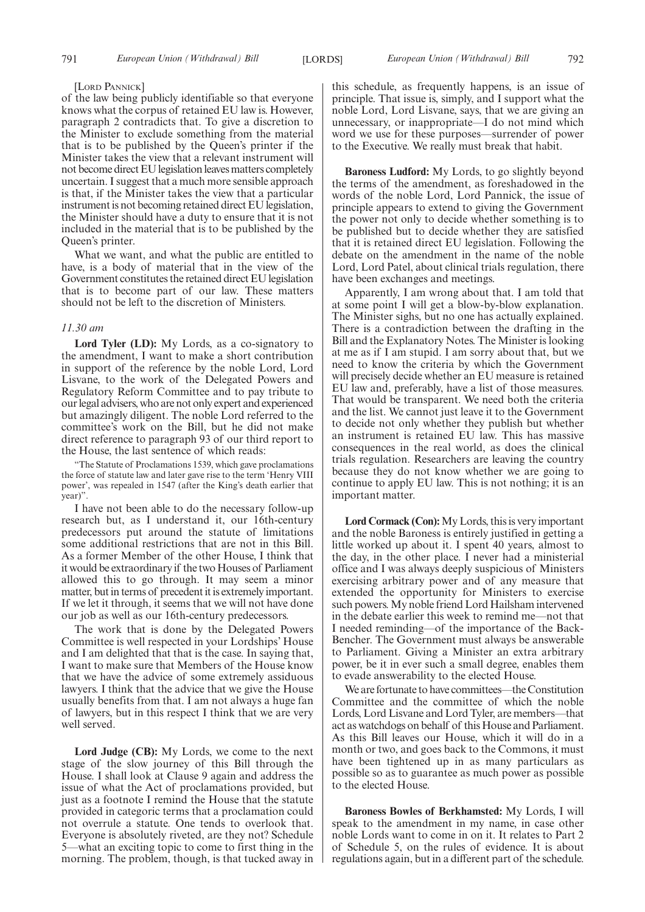#### [LORD PANNICK]

of the law being publicly identifiable so that everyone knows what the corpus of retained EU law is. However, paragraph 2 contradicts that. To give a discretion to the Minister to exclude something from the material that is to be published by the Queen's printer if the Minister takes the view that a relevant instrument will not become direct EU legislation leaves matters completely uncertain. I suggest that a much more sensible approach is that, if the Minister takes the view that a particular instrument is not becoming retained direct EU legislation, the Minister should have a duty to ensure that it is not included in the material that is to be published by the Queen's printer.

What we want, and what the public are entitled to have, is a body of material that in the view of the Government constitutes the retained direct EU legislation that is to become part of our law. These matters should not be left to the discretion of Ministers.

#### *11.30 am*

**Lord Tyler (LD):** My Lords, as a co-signatory to the amendment, I want to make a short contribution in support of the reference by the noble Lord, Lord Lisvane, to the work of the Delegated Powers and Regulatory Reform Committee and to pay tribute to our legal advisers, who are not only expert and experienced but amazingly diligent. The noble Lord referred to the committee's work on the Bill, but he did not make direct reference to paragraph 93 of our third report to the House, the last sentence of which reads:

"The Statute of Proclamations 1539, which gave proclamations the force of statute law and later gave rise to the term 'Henry VIII power', was repealed in 1547 (after the King's death earlier that year)".

I have not been able to do the necessary follow-up research but, as I understand it, our 16th-century predecessors put around the statute of limitations some additional restrictions that are not in this Bill. As a former Member of the other House, I think that it would be extraordinary if the two Houses of Parliament allowed this to go through. It may seem a minor matter, but in terms of precedent it is extremely important. If we let it through, it seems that we will not have done our job as well as our 16th-century predecessors.

The work that is done by the Delegated Powers Committee is well respected in your Lordships' House and I am delighted that that is the case. In saying that, I want to make sure that Members of the House know that we have the advice of some extremely assiduous lawyers. I think that the advice that we give the House usually benefits from that. I am not always a huge fan of lawyers, but in this respect I think that we are very well served.

**Lord Judge (CB):** My Lords, we come to the next stage of the slow journey of this Bill through the House. I shall look at Clause 9 again and address the issue of what the Act of proclamations provided, but just as a footnote I remind the House that the statute provided in categoric terms that a proclamation could not overrule a statute. One tends to overlook that. Everyone is absolutely riveted, are they not? Schedule 5—what an exciting topic to come to first thing in the morning. The problem, though, is that tucked away in this schedule, as frequently happens, is an issue of principle. That issue is, simply, and I support what the noble Lord, Lord Lisvane, says, that we are giving an unnecessary, or inappropriate—I do not mind which word we use for these purposes—surrender of power to the Executive. We really must break that habit.

**Baroness Ludford:** My Lords, to go slightly beyond the terms of the amendment, as foreshadowed in the words of the noble Lord, Lord Pannick, the issue of principle appears to extend to giving the Government the power not only to decide whether something is to be published but to decide whether they are satisfied that it is retained direct EU legislation. Following the debate on the amendment in the name of the noble Lord, Lord Patel, about clinical trials regulation, there have been exchanges and meetings.

Apparently, I am wrong about that. I am told that at some point I will get a blow-by-blow explanation. The Minister sighs, but no one has actually explained. There is a contradiction between the drafting in the Bill and the Explanatory Notes. The Minister is looking at me as if I am stupid. I am sorry about that, but we need to know the criteria by which the Government will precisely decide whether an EU measure is retained EU law and, preferably, have a list of those measures. That would be transparent. We need both the criteria and the list. We cannot just leave it to the Government to decide not only whether they publish but whether an instrument is retained EU law. This has massive consequences in the real world, as does the clinical trials regulation. Researchers are leaving the country because they do not know whether we are going to continue to apply EU law. This is not nothing; it is an important matter.

**Lord Cormack (Con):**My Lords, this is very important and the noble Baroness is entirely justified in getting a little worked up about it. I spent 40 years, almost to the day, in the other place. I never had a ministerial office and I was always deeply suspicious of Ministers exercising arbitrary power and of any measure that extended the opportunity for Ministers to exercise such powers. My noble friend Lord Hailsham intervened in the debate earlier this week to remind me—not that I needed reminding—of the importance of the Back-Bencher. The Government must always be answerable to Parliament. Giving a Minister an extra arbitrary power, be it in ever such a small degree, enables them to evade answerability to the elected House.

We are fortunate to have committees—the Constitution Committee and the committee of which the noble Lords, Lord Lisvane and Lord Tyler, are members—that act as watchdogs on behalf of this House and Parliament. As this Bill leaves our House, which it will do in a month or two, and goes back to the Commons, it must have been tightened up in as many particulars as possible so as to guarantee as much power as possible to the elected House.

**Baroness Bowles of Berkhamsted:** My Lords, I will speak to the amendment in my name, in case other noble Lords want to come in on it. It relates to Part 2 of Schedule 5, on the rules of evidence. It is about regulations again, but in a different part of the schedule.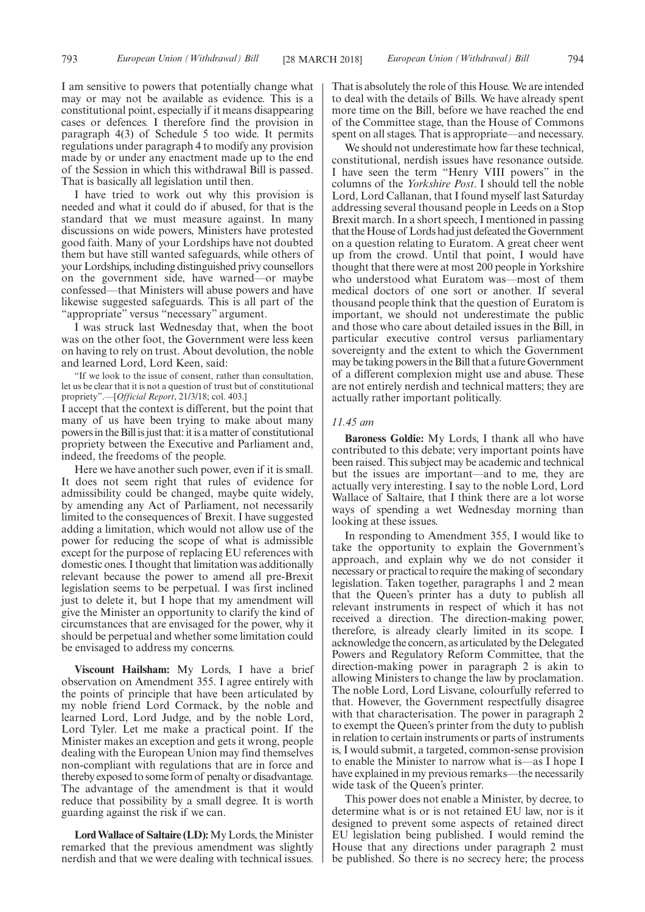I am sensitive to powers that potentially change what may or may not be available as evidence. This is a constitutional point, especially if it means disappearing cases or defences. I therefore find the provision in paragraph 4(3) of Schedule 5 too wide. It permits regulations under paragraph 4 to modify any provision made by or under any enactment made up to the end of the Session in which this withdrawal Bill is passed. That is basically all legislation until then.

I have tried to work out why this provision is needed and what it could do if abused, for that is the standard that we must measure against. In many discussions on wide powers, Ministers have protested good faith. Many of your Lordships have not doubted them but have still wanted safeguards, while others of your Lordships, including distinguished privy counsellors on the government side, have warned—or maybe confessed—that Ministers will abuse powers and have likewise suggested safeguards. This is all part of the "appropriate" versus "necessary" argument.

I was struck last Wednesday that, when the boot was on the other foot, the Government were less keen on having to rely on trust. About devolution, the noble and learned Lord, Lord Keen, said:

"If we look to the issue of consent, rather than consultation, let us be clear that it is not a question of trust but of constitutional propriety".—[*Official Report*, 21/3/18; col. 403.]

I accept that the context is different, but the point that many of us have been trying to make about many powers in the Bill is just that: it is a matter of constitutional propriety between the Executive and Parliament and, indeed, the freedoms of the people.

Here we have another such power, even if it is small. It does not seem right that rules of evidence for admissibility could be changed, maybe quite widely, by amending any Act of Parliament, not necessarily limited to the consequences of Brexit. I have suggested adding a limitation, which would not allow use of the power for reducing the scope of what is admissible except for the purpose of replacing EU references with domestic ones. I thought that limitation was additionally relevant because the power to amend all pre-Brexit legislation seems to be perpetual. I was first inclined just to delete it, but I hope that my amendment will give the Minister an opportunity to clarify the kind of circumstances that are envisaged for the power, why it should be perpetual and whether some limitation could be envisaged to address my concerns.

**Viscount Hailsham:** My Lords, I have a brief observation on Amendment 355. I agree entirely with the points of principle that have been articulated by my noble friend Lord Cormack, by the noble and learned Lord, Lord Judge, and by the noble Lord, Lord Tyler. Let me make a practical point. If the Minister makes an exception and gets it wrong, people dealing with the European Union may find themselves non-compliant with regulations that are in force and thereby exposed to some form of penalty or disadvantage. The advantage of the amendment is that it would reduce that possibility by a small degree. It is worth guarding against the risk if we can.

**Lord Wallace of Saltaire (LD):**My Lords, the Minister remarked that the previous amendment was slightly nerdish and that we were dealing with technical issues. That is absolutely the role of this House. We are intended to deal with the details of Bills. We have already spent more time on the Bill, before we have reached the end of the Committee stage, than the House of Commons spent on all stages. That is appropriate—and necessary.

We should not underestimate how far these technical, constitutional, nerdish issues have resonance outside. I have seen the term "Henry VIII powers" in the columns of the *Yorkshire Post*. I should tell the noble Lord, Lord Callanan, that I found myself last Saturday addressing several thousand people in Leeds on a Stop Brexit march. In a short speech, I mentioned in passing that the House of Lords had just defeated the Government on a question relating to Euratom. A great cheer went up from the crowd. Until that point, I would have thought that there were at most 200 people in Yorkshire who understood what Euratom was—most of them medical doctors of one sort or another. If several thousand people think that the question of Euratom is important, we should not underestimate the public and those who care about detailed issues in the Bill, in particular executive control versus parliamentary sovereignty and the extent to which the Government may be taking powers in the Bill that a future Government of a different complexion might use and abuse. These are not entirely nerdish and technical matters; they are actually rather important politically.

## *11.45 am*

**Baroness Goldie:** My Lords, I thank all who have contributed to this debate; very important points have been raised. This subject may be academic and technical but the issues are important—and to me, they are actually very interesting. I say to the noble Lord, Lord Wallace of Saltaire, that I think there are a lot worse ways of spending a wet Wednesday morning than looking at these issues.

In responding to Amendment 355, I would like to take the opportunity to explain the Government's approach, and explain why we do not consider it necessary or practical to require the making of secondary legislation. Taken together, paragraphs 1 and 2 mean that the Queen's printer has a duty to publish all relevant instruments in respect of which it has not received a direction. The direction-making power, therefore, is already clearly limited in its scope. I acknowledge the concern, as articulated by the Delegated Powers and Regulatory Reform Committee, that the direction-making power in paragraph 2 is akin to allowing Ministers to change the law by proclamation. The noble Lord, Lord Lisvane, colourfully referred to that. However, the Government respectfully disagree with that characterisation. The power in paragraph 2 to exempt the Queen's printer from the duty to publish in relation to certain instruments or parts of instruments is, I would submit, a targeted, common-sense provision to enable the Minister to narrow what is—as I hope I have explained in my previous remarks—the necessarily wide task of the Queen's printer.

This power does not enable a Minister, by decree, to determine what is or is not retained EU law, nor is it designed to prevent some aspects of retained direct EU legislation being published. I would remind the House that any directions under paragraph 2 must be published. So there is no secrecy here; the process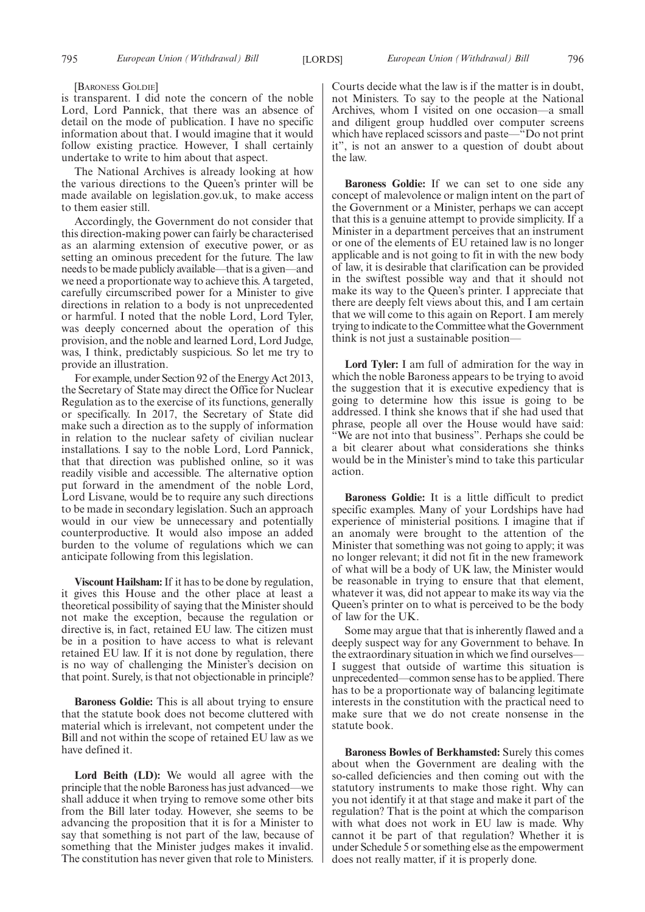[BARONESS GOLDIE]

is transparent. I did note the concern of the noble Lord, Lord Pannick, that there was an absence of detail on the mode of publication. I have no specific information about that. I would imagine that it would follow existing practice. However, I shall certainly undertake to write to him about that aspect.

The National Archives is already looking at how the various directions to the Queen's printer will be made available on legislation.gov.uk, to make access to them easier still.

Accordingly, the Government do not consider that this direction-making power can fairly be characterised as an alarming extension of executive power, or as setting an ominous precedent for the future. The law needs to be made publicly available—that is a given—and we need a proportionate way to achieve this. A targeted, carefully circumscribed power for a Minister to give directions in relation to a body is not unprecedented or harmful. I noted that the noble Lord, Lord Tyler, was deeply concerned about the operation of this provision, and the noble and learned Lord, Lord Judge, was, I think, predictably suspicious. So let me try to provide an illustration.

For example, under Section 92 of the Energy Act 2013, the Secretary of State may direct the Office for Nuclear Regulation as to the exercise of its functions, generally or specifically. In 2017, the Secretary of State did make such a direction as to the supply of information in relation to the nuclear safety of civilian nuclear installations. I say to the noble Lord, Lord Pannick, that that direction was published online, so it was readily visible and accessible. The alternative option put forward in the amendment of the noble Lord, Lord Lisvane, would be to require any such directions to be made in secondary legislation. Such an approach would in our view be unnecessary and potentially counterproductive. It would also impose an added burden to the volume of regulations which we can anticipate following from this legislation.

**Viscount Hailsham:**If it has to be done by regulation, it gives this House and the other place at least a theoretical possibility of saying that the Minister should not make the exception, because the regulation or directive is, in fact, retained EU law. The citizen must be in a position to have access to what is relevant retained EU law. If it is not done by regulation, there is no way of challenging the Minister's decision on that point. Surely, is that not objectionable in principle?

**Baroness Goldie:** This is all about trying to ensure that the statute book does not become cluttered with material which is irrelevant, not competent under the Bill and not within the scope of retained EU law as we have defined it.

Lord Beith (LD): We would all agree with the principle that the noble Baroness has just advanced—we shall adduce it when trying to remove some other bits from the Bill later today. However, she seems to be advancing the proposition that it is for a Minister to say that something is not part of the law, because of something that the Minister judges makes it invalid. The constitution has never given that role to Ministers.

Courts decide what the law is if the matter is in doubt, not Ministers. To say to the people at the National Archives, whom I visited on one occasion—a small and diligent group huddled over computer screens which have replaced scissors and paste—"Do not print it", is not an answer to a question of doubt about the law.

**Baroness Goldie:** If we can set to one side any concept of malevolence or malign intent on the part of the Government or a Minister, perhaps we can accept that this is a genuine attempt to provide simplicity. If a Minister in a department perceives that an instrument or one of the elements of EU retained law is no longer applicable and is not going to fit in with the new body of law, it is desirable that clarification can be provided in the swiftest possible way and that it should not make its way to the Queen's printer. I appreciate that there are deeply felt views about this, and I am certain that we will come to this again on Report. I am merely trying to indicate to the Committee what the Government think is not just a sustainable position—

**Lord Tyler:** I am full of admiration for the way in which the noble Baroness appears to be trying to avoid the suggestion that it is executive expediency that is going to determine how this issue is going to be addressed. I think she knows that if she had used that phrase, people all over the House would have said: We are not into that business". Perhaps she could be a bit clearer about what considerations she thinks would be in the Minister's mind to take this particular action.

**Baroness Goldie:** It is a little difficult to predict specific examples. Many of your Lordships have had experience of ministerial positions. I imagine that if an anomaly were brought to the attention of the Minister that something was not going to apply; it was no longer relevant; it did not fit in the new framework of what will be a body of UK law, the Minister would be reasonable in trying to ensure that that element, whatever it was, did not appear to make its way via the Queen's printer on to what is perceived to be the body of law for the UK.

Some may argue that that is inherently flawed and a deeply suspect way for any Government to behave. In the extraordinary situation in which we find ourselves— I suggest that outside of wartime this situation is unprecedented—common sense has to be applied. There has to be a proportionate way of balancing legitimate interests in the constitution with the practical need to make sure that we do not create nonsense in the statute book.

**Baroness Bowles of Berkhamsted:** Surely this comes about when the Government are dealing with the so-called deficiencies and then coming out with the statutory instruments to make those right. Why can you not identify it at that stage and make it part of the regulation? That is the point at which the comparison with what does not work in EU law is made. Why cannot it be part of that regulation? Whether it is under Schedule 5 or something else as the empowerment does not really matter, if it is properly done.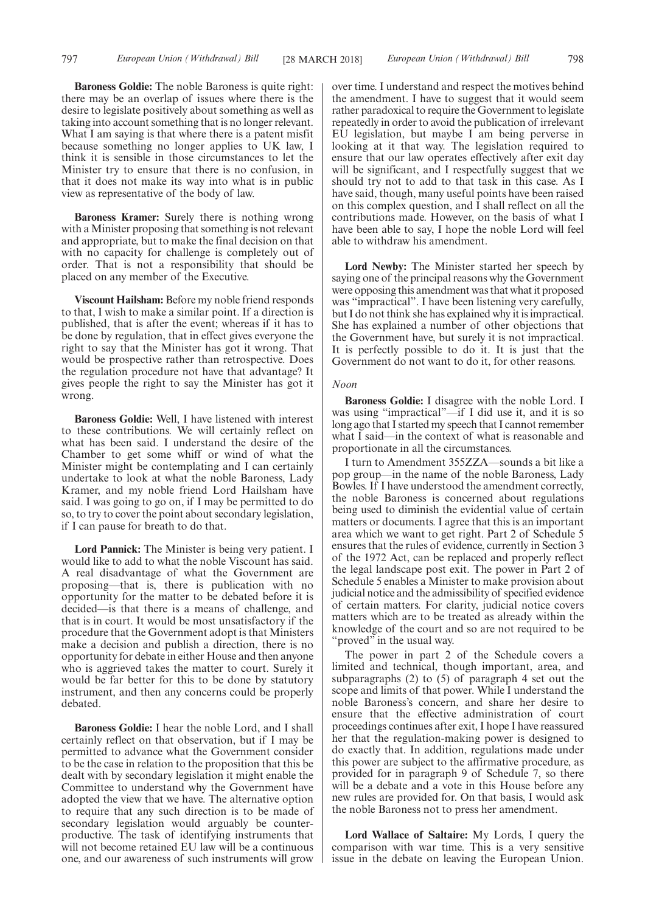**Baroness Goldie:** The noble Baroness is quite right: there may be an overlap of issues where there is the desire to legislate positively about something as well as taking into account something that is no longer relevant. What I am saying is that where there is a patent misfit because something no longer applies to UK law, I think it is sensible in those circumstances to let the Minister try to ensure that there is no confusion, in that it does not make its way into what is in public view as representative of the body of law.

**Baroness Kramer:** Surely there is nothing wrong with a Minister proposing that something is not relevant and appropriate, but to make the final decision on that with no capacity for challenge is completely out of order. That is not a responsibility that should be placed on any member of the Executive.

**Viscount Hailsham:** Before my noble friend responds to that, I wish to make a similar point. If a direction is published, that is after the event; whereas if it has to be done by regulation, that in effect gives everyone the right to say that the Minister has got it wrong. That would be prospective rather than retrospective. Does the regulation procedure not have that advantage? It gives people the right to say the Minister has got it wrong.

**Baroness Goldie:** Well, I have listened with interest to these contributions. We will certainly reflect on what has been said. I understand the desire of the Chamber to get some whiff or wind of what the Minister might be contemplating and I can certainly undertake to look at what the noble Baroness, Lady Kramer, and my noble friend Lord Hailsham have said. I was going to go on, if I may be permitted to do so, to try to cover the point about secondary legislation, if I can pause for breath to do that.

**Lord Pannick:** The Minister is being very patient. I would like to add to what the noble Viscount has said. A real disadvantage of what the Government are proposing—that is, there is publication with no opportunity for the matter to be debated before it is decided—is that there is a means of challenge, and that is in court. It would be most unsatisfactory if the procedure that the Government adopt is that Ministers make a decision and publish a direction, there is no opportunity for debate in either House and then anyone who is aggrieved takes the matter to court. Surely it would be far better for this to be done by statutory instrument, and then any concerns could be properly debated.

**Baroness Goldie:** I hear the noble Lord, and I shall certainly reflect on that observation, but if I may be permitted to advance what the Government consider to be the case in relation to the proposition that this be dealt with by secondary legislation it might enable the Committee to understand why the Government have adopted the view that we have. The alternative option to require that any such direction is to be made of secondary legislation would arguably be counterproductive. The task of identifying instruments that will not become retained EU law will be a continuous one, and our awareness of such instruments will grow

over time. I understand and respect the motives behind the amendment. I have to suggest that it would seem rather paradoxical to require the Government to legislate repeatedly in order to avoid the publication of irrelevant EU legislation, but maybe I am being perverse in looking at it that way. The legislation required to ensure that our law operates effectively after exit day will be significant, and I respectfully suggest that we should try not to add to that task in this case. As I have said, though, many useful points have been raised on this complex question, and I shall reflect on all the contributions made. However, on the basis of what I have been able to say, I hope the noble Lord will feel able to withdraw his amendment.

**Lord Newby:** The Minister started her speech by saying one of the principal reasons why the Government were opposing this amendment was that what it proposed was "impractical". I have been listening very carefully, but I do not think she has explained why it is impractical. She has explained a number of other objections that the Government have, but surely it is not impractical. It is perfectly possible to do it. It is just that the Government do not want to do it, for other reasons.

## *Noon*

**Baroness Goldie:** I disagree with the noble Lord. I was using "impractical"—if I did use it, and it is so long ago that I started my speech that I cannot remember what I said—in the context of what is reasonable and proportionate in all the circumstances.

I turn to Amendment 355ZZA—sounds a bit like a pop group—in the name of the noble Baroness, Lady Bowles. If I have understood the amendment correctly, the noble Baroness is concerned about regulations being used to diminish the evidential value of certain matters or documents. I agree that this is an important area which we want to get right. Part 2 of Schedule 5 ensures that the rules of evidence, currently in Section 3 of the 1972 Act, can be replaced and properly reflect the legal landscape post exit. The power in Part 2 of Schedule 5 enables a Minister to make provision about judicial notice and the admissibility of specified evidence of certain matters. For clarity, judicial notice covers matters which are to be treated as already within the knowledge of the court and so are not required to be "proved" in the usual way.

The power in part 2 of the Schedule covers a limited and technical, though important, area, and subparagraphs (2) to (5) of paragraph 4 set out the scope and limits of that power. While I understand the noble Baroness's concern, and share her desire to ensure that the effective administration of court proceedings continues after exit, I hope I have reassured her that the regulation-making power is designed to do exactly that. In addition, regulations made under this power are subject to the affirmative procedure, as provided for in paragraph 9 of Schedule 7, so there will be a debate and a vote in this House before any new rules are provided for. On that basis, I would ask the noble Baroness not to press her amendment.

**Lord Wallace of Saltaire:** My Lords, I query the comparison with war time. This is a very sensitive issue in the debate on leaving the European Union.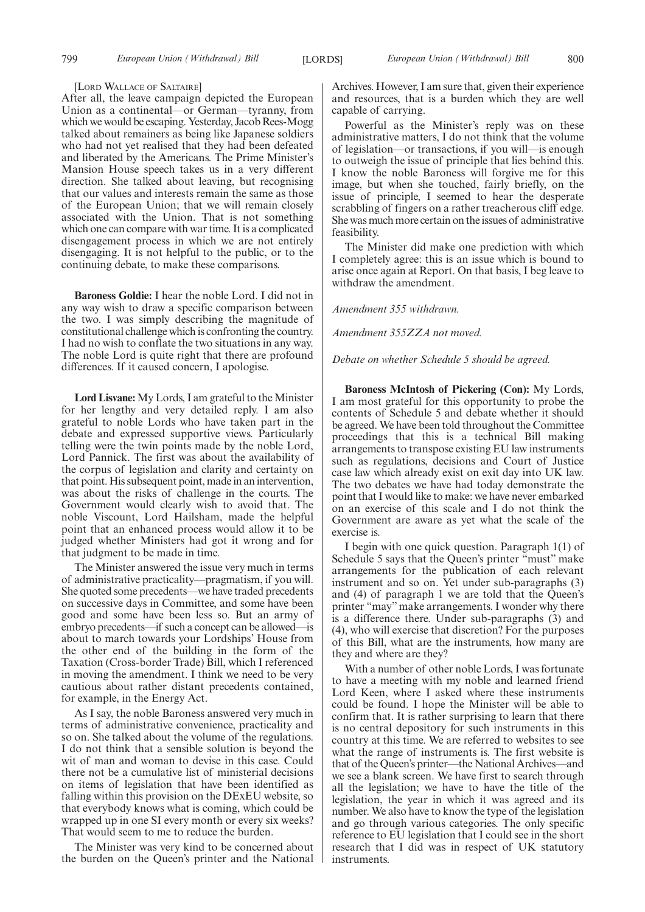#### [LORD WALLACE OF SALTAIRE]

After all, the leave campaign depicted the European Union as a continental—or German—tyranny, from which we would be escaping. Yesterday, Jacob Rees-Mogg talked about remainers as being like Japanese soldiers who had not yet realised that they had been defeated and liberated by the Americans. The Prime Minister's Mansion House speech takes us in a very different direction. She talked about leaving, but recognising that our values and interests remain the same as those of the European Union; that we will remain closely associated with the Union. That is not something which one can compare with war time. It is a complicated disengagement process in which we are not entirely disengaging. It is not helpful to the public, or to the continuing debate, to make these comparisons.

**Baroness Goldie:** I hear the noble Lord. I did not in any way wish to draw a specific comparison between the two. I was simply describing the magnitude of constitutional challenge which is confronting the country. I had no wish to conflate the two situations in any way. The noble Lord is quite right that there are profound differences. If it caused concern, I apologise.

**Lord Lisvane:** My Lords, I am grateful to the Minister for her lengthy and very detailed reply. I am also grateful to noble Lords who have taken part in the debate and expressed supportive views. Particularly telling were the twin points made by the noble Lord, Lord Pannick. The first was about the availability of the corpus of legislation and clarity and certainty on that point. His subsequent point, made in an intervention, was about the risks of challenge in the courts. The Government would clearly wish to avoid that. The noble Viscount, Lord Hailsham, made the helpful point that an enhanced process would allow it to be judged whether Ministers had got it wrong and for that judgment to be made in time.

The Minister answered the issue very much in terms of administrative practicality—pragmatism, if you will. She quoted some precedents—we have traded precedents on successive days in Committee, and some have been good and some have been less so. But an army of embryo precedents—if such a concept can be allowed—is about to march towards your Lordships' House from the other end of the building in the form of the Taxation (Cross-border Trade) Bill, which I referenced in moving the amendment. I think we need to be very cautious about rather distant precedents contained, for example, in the Energy Act.

As I say, the noble Baroness answered very much in terms of administrative convenience, practicality and so on. She talked about the volume of the regulations. I do not think that a sensible solution is beyond the wit of man and woman to devise in this case. Could there not be a cumulative list of ministerial decisions on items of legislation that have been identified as falling within this provision on the DExEU website, so that everybody knows what is coming, which could be wrapped up in one SI every month or every six weeks? That would seem to me to reduce the burden.

The Minister was very kind to be concerned about the burden on the Queen's printer and the National Archives. However, I am sure that, given their experience and resources, that is a burden which they are well capable of carrying.

Powerful as the Minister's reply was on these administrative matters, I do not think that the volume of legislation—or transactions, if you will—is enough to outweigh the issue of principle that lies behind this. I know the noble Baroness will forgive me for this image, but when she touched, fairly briefly, on the issue of principle, I seemed to hear the desperate scrabbling of fingers on a rather treacherous cliff edge. She was much more certain on the issues of administrative feasibility.

The Minister did make one prediction with which I completely agree: this is an issue which is bound to arise once again at Report. On that basis, I beg leave to withdraw the amendment.

*Amendment 355 withdrawn.*

*Amendment 355ZZA not moved.*

*Debate on whether Schedule 5 should be agreed.*

**Baroness McIntosh of Pickering (Con):** My Lords, I am most grateful for this opportunity to probe the contents of Schedule 5 and debate whether it should be agreed. We have been told throughout the Committee proceedings that this is a technical Bill making arrangements to transpose existing EU law instruments such as regulations, decisions and Court of Justice case law which already exist on exit day into UK law. The two debates we have had today demonstrate the point that I would like to make: we have never embarked on an exercise of this scale and I do not think the Government are aware as yet what the scale of the exercise is.

I begin with one quick question. Paragraph 1(1) of Schedule 5 says that the Queen's printer "must" make arrangements for the publication of each relevant instrument and so on. Yet under sub-paragraphs (3) and (4) of paragraph 1 we are told that the Queen's printer "may" make arrangements. I wonder why there is a difference there. Under sub-paragraphs (3) and (4), who will exercise that discretion? For the purposes of this Bill, what are the instruments, how many are they and where are they?

With a number of other noble Lords, I was fortunate to have a meeting with my noble and learned friend Lord Keen, where I asked where these instruments could be found. I hope the Minister will be able to confirm that. It is rather surprising to learn that there is no central depository for such instruments in this country at this time. We are referred to websites to see what the range of instruments is. The first website is that of the Queen's printer—the National Archives—and we see a blank screen. We have first to search through all the legislation; we have to have the title of the legislation, the year in which it was agreed and its number. We also have to know the type of the legislation and go through various categories. The only specific reference to EU legislation that I could see in the short research that I did was in respect of UK statutory instruments.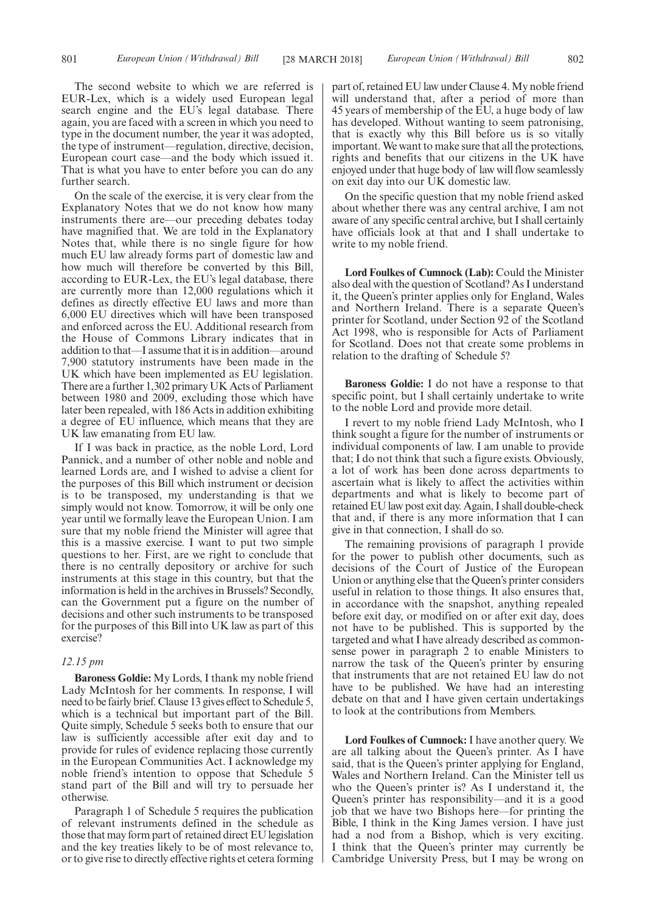The second website to which we are referred is EUR-Lex, which is a widely used European legal search engine and the EU's legal database. There again, you are faced with a screen in which you need to type in the document number, the year it was adopted, the type of instrument—regulation, directive, decision, European court case—and the body which issued it. That is what you have to enter before you can do any further search.

On the scale of the exercise, it is very clear from the Explanatory Notes that we do not know how many instruments there are—our preceding debates today have magnified that. We are told in the Explanatory Notes that, while there is no single figure for how much EU law already forms part of domestic law and how much will therefore be converted by this Bill, according to EUR-Lex, the EU's legal database, there are currently more than 12,000 regulations which it defines as directly effective EU laws and more than 6,000 EU directives which will have been transposed and enforced across the EU. Additional research from the House of Commons Library indicates that in addition to that—I assume that it is in addition—around 7,900 statutory instruments have been made in the UK which have been implemented as EU legislation. There are a further 1,302 primary UK Acts of Parliament between 1980 and 2009, excluding those which have later been repealed, with 186 Acts in addition exhibiting a degree of EU influence, which means that they are UK law emanating from EU law.

If I was back in practice, as the noble Lord, Lord Pannick, and a number of other noble and noble and learned Lords are, and I wished to advise a client for the purposes of this Bill which instrument or decision is to be transposed, my understanding is that we simply would not know. Tomorrow, it will be only one year until we formally leave the European Union. I am sure that my noble friend the Minister will agree that this is a massive exercise. I want to put two simple questions to her. First, are we right to conclude that there is no centrally depository or archive for such instruments at this stage in this country, but that the information is held in the archives in Brussels? Secondly, can the Government put a figure on the number of decisions and other such instruments to be transposed for the purposes of this Bill into UK law as part of this exercise?

## *12.15 pm*

**Baroness Goldie:** My Lords, I thank my noble friend Lady McIntosh for her comments. In response, I will need to be fairly brief. Clause 13 gives effect to Schedule 5, which is a technical but important part of the Bill. Quite simply, Schedule 5 seeks both to ensure that our law is sufficiently accessible after exit day and to provide for rules of evidence replacing those currently in the European Communities Act. I acknowledge my noble friend's intention to oppose that Schedule 5 stand part of the Bill and will try to persuade her otherwise.

Paragraph 1 of Schedule 5 requires the publication of relevant instruments defined in the schedule as those that may form part of retained direct EU legislation and the key treaties likely to be of most relevance to, or to give rise to directly effective rights et cetera forming part of, retained EU law under Clause 4. My noble friend will understand that, after a period of more than 45 years of membership of the EU, a huge body of law has developed. Without wanting to seem patronising, that is exactly why this Bill before us is so vitally important. We want to make sure that all the protections, rights and benefits that our citizens in the UK have enjoyed under that huge body of law will flow seamlessly on exit day into our UK domestic law.

On the specific question that my noble friend asked about whether there was any central archive, I am not aware of any specific central archive, but I shall certainly have officials look at that and I shall undertake to write to my noble friend.

**Lord Foulkes of Cumnock (Lab):** Could the Minister also deal with the question of Scotland? As I understand it, the Queen's printer applies only for England, Wales and Northern Ireland. There is a separate Queen's printer for Scotland, under Section 92 of the Scotland Act 1998, who is responsible for Acts of Parliament for Scotland. Does not that create some problems in relation to the drafting of Schedule 5?

**Baroness Goldie:** I do not have a response to that specific point, but I shall certainly undertake to write to the noble Lord and provide more detail.

I revert to my noble friend Lady McIntosh, who I think sought a figure for the number of instruments or individual components of law. I am unable to provide that; I do not think that such a figure exists. Obviously, a lot of work has been done across departments to ascertain what is likely to affect the activities within departments and what is likely to become part of retained EU law post exit day. Again, I shall double-check that and, if there is any more information that I can give in that connection, I shall do so.

The remaining provisions of paragraph 1 provide for the power to publish other documents, such as decisions of the Court of Justice of the European Union or anything else that the Queen's printer considers useful in relation to those things. It also ensures that, in accordance with the snapshot, anything repealed before exit day, or modified on or after exit day, does not have to be published. This is supported by the targeted and what I have already described as commonsense power in paragraph 2 to enable Ministers to narrow the task of the Queen's printer by ensuring that instruments that are not retained EU law do not have to be published. We have had an interesting debate on that and I have given certain undertakings to look at the contributions from Members.

**Lord Foulkes of Cumnock:** I have another query. We are all talking about the Queen's printer. As I have said, that is the Queen's printer applying for England, Wales and Northern Ireland. Can the Minister tell us who the Queen's printer is? As I understand it, the Queen's printer has responsibility—and it is a good job that we have two Bishops here—for printing the Bible, I think in the King James version. I have just had a nod from a Bishop, which is very exciting. I think that the Queen's printer may currently be Cambridge University Press, but I may be wrong on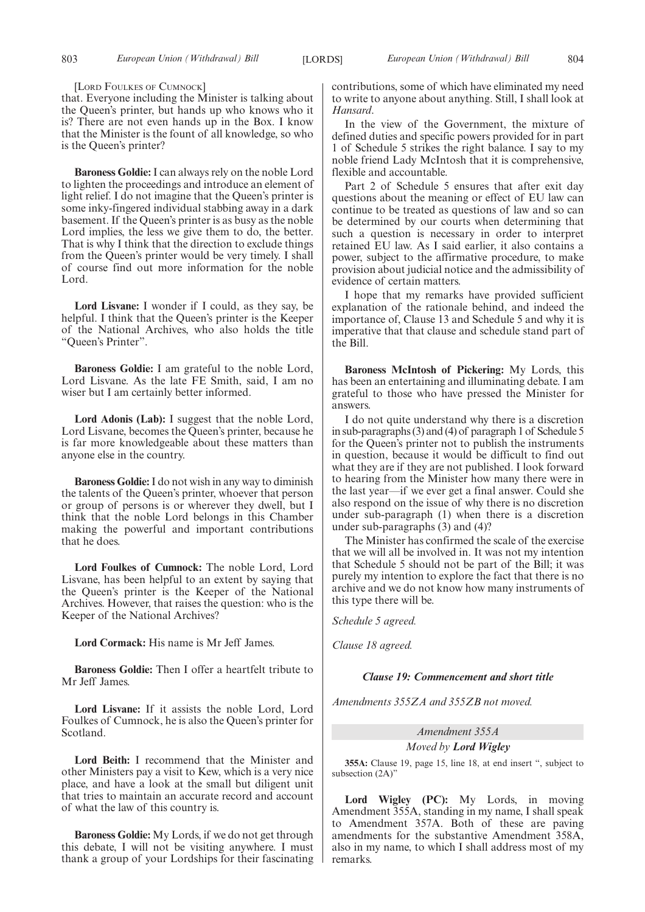[LORD FOULKES OF CUMNOCK]

that. Everyone including the Minister is talking about the Queen's printer, but hands up who knows who it is? There are not even hands up in the Box. I know that the Minister is the fount of all knowledge, so who is the Queen's printer?

**Baroness Goldie:** I can always rely on the noble Lord to lighten the proceedings and introduce an element of light relief. I do not imagine that the Queen's printer is some inky-fingered individual stabbing away in a dark basement. If the Queen's printer is as busy as the noble Lord implies, the less we give them to do, the better. That is why I think that the direction to exclude things from the Queen's printer would be very timely. I shall of course find out more information for the noble Lord.

**Lord Lisvane:** I wonder if I could, as they say, be helpful. I think that the Queen's printer is the Keeper of the National Archives, who also holds the title "Queen's Printer".

**Baroness Goldie:** I am grateful to the noble Lord, Lord Lisvane. As the late FE Smith, said, I am no wiser but I am certainly better informed.

**Lord Adonis (Lab):** I suggest that the noble Lord, Lord Lisvane, becomes the Queen's printer, because he is far more knowledgeable about these matters than anyone else in the country.

**Baroness Goldie:**I do not wish in any way to diminish the talents of the Queen's printer, whoever that person or group of persons is or wherever they dwell, but I think that the noble Lord belongs in this Chamber making the powerful and important contributions that he does.

**Lord Foulkes of Cumnock:** The noble Lord, Lord Lisvane, has been helpful to an extent by saying that the Queen's printer is the Keeper of the National Archives. However, that raises the question: who is the Keeper of the National Archives?

**Lord Cormack:** His name is Mr Jeff James.

**Baroness Goldie:** Then I offer a heartfelt tribute to Mr Jeff James.

**Lord Lisvane:** If it assists the noble Lord, Lord Foulkes of Cumnock, he is also the Queen's printer for Scotland.

**Lord Beith:** I recommend that the Minister and other Ministers pay a visit to Kew, which is a very nice place, and have a look at the small but diligent unit that tries to maintain an accurate record and account of what the law of this country is.

**Baroness Goldie:** My Lords, if we do not get through this debate, I will not be visiting anywhere. I must thank a group of your Lordships for their fascinating contributions, some of which have eliminated my need to write to anyone about anything. Still, I shall look at *Hansard*.

In the view of the Government, the mixture of defined duties and specific powers provided for in part 1 of Schedule 5 strikes the right balance. I say to my noble friend Lady McIntosh that it is comprehensive, flexible and accountable.

Part 2 of Schedule 5 ensures that after exit day questions about the meaning or effect of EU law can continue to be treated as questions of law and so can be determined by our courts when determining that such a question is necessary in order to interpret retained EU law. As I said earlier, it also contains a power, subject to the affirmative procedure, to make provision about judicial notice and the admissibility of evidence of certain matters.

I hope that my remarks have provided sufficient explanation of the rationale behind, and indeed the importance of, Clause 13 and Schedule 5 and why it is imperative that that clause and schedule stand part of the Bill.

**Baroness McIntosh of Pickering:** My Lords, this has been an entertaining and illuminating debate. I am grateful to those who have pressed the Minister for answers.

I do not quite understand why there is a discretion in sub-paragraphs (3) and (4) of paragraph 1 of Schedule 5 for the Queen's printer not to publish the instruments in question, because it would be difficult to find out what they are if they are not published. I look forward to hearing from the Minister how many there were in the last year—if we ever get a final answer. Could she also respond on the issue of why there is no discretion under sub-paragraph (1) when there is a discretion under sub-paragraphs (3) and (4)?

The Minister has confirmed the scale of the exercise that we will all be involved in. It was not my intention that Schedule 5 should not be part of the Bill; it was purely my intention to explore the fact that there is no archive and we do not know how many instruments of this type there will be.

*Schedule 5 agreed.*

*Clause 18 agreed.*

#### *Clause 19: Commencement and short title*

*Amendments 355ZA and 355ZB not moved.*

## *Amendment 355A*

*Moved by Lord Wigley*

**355A:** Clause 19, page 15, line 18, at end insert ", subject to subsection (2A)"

**Lord Wigley (PC):** My Lords, in moving Amendment 355A, standing in my name, I shall speak to Amendment 357A. Both of these are paving amendments for the substantive Amendment 358A, also in my name, to which I shall address most of my remarks.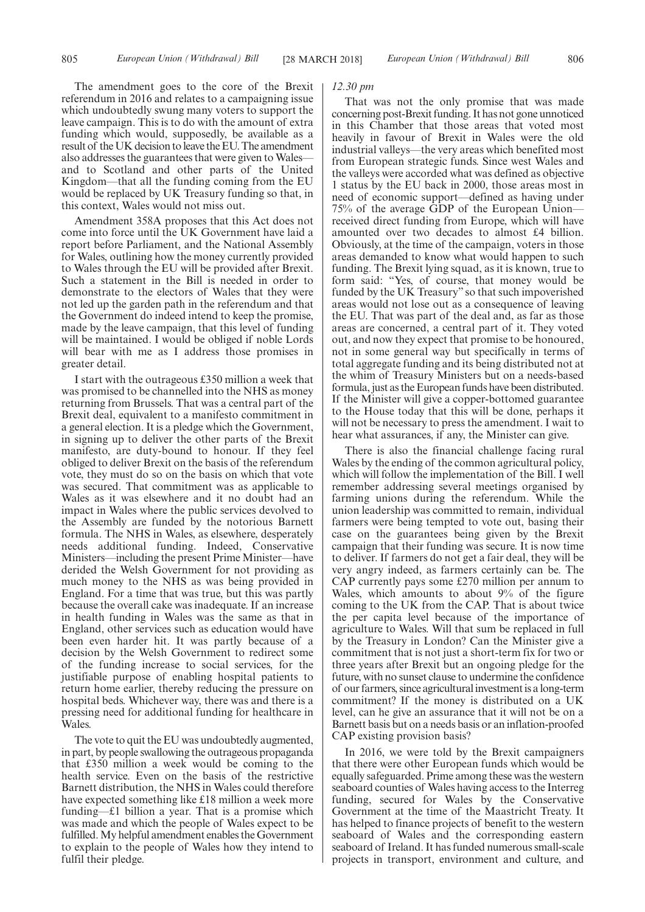The amendment goes to the core of the Brexit referendum in 2016 and relates to a campaigning issue which undoubtedly swung many voters to support the leave campaign. This is to do with the amount of extra funding which would, supposedly, be available as a result of the UK decision to leave the EU. The amendment also addresses the guarantees that were given to Wales and to Scotland and other parts of the United Kingdom—that all the funding coming from the EU would be replaced by UK Treasury funding so that, in this context, Wales would not miss out.

Amendment 358A proposes that this Act does not come into force until the UK Government have laid a report before Parliament, and the National Assembly for Wales, outlining how the money currently provided to Wales through the EU will be provided after Brexit. Such a statement in the Bill is needed in order to demonstrate to the electors of Wales that they were not led up the garden path in the referendum and that the Government do indeed intend to keep the promise, made by the leave campaign, that this level of funding will be maintained. I would be obliged if noble Lords will bear with me as I address those promises in greater detail.

I start with the outrageous £350 million a week that was promised to be channelled into the NHS as money returning from Brussels. That was a central part of the Brexit deal, equivalent to a manifesto commitment in a general election. It is a pledge which the Government, in signing up to deliver the other parts of the Brexit manifesto, are duty-bound to honour. If they feel obliged to deliver Brexit on the basis of the referendum vote, they must do so on the basis on which that vote was secured. That commitment was as applicable to Wales as it was elsewhere and it no doubt had an impact in Wales where the public services devolved to the Assembly are funded by the notorious Barnett formula. The NHS in Wales, as elsewhere, desperately needs additional funding. Indeed, Conservative Ministers—including the present Prime Minister—have derided the Welsh Government for not providing as much money to the NHS as was being provided in England. For a time that was true, but this was partly because the overall cake was inadequate. If an increase in health funding in Wales was the same as that in England, other services such as education would have been even harder hit. It was partly because of a decision by the Welsh Government to redirect some of the funding increase to social services, for the justifiable purpose of enabling hospital patients to return home earlier, thereby reducing the pressure on hospital beds. Whichever way, there was and there is a pressing need for additional funding for healthcare in Wales.

The vote to quit the EU was undoubtedly augmented, in part, by people swallowing the outrageous propaganda that £350 million a week would be coming to the health service. Even on the basis of the restrictive Barnett distribution, the NHS in Wales could therefore have expected something like £18 million a week more funding—£1 billion a year. That is a promise which was made and which the people of Wales expect to be fulfilled. My helpful amendment enables the Government to explain to the people of Wales how they intend to fulfil their pledge.

#### *12.30 pm*

That was not the only promise that was made concerning post-Brexit funding. It has not gone unnoticed in this Chamber that those areas that voted most heavily in favour of Brexit in Wales were the old industrial valleys—the very areas which benefited most from European strategic funds. Since west Wales and the valleys were accorded what was defined as objective 1 status by the EU back in 2000, those areas most in need of economic support—defined as having under 75% of the average GDP of the European Union received direct funding from Europe, which will have amounted over two decades to almost £4 billion. Obviously, at the time of the campaign, voters in those areas demanded to know what would happen to such funding. The Brexit lying squad, as it is known, true to form said: "Yes, of course, that money would be funded by the UK Treasury" so that such impoverished areas would not lose out as a consequence of leaving the EU. That was part of the deal and, as far as those areas are concerned, a central part of it. They voted out, and now they expect that promise to be honoured, not in some general way but specifically in terms of total aggregate funding and its being distributed not at the whim of Treasury Ministers but on a needs-based formula, just as the European funds have been distributed. If the Minister will give a copper-bottomed guarantee to the House today that this will be done, perhaps it will not be necessary to press the amendment. I wait to hear what assurances, if any, the Minister can give.

There is also the financial challenge facing rural Wales by the ending of the common agricultural policy, which will follow the implementation of the Bill. I well remember addressing several meetings organised by farming unions during the referendum. While the union leadership was committed to remain, individual farmers were being tempted to vote out, basing their case on the guarantees being given by the Brexit campaign that their funding was secure. It is now time to deliver. If farmers do not get a fair deal, they will be very angry indeed, as farmers certainly can be. The CAP currently pays some £270 million per annum to Wales, which amounts to about 9% of the figure coming to the UK from the CAP. That is about twice the per capita level because of the importance of agriculture to Wales. Will that sum be replaced in full by the Treasury in London? Can the Minister give a commitment that is not just a short-term fix for two or three years after Brexit but an ongoing pledge for the future, with no sunset clause to undermine the confidence of our farmers, since agricultural investment is a long-term commitment? If the money is distributed on a UK level, can he give an assurance that it will not be on a Barnett basis but on a needs basis or an inflation-proofed CAP existing provision basis?

In 2016, we were told by the Brexit campaigners that there were other European funds which would be equally safeguarded. Prime among these was the western seaboard counties of Wales having access to the Interreg funding, secured for Wales by the Conservative Government at the time of the Maastricht Treaty. It has helped to finance projects of benefit to the western seaboard of Wales and the corresponding eastern seaboard of Ireland. It has funded numerous small-scale projects in transport, environment and culture, and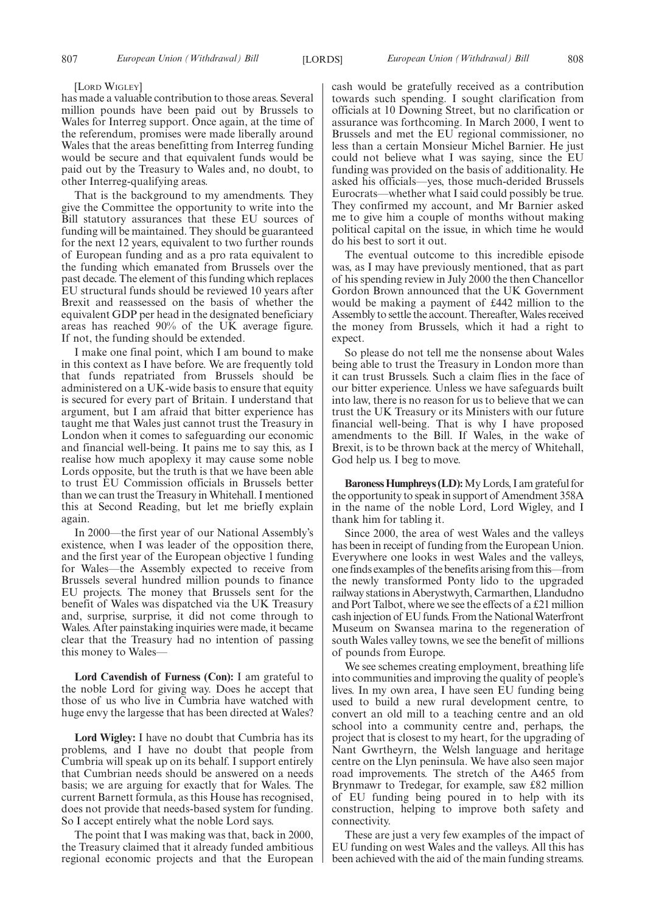#### [LORD WIGLEY]

has made a valuable contribution to those areas. Several million pounds have been paid out by Brussels to Wales for Interreg support. Once again, at the time of the referendum, promises were made liberally around Wales that the areas benefitting from Interreg funding would be secure and that equivalent funds would be paid out by the Treasury to Wales and, no doubt, to other Interreg-qualifying areas.

That is the background to my amendments. They give the Committee the opportunity to write into the Bill statutory assurances that these EU sources of funding will be maintained. They should be guaranteed for the next 12 years, equivalent to two further rounds of European funding and as a pro rata equivalent to the funding which emanated from Brussels over the past decade. The element of this funding which replaces EU structural funds should be reviewed 10 years after Brexit and reassessed on the basis of whether the equivalent GDP per head in the designated beneficiary areas has reached 90% of the UK average figure. If not, the funding should be extended.

I make one final point, which I am bound to make in this context as I have before. We are frequently told that funds repatriated from Brussels should be administered on a UK-wide basis to ensure that equity is secured for every part of Britain. I understand that argument, but I am afraid that bitter experience has taught me that Wales just cannot trust the Treasury in London when it comes to safeguarding our economic and financial well-being. It pains me to say this, as I realise how much apoplexy it may cause some noble Lords opposite, but the truth is that we have been able to trust EU Commission officials in Brussels better than we can trust the Treasury in Whitehall. I mentioned this at Second Reading, but let me briefly explain again.

In 2000—the first year of our National Assembly's existence, when I was leader of the opposition there, and the first year of the European objective 1 funding for Wales—the Assembly expected to receive from Brussels several hundred million pounds to finance EU projects. The money that Brussels sent for the benefit of Wales was dispatched via the UK Treasury and, surprise, surprise, it did not come through to Wales. After painstaking inquiries were made, it became clear that the Treasury had no intention of passing this money to Wales—

**Lord Cavendish of Furness (Con):** I am grateful to the noble Lord for giving way. Does he accept that those of us who live in Cumbria have watched with huge envy the largesse that has been directed at Wales?

**Lord Wigley:** I have no doubt that Cumbria has its problems, and I have no doubt that people from Cumbria will speak up on its behalf. I support entirely that Cumbrian needs should be answered on a needs basis; we are arguing for exactly that for Wales. The current Barnett formula, as this House has recognised, does not provide that needs-based system for funding. So I accept entirely what the noble Lord says.

The point that I was making was that, back in 2000, the Treasury claimed that it already funded ambitious regional economic projects and that the European cash would be gratefully received as a contribution towards such spending. I sought clarification from officials at 10 Downing Street, but no clarification or assurance was forthcoming. In March 2000, I went to Brussels and met the EU regional commissioner, no less than a certain Monsieur Michel Barnier. He just could not believe what I was saying, since the EU funding was provided on the basis of additionality. He asked his officials—yes, those much-derided Brussels Eurocrats—whether what I said could possibly be true. They confirmed my account, and Mr Barnier asked me to give him a couple of months without making political capital on the issue, in which time he would do his best to sort it out.

The eventual outcome to this incredible episode was, as I may have previously mentioned, that as part of his spending review in July 2000 the then Chancellor Gordon Brown announced that the UK Government would be making a payment of £442 million to the Assembly to settle the account. Thereafter, Wales received the money from Brussels, which it had a right to expect.

So please do not tell me the nonsense about Wales being able to trust the Treasury in London more than it can trust Brussels. Such a claim flies in the face of our bitter experience. Unless we have safeguards built into law, there is no reason for us to believe that we can trust the UK Treasury or its Ministers with our future financial well-being. That is why I have proposed amendments to the Bill. If Wales, in the wake of Brexit, is to be thrown back at the mercy of Whitehall, God help us. I beg to move.

**Baroness Humphreys (LD):**My Lords, I am grateful for the opportunity to speak in support of Amendment 358A in the name of the noble Lord, Lord Wigley, and I thank him for tabling it.

Since 2000, the area of west Wales and the valleys has been in receipt of funding from the European Union. Everywhere one looks in west Wales and the valleys, one finds examples of the benefits arising from this—from the newly transformed Ponty lido to the upgraded railway stations in Aberystwyth, Carmarthen, Llandudno and Port Talbot, where we see the effects of a £21 million cash injection of EU funds. From the National Waterfront Museum on Swansea marina to the regeneration of south Wales valley towns, we see the benefit of millions of pounds from Europe.

We see schemes creating employment, breathing life into communities and improving the quality of people's lives. In my own area, I have seen EU funding being used to build a new rural development centre, to convert an old mill to a teaching centre and an old school into a community centre and, perhaps, the project that is closest to my heart, for the upgrading of Nant Gwrtheyrn, the Welsh language and heritage centre on the Llyn peninsula. We have also seen major road improvements. The stretch of the A465 from Brynmawr to Tredegar, for example, saw £82 million of EU funding being poured in to help with its construction, helping to improve both safety and connectivity.

These are just a very few examples of the impact of EU funding on west Wales and the valleys. All this has been achieved with the aid of the main funding streams.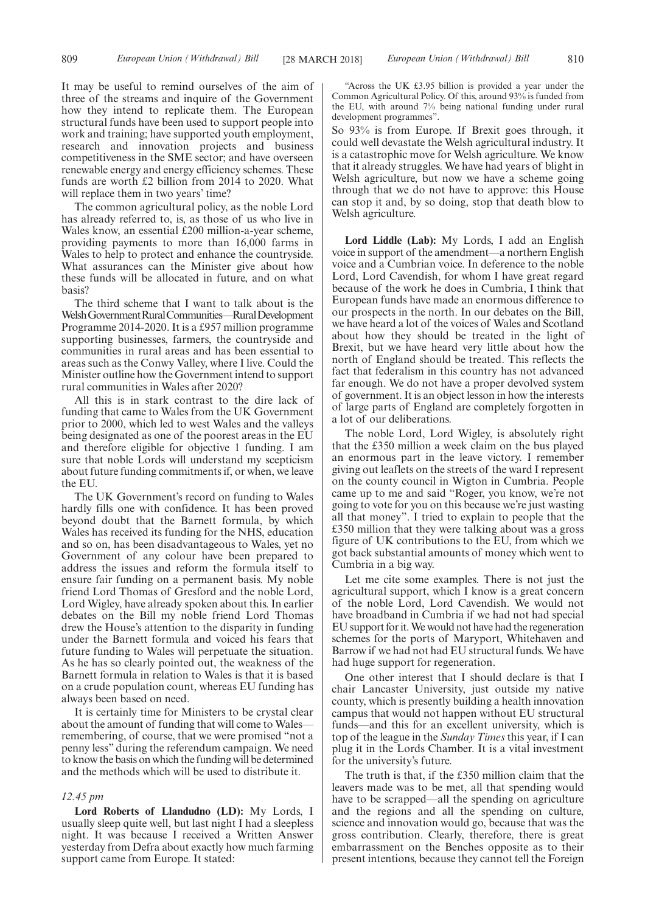It may be useful to remind ourselves of the aim of three of the streams and inquire of the Government how they intend to replicate them. The European structural funds have been used to support people into work and training; have supported youth employment, research and innovation projects and business competitiveness in the SME sector; and have overseen renewable energy and energy efficiency schemes. These funds are worth £2 billion from 2014 to 2020. What will replace them in two years' time?

The common agricultural policy, as the noble Lord has already referred to, is, as those of us who live in Wales know, an essential £200 million-a-year scheme, providing payments to more than 16,000 farms in Wales to help to protect and enhance the countryside. What assurances can the Minister give about how these funds will be allocated in future, and on what basis?

The third scheme that I want to talk about is the Welsh Government Rural Communities—Rural Development Programme 2014-2020. It is a £957 million programme supporting businesses, farmers, the countryside and communities in rural areas and has been essential to areas such as the Conwy Valley, where I live. Could the Minister outline how the Government intend to support rural communities in Wales after 2020?

All this is in stark contrast to the dire lack of funding that came to Wales from the UK Government prior to 2000, which led to west Wales and the valleys being designated as one of the poorest areas in the EU and therefore eligible for objective 1 funding. I am sure that noble Lords will understand my scepticism about future funding commitments if, or when, we leave the EU.

The UK Government's record on funding to Wales hardly fills one with confidence. It has been proved beyond doubt that the Barnett formula, by which Wales has received its funding for the NHS, education and so on, has been disadvantageous to Wales, yet no Government of any colour have been prepared to address the issues and reform the formula itself to ensure fair funding on a permanent basis. My noble friend Lord Thomas of Gresford and the noble Lord, Lord Wigley, have already spoken about this. In earlier debates on the Bill my noble friend Lord Thomas drew the House's attention to the disparity in funding under the Barnett formula and voiced his fears that future funding to Wales will perpetuate the situation. As he has so clearly pointed out, the weakness of the Barnett formula in relation to Wales is that it is based on a crude population count, whereas EU funding has always been based on need.

It is certainly time for Ministers to be crystal clear about the amount of funding that will come to Wales remembering, of course, that we were promised "not a penny less" during the referendum campaign. We need to know the basis on which the funding will be determined and the methods which will be used to distribute it.

#### *12.45 pm*

**Lord Roberts of Llandudno (LD):** My Lords, I usually sleep quite well, but last night I had a sleepless night. It was because I received a Written Answer yesterday from Defra about exactly how much farming support came from Europe. It stated:

"Across the UK £3.95 billion is provided a year under the Common Agricultural Policy. Of this, around 93% is funded from the EU, with around 7% being national funding under rural development programmes".

So 93% is from Europe. If Brexit goes through, it could well devastate the Welsh agricultural industry. It is a catastrophic move for Welsh agriculture. We know that it already struggles. We have had years of blight in Welsh agriculture, but now we have a scheme going through that we do not have to approve: this House can stop it and, by so doing, stop that death blow to Welsh agriculture.

**Lord Liddle (Lab):** My Lords, I add an English voice in support of the amendment—a northern English voice and a Cumbrian voice. In deference to the noble Lord, Lord Cavendish, for whom I have great regard because of the work he does in Cumbria, I think that European funds have made an enormous difference to our prospects in the north. In our debates on the Bill, we have heard a lot of the voices of Wales and Scotland about how they should be treated in the light of Brexit, but we have heard very little about how the north of England should be treated. This reflects the fact that federalism in this country has not advanced far enough. We do not have a proper devolved system of government. It is an object lesson in how the interests of large parts of England are completely forgotten in a lot of our deliberations.

The noble Lord, Lord Wigley, is absolutely right that the £350 million a week claim on the bus played an enormous part in the leave victory. I remember giving out leaflets on the streets of the ward I represent on the county council in Wigton in Cumbria. People came up to me and said "Roger, you know, we're not going to vote for you on this because we're just wasting all that money". I tried to explain to people that the £350 million that they were talking about was a gross figure of UK contributions to the EU, from which we got back substantial amounts of money which went to Cumbria in a big way.

Let me cite some examples. There is not just the agricultural support, which I know is a great concern of the noble Lord, Lord Cavendish. We would not have broadband in Cumbria if we had not had special EU support for it. We would not have had the regeneration schemes for the ports of Maryport, Whitehaven and Barrow if we had not had EU structural funds. We have had huge support for regeneration.

One other interest that I should declare is that I chair Lancaster University, just outside my native county, which is presently building a health innovation campus that would not happen without EU structural funds—and this for an excellent university, which is top of the league in the *Sunday Times* this year, if I can plug it in the Lords Chamber. It is a vital investment for the university's future.

The truth is that, if the £350 million claim that the leavers made was to be met, all that spending would have to be scrapped—all the spending on agriculture and the regions and all the spending on culture, science and innovation would go, because that was the gross contribution. Clearly, therefore, there is great embarrassment on the Benches opposite as to their present intentions, because they cannot tell the Foreign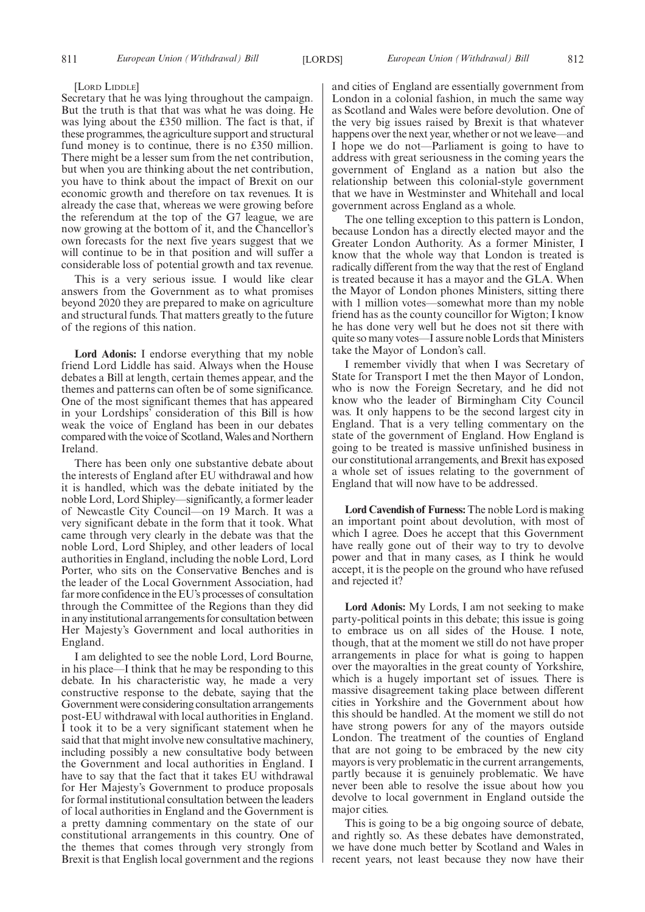#### [LORD LIDDLE]

Secretary that he was lying throughout the campaign. But the truth is that that was what he was doing. He was lying about the £350 million. The fact is that, if these programmes, the agriculture support and structural fund money is to continue, there is no £350 million. There might be a lesser sum from the net contribution, but when you are thinking about the net contribution, you have to think about the impact of Brexit on our economic growth and therefore on tax revenues. It is already the case that, whereas we were growing before the referendum at the top of the G7 league, we are now growing at the bottom of it, and the Chancellor's own forecasts for the next five years suggest that we will continue to be in that position and will suffer a considerable loss of potential growth and tax revenue.

This is a very serious issue. I would like clear answers from the Government as to what promises beyond 2020 they are prepared to make on agriculture and structural funds. That matters greatly to the future of the regions of this nation.

**Lord Adonis:** I endorse everything that my noble friend Lord Liddle has said. Always when the House debates a Bill at length, certain themes appear, and the themes and patterns can often be of some significance. One of the most significant themes that has appeared in your Lordships' consideration of this Bill is how weak the voice of England has been in our debates compared with the voice of Scotland, Wales and Northern Ireland.

There has been only one substantive debate about the interests of England after EU withdrawal and how it is handled, which was the debate initiated by the noble Lord, Lord Shipley—significantly, a former leader of Newcastle City Council—on 19 March. It was a very significant debate in the form that it took. What came through very clearly in the debate was that the noble Lord, Lord Shipley, and other leaders of local authorities in England, including the noble Lord, Lord Porter, who sits on the Conservative Benches and is the leader of the Local Government Association, had far more confidence in the EU's processes of consultation through the Committee of the Regions than they did in any institutional arrangements for consultation between Her Majesty's Government and local authorities in England.

I am delighted to see the noble Lord, Lord Bourne, in his place—I think that he may be responding to this debate. In his characteristic way, he made a very constructive response to the debate, saying that the Government were considering consultation arrangements post-EU withdrawal with local authorities in England. I took it to be a very significant statement when he said that that might involve new consultative machinery, including possibly a new consultative body between the Government and local authorities in England. I have to say that the fact that it takes EU withdrawal for Her Majesty's Government to produce proposals for formal institutional consultation between the leaders of local authorities in England and the Government is a pretty damning commentary on the state of our constitutional arrangements in this country. One of the themes that comes through very strongly from Brexit is that English local government and the regions and cities of England are essentially government from London in a colonial fashion, in much the same way as Scotland and Wales were before devolution. One of the very big issues raised by Brexit is that whatever happens over the next year, whether or not we leave—and I hope we do not—Parliament is going to have to address with great seriousness in the coming years the government of England as a nation but also the relationship between this colonial-style government that we have in Westminster and Whitehall and local government across England as a whole.

The one telling exception to this pattern is London, because London has a directly elected mayor and the Greater London Authority. As a former Minister, I know that the whole way that London is treated is radically different from the way that the rest of England is treated because it has a mayor and the GLA. When the Mayor of London phones Ministers, sitting there with 1 million votes—somewhat more than my noble friend has as the county councillor for Wigton; I know he has done very well but he does not sit there with quite so many votes—I assure noble Lords that Ministers take the Mayor of London's call.

I remember vividly that when I was Secretary of State for Transport I met the then Mayor of London, who is now the Foreign Secretary, and he did not know who the leader of Birmingham City Council was. It only happens to be the second largest city in England. That is a very telling commentary on the state of the government of England. How England is going to be treated is massive unfinished business in our constitutional arrangements, and Brexit has exposed a whole set of issues relating to the government of England that will now have to be addressed.

**Lord Cavendish of Furness:** The noble Lord is making an important point about devolution, with most of which I agree. Does he accept that this Government have really gone out of their way to try to devolve power and that in many cases, as I think he would accept, it is the people on the ground who have refused and rejected it?

**Lord Adonis:** My Lords, I am not seeking to make party-political points in this debate; this issue is going to embrace us on all sides of the House. I note, though, that at the moment we still do not have proper arrangements in place for what is going to happen over the mayoralties in the great county of Yorkshire, which is a hugely important set of issues. There is massive disagreement taking place between different cities in Yorkshire and the Government about how this should be handled. At the moment we still do not have strong powers for any of the mayors outside London. The treatment of the counties of England that are not going to be embraced by the new city mayors is very problematic in the current arrangements, partly because it is genuinely problematic. We have never been able to resolve the issue about how you devolve to local government in England outside the major cities.

This is going to be a big ongoing source of debate, and rightly so. As these debates have demonstrated, we have done much better by Scotland and Wales in recent years, not least because they now have their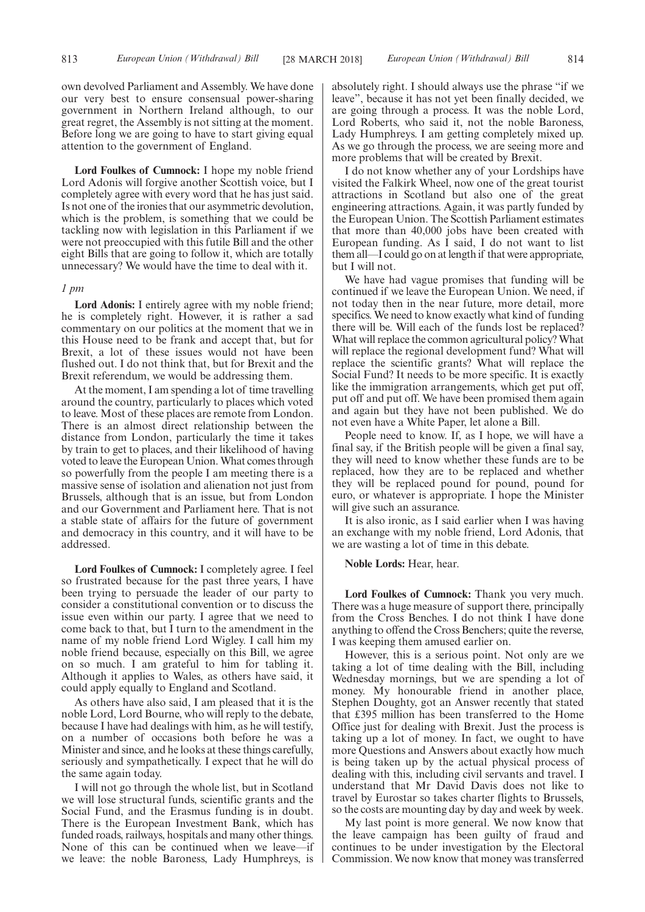own devolved Parliament and Assembly. We have done our very best to ensure consensual power-sharing government in Northern Ireland although, to our great regret, the Assembly is not sitting at the moment. Before long we are going to have to start giving equal attention to the government of England.

**Lord Foulkes of Cumnock:** I hope my noble friend Lord Adonis will forgive another Scottish voice, but I completely agree with every word that he has just said. Is not one of the ironies that our asymmetric devolution, which is the problem, is something that we could be tackling now with legislation in this Parliament if we were not preoccupied with this futile Bill and the other eight Bills that are going to follow it, which are totally unnecessary? We would have the time to deal with it.

#### *1 pm*

**Lord Adonis:** I entirely agree with my noble friend; he is completely right. However, it is rather a sad commentary on our politics at the moment that we in this House need to be frank and accept that, but for Brexit, a lot of these issues would not have been flushed out. I do not think that, but for Brexit and the Brexit referendum, we would be addressing them.

At the moment, I am spending a lot of time travelling around the country, particularly to places which voted to leave. Most of these places are remote from London. There is an almost direct relationship between the distance from London, particularly the time it takes by train to get to places, and their likelihood of having voted to leave the European Union. What comes through so powerfully from the people I am meeting there is a massive sense of isolation and alienation not just from Brussels, although that is an issue, but from London and our Government and Parliament here. That is not a stable state of affairs for the future of government and democracy in this country, and it will have to be addressed.

**Lord Foulkes of Cumnock:** I completely agree. I feel so frustrated because for the past three years, I have been trying to persuade the leader of our party to consider a constitutional convention or to discuss the issue even within our party. I agree that we need to come back to that, but I turn to the amendment in the name of my noble friend Lord Wigley. I call him my noble friend because, especially on this Bill, we agree on so much. I am grateful to him for tabling it. Although it applies to Wales, as others have said, it could apply equally to England and Scotland.

As others have also said, I am pleased that it is the noble Lord, Lord Bourne, who will reply to the debate, because I have had dealings with him, as he will testify, on a number of occasions both before he was a Minister and since, and he looks at these things carefully, seriously and sympathetically. I expect that he will do the same again today.

I will not go through the whole list, but in Scotland we will lose structural funds, scientific grants and the Social Fund, and the Erasmus funding is in doubt. There is the European Investment Bank, which has funded roads, railways, hospitals and many other things. None of this can be continued when we leave—if we leave: the noble Baroness, Lady Humphreys, is absolutely right. I should always use the phrase "if we leave", because it has not yet been finally decided, we are going through a process. It was the noble Lord, Lord Roberts, who said it, not the noble Baroness, Lady Humphreys. I am getting completely mixed up. As we go through the process, we are seeing more and more problems that will be created by Brexit.

I do not know whether any of your Lordships have visited the Falkirk Wheel, now one of the great tourist attractions in Scotland but also one of the great engineering attractions. Again, it was partly funded by the European Union. The Scottish Parliament estimates that more than 40,000 jobs have been created with European funding. As I said, I do not want to list them all—I could go on at length if that were appropriate, but I will not.

We have had vague promises that funding will be continued if we leave the European Union. We need, if not today then in the near future, more detail, more specifics. We need to know exactly what kind of funding there will be. Will each of the funds lost be replaced? What will replace the common agricultural policy? What will replace the regional development fund? What will replace the scientific grants? What will replace the Social Fund? It needs to be more specific. It is exactly like the immigration arrangements, which get put off, put off and put off. We have been promised them again and again but they have not been published. We do not even have a White Paper, let alone a Bill.

People need to know. If, as I hope, we will have a final say, if the British people will be given a final say, they will need to know whether these funds are to be replaced, how they are to be replaced and whether they will be replaced pound for pound, pound for euro, or whatever is appropriate. I hope the Minister will give such an assurance.

It is also ironic, as I said earlier when I was having an exchange with my noble friend, Lord Adonis, that we are wasting a lot of time in this debate.

**Noble Lords:** Hear, hear.

**Lord Foulkes of Cumnock:** Thank you very much. There was a huge measure of support there, principally from the Cross Benches. I do not think I have done anything to offend the Cross Benchers; quite the reverse, I was keeping them amused earlier on.

However, this is a serious point. Not only are we taking a lot of time dealing with the Bill, including Wednesday mornings, but we are spending a lot of money. My honourable friend in another place, Stephen Doughty, got an Answer recently that stated that £395 million has been transferred to the Home Office just for dealing with Brexit. Just the process is taking up a lot of money. In fact, we ought to have more Questions and Answers about exactly how much is being taken up by the actual physical process of dealing with this, including civil servants and travel. I understand that Mr David Davis does not like to travel by Eurostar so takes charter flights to Brussels, so the costs are mounting day by day and week by week.

My last point is more general. We now know that the leave campaign has been guilty of fraud and continues to be under investigation by the Electoral Commission. We now know that money was transferred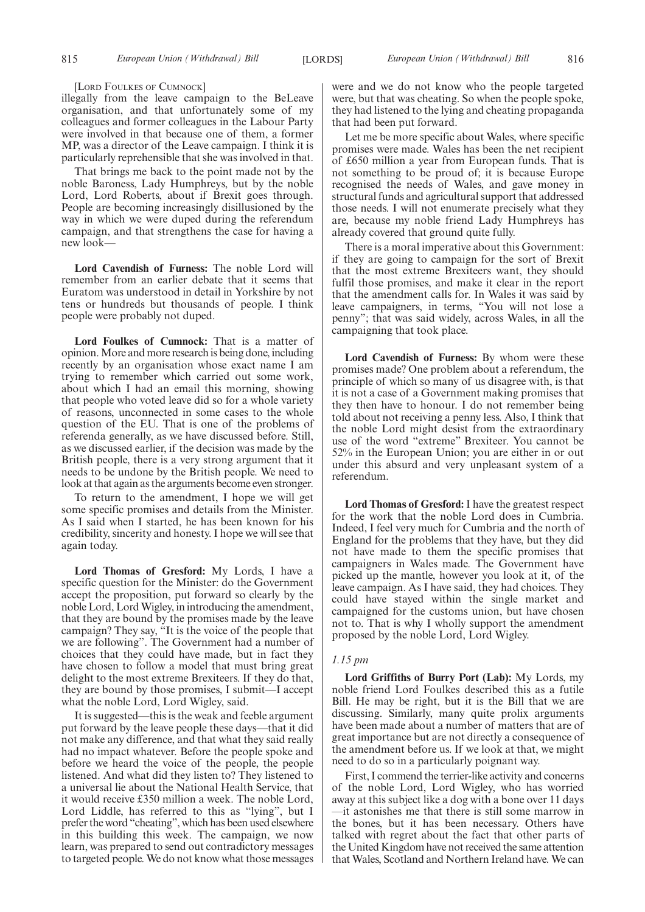#### [LORD FOULKES OF CUMNOCK]

illegally from the leave campaign to the BeLeave organisation, and that unfortunately some of my colleagues and former colleagues in the Labour Party were involved in that because one of them, a former MP, was a director of the Leave campaign. I think it is particularly reprehensible that she was involved in that.

That brings me back to the point made not by the noble Baroness, Lady Humphreys, but by the noble Lord, Lord Roberts, about if Brexit goes through. People are becoming increasingly disillusioned by the way in which we were duped during the referendum campaign, and that strengthens the case for having a new look—

**Lord Cavendish of Furness:** The noble Lord will remember from an earlier debate that it seems that Euratom was understood in detail in Yorkshire by not tens or hundreds but thousands of people. I think people were probably not duped.

**Lord Foulkes of Cumnock:** That is a matter of opinion. More and more research is being done, including recently by an organisation whose exact name I am trying to remember which carried out some work, about which I had an email this morning, showing that people who voted leave did so for a whole variety of reasons, unconnected in some cases to the whole question of the EU. That is one of the problems of referenda generally, as we have discussed before. Still, as we discussed earlier, if the decision was made by the British people, there is a very strong argument that it needs to be undone by the British people. We need to look at that again as the arguments become even stronger.

To return to the amendment, I hope we will get some specific promises and details from the Minister. As I said when I started, he has been known for his credibility, sincerity and honesty. I hope we will see that again today.

**Lord Thomas of Gresford:** My Lords, I have a specific question for the Minister: do the Government accept the proposition, put forward so clearly by the noble Lord, Lord Wigley, in introducing the amendment, that they are bound by the promises made by the leave campaign? They say, "It is the voice of the people that we are following". The Government had a number of choices that they could have made, but in fact they have chosen to follow a model that must bring great delight to the most extreme Brexiteers. If they do that, they are bound by those promises, I submit—I accept what the noble Lord, Lord Wigley, said.

It is suggested—this is the weak and feeble argument put forward by the leave people these days—that it did not make any difference, and that what they said really had no impact whatever. Before the people spoke and before we heard the voice of the people, the people listened. And what did they listen to? They listened to a universal lie about the National Health Service, that it would receive £350 million a week. The noble Lord, Lord Liddle, has referred to this as "lying", but I prefer the word "cheating", which has been used elsewhere in this building this week. The campaign, we now learn, was prepared to send out contradictory messages to targeted people. We do not know what those messages were and we do not know who the people targeted were, but that was cheating. So when the people spoke, they had listened to the lying and cheating propaganda that had been put forward.

Let me be more specific about Wales, where specific promises were made. Wales has been the net recipient of £650 million a year from European funds. That is not something to be proud of; it is because Europe recognised the needs of Wales, and gave money in structural funds and agricultural support that addressed those needs. I will not enumerate precisely what they are, because my noble friend Lady Humphreys has already covered that ground quite fully.

There is a moral imperative about this Government: if they are going to campaign for the sort of Brexit that the most extreme Brexiteers want, they should fulfil those promises, and make it clear in the report that the amendment calls for. In Wales it was said by leave campaigners, in terms, "You will not lose a penny"; that was said widely, across Wales, in all the campaigning that took place.

**Lord Cavendish of Furness:** By whom were these promises made? One problem about a referendum, the principle of which so many of us disagree with, is that it is not a case of a Government making promises that they then have to honour. I do not remember being told about not receiving a penny less. Also, I think that the noble Lord might desist from the extraordinary use of the word "extreme" Brexiteer. You cannot be 52% in the European Union; you are either in or out under this absurd and very unpleasant system of a referendum.

**Lord Thomas of Gresford:** I have the greatest respect for the work that the noble Lord does in Cumbria. Indeed, I feel very much for Cumbria and the north of England for the problems that they have, but they did not have made to them the specific promises that campaigners in Wales made. The Government have picked up the mantle, however you look at it, of the leave campaign. As I have said, they had choices. They could have stayed within the single market and campaigned for the customs union, but have chosen not to. That is why I wholly support the amendment proposed by the noble Lord, Lord Wigley.

## *1.15 pm*

**Lord Griffiths of Burry Port (Lab):** My Lords, my noble friend Lord Foulkes described this as a futile Bill. He may be right, but it is the Bill that we are discussing. Similarly, many quite prolix arguments have been made about a number of matters that are of great importance but are not directly a consequence of the amendment before us. If we look at that, we might need to do so in a particularly poignant way.

First, I commend the terrier-like activity and concerns of the noble Lord, Lord Wigley, who has worried away at this subject like a dog with a bone over 11 days —it astonishes me that there is still some marrow in the bones, but it has been necessary. Others have talked with regret about the fact that other parts of the United Kingdom have not received the same attention that Wales, Scotland and Northern Ireland have. We can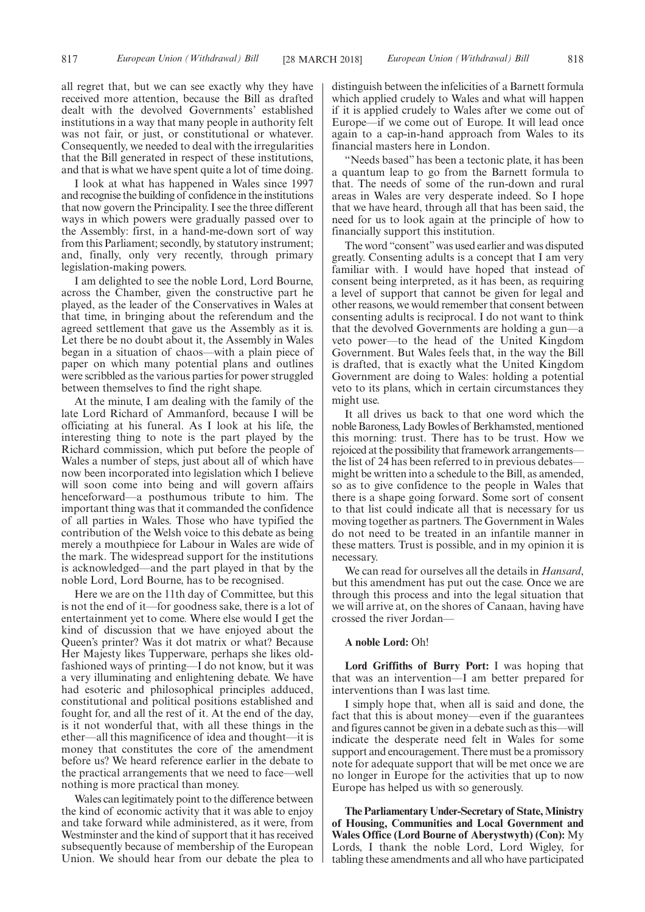all regret that, but we can see exactly why they have received more attention, because the Bill as drafted dealt with the devolved Governments' established institutions in a way that many people in authority felt was not fair, or just, or constitutional or whatever. Consequently, we needed to deal with the irregularities that the Bill generated in respect of these institutions, and that is what we have spent quite a lot of time doing.

I look at what has happened in Wales since 1997 and recognise the building of confidence in the institutions that now govern the Principality. I see the three different ways in which powers were gradually passed over to the Assembly: first, in a hand-me-down sort of way from this Parliament; secondly, by statutory instrument; and, finally, only very recently, through primary legislation-making powers.

I am delighted to see the noble Lord, Lord Bourne, across the Chamber, given the constructive part he played, as the leader of the Conservatives in Wales at that time, in bringing about the referendum and the agreed settlement that gave us the Assembly as it is. Let there be no doubt about it, the Assembly in Wales began in a situation of chaos—with a plain piece of paper on which many potential plans and outlines were scribbled as the various parties for power struggled between themselves to find the right shape.

At the minute, I am dealing with the family of the late Lord Richard of Ammanford, because I will be officiating at his funeral. As I look at his life, the interesting thing to note is the part played by the Richard commission, which put before the people of Wales a number of steps, just about all of which have now been incorporated into legislation which I believe will soon come into being and will govern affairs henceforward—a posthumous tribute to him. The important thing was that it commanded the confidence of all parties in Wales. Those who have typified the contribution of the Welsh voice to this debate as being merely a mouthpiece for Labour in Wales are wide of the mark. The widespread support for the institutions is acknowledged—and the part played in that by the noble Lord, Lord Bourne, has to be recognised.

Here we are on the 11th day of Committee, but this is not the end of it—for goodness sake, there is a lot of entertainment yet to come. Where else would I get the kind of discussion that we have enjoyed about the Queen's printer? Was it dot matrix or what? Because Her Majesty likes Tupperware, perhaps she likes oldfashioned ways of printing—I do not know, but it was a very illuminating and enlightening debate. We have had esoteric and philosophical principles adduced, constitutional and political positions established and fought for, and all the rest of it. At the end of the day, is it not wonderful that, with all these things in the ether—all this magnificence of idea and thought—it is money that constitutes the core of the amendment before us? We heard reference earlier in the debate to the practical arrangements that we need to face—well nothing is more practical than money.

Wales can legitimately point to the difference between the kind of economic activity that it was able to enjoy and take forward while administered, as it were, from Westminster and the kind of support that it has received subsequently because of membership of the European Union. We should hear from our debate the plea to distinguish between the infelicities of a Barnett formula which applied crudely to Wales and what will happen if it is applied crudely to Wales after we come out of Europe—if we come out of Europe. It will lead once again to a cap-in-hand approach from Wales to its financial masters here in London.

"Needs based" has been a tectonic plate, it has been a quantum leap to go from the Barnett formula to that. The needs of some of the run-down and rural areas in Wales are very desperate indeed. So I hope that we have heard, through all that has been said, the need for us to look again at the principle of how to financially support this institution.

The word "consent"was used earlier and was disputed greatly. Consenting adults is a concept that I am very familiar with. I would have hoped that instead of consent being interpreted, as it has been, as requiring a level of support that cannot be given for legal and other reasons, we would remember that consent between consenting adults is reciprocal. I do not want to think that the devolved Governments are holding a gun—a veto power—to the head of the United Kingdom Government. But Wales feels that, in the way the Bill is drafted, that is exactly what the United Kingdom Government are doing to Wales: holding a potential veto to its plans, which in certain circumstances they might use.

It all drives us back to that one word which the noble Baroness, Lady Bowles of Berkhamsted, mentioned this morning: trust. There has to be trust. How we rejoiced at the possibility that framework arrangements the list of 24 has been referred to in previous debates might be written into a schedule to the Bill, as amended, so as to give confidence to the people in Wales that there is a shape going forward. Some sort of consent to that list could indicate all that is necessary for us moving together as partners. The Government in Wales do not need to be treated in an infantile manner in these matters. Trust is possible, and in my opinion it is necessary.

We can read for ourselves all the details in *Hansard*, but this amendment has put out the case. Once we are through this process and into the legal situation that we will arrive at, on the shores of Canaan, having have crossed the river Jordan—

#### **A noble Lord:** Oh!

**Lord Griffiths of Burry Port:** I was hoping that that was an intervention—I am better prepared for interventions than I was last time.

I simply hope that, when all is said and done, the fact that this is about money—even if the guarantees and figures cannot be given in a debate such as this—will indicate the desperate need felt in Wales for some support and encouragement. There must be a promissory note for adequate support that will be met once we are no longer in Europe for the activities that up to now Europe has helped us with so generously.

**The Parliamentary Under-Secretary of State, Ministry of Housing, Communities and Local Government and Wales Office (Lord Bourne of Aberystwyth) (Con):** My Lords, I thank the noble Lord, Lord Wigley, for tabling these amendments and all who have participated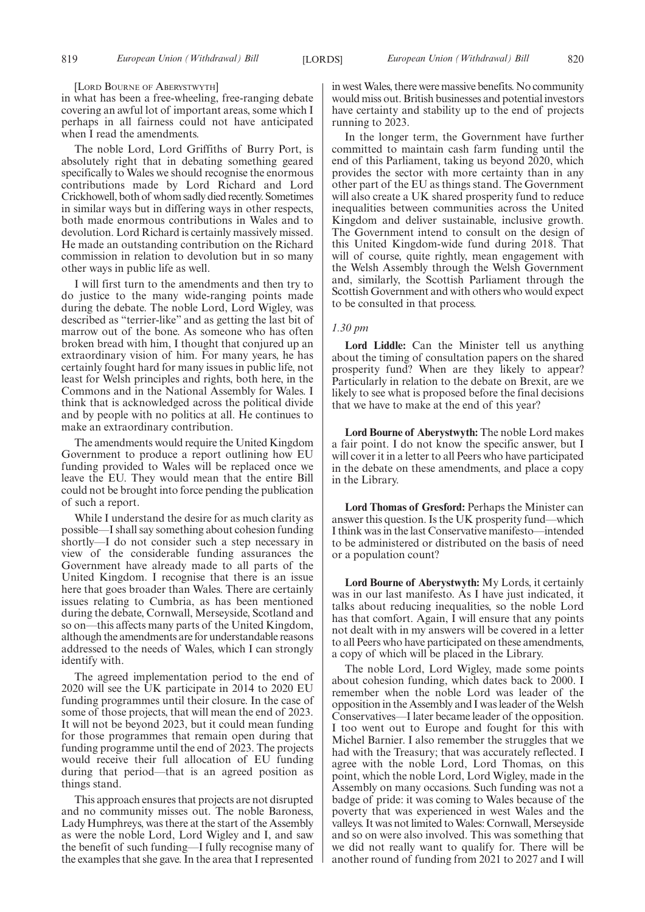[LORD BOURNE OF ABERYSTWYTH]

in what has been a free-wheeling, free-ranging debate covering an awful lot of important areas, some which I perhaps in all fairness could not have anticipated when I read the amendments.

The noble Lord, Lord Griffiths of Burry Port, is absolutely right that in debating something geared specifically to Wales we should recognise the enormous contributions made by Lord Richard and Lord Crickhowell, both of whom sadly died recently. Sometimes in similar ways but in differing ways in other respects, both made enormous contributions in Wales and to devolution. Lord Richard is certainly massively missed. He made an outstanding contribution on the Richard commission in relation to devolution but in so many other ways in public life as well.

I will first turn to the amendments and then try to do justice to the many wide-ranging points made during the debate. The noble Lord, Lord Wigley, was described as "terrier-like" and as getting the last bit of marrow out of the bone. As someone who has often broken bread with him, I thought that conjured up an extraordinary vision of him. For many years, he has certainly fought hard for many issues in public life, not least for Welsh principles and rights, both here, in the Commons and in the National Assembly for Wales. I think that is acknowledged across the political divide and by people with no politics at all. He continues to make an extraordinary contribution.

The amendments would require the United Kingdom Government to produce a report outlining how EU funding provided to Wales will be replaced once we leave the EU. They would mean that the entire Bill could not be brought into force pending the publication of such a report.

While I understand the desire for as much clarity as possible—I shall say something about cohesion funding shortly—I do not consider such a step necessary in view of the considerable funding assurances the Government have already made to all parts of the United Kingdom. I recognise that there is an issue here that goes broader than Wales. There are certainly issues relating to Cumbria, as has been mentioned during the debate, Cornwall, Merseyside, Scotland and so on—this affects many parts of the United Kingdom, although the amendments are for understandable reasons addressed to the needs of Wales, which I can strongly identify with.

The agreed implementation period to the end of 2020 will see the UK participate in 2014 to 2020 EU funding programmes until their closure. In the case of some of those projects, that will mean the end of 2023. It will not be beyond 2023, but it could mean funding for those programmes that remain open during that funding programme until the end of 2023. The projects would receive their full allocation of EU funding during that period—that is an agreed position as things stand.

This approach ensures that projects are not disrupted and no community misses out. The noble Baroness, Lady Humphreys, was there at the start of the Assembly as were the noble Lord, Lord Wigley and I, and saw the benefit of such funding—I fully recognise many of the examples that she gave. In the area that I represented in west Wales, there were massive benefits. No community would miss out. British businesses and potential investors have certainty and stability up to the end of projects running to 2023.

In the longer term, the Government have further committed to maintain cash farm funding until the end of this Parliament, taking us beyond 2020, which provides the sector with more certainty than in any other part of the EU as things stand. The Government will also create a UK shared prosperity fund to reduce inequalities between communities across the United Kingdom and deliver sustainable, inclusive growth. The Government intend to consult on the design of this United Kingdom-wide fund during 2018. That will of course, quite rightly, mean engagement with the Welsh Assembly through the Welsh Government and, similarly, the Scottish Parliament through the Scottish Government and with others who would expect to be consulted in that process.

## *1.30 pm*

**Lord Liddle:** Can the Minister tell us anything about the timing of consultation papers on the shared prosperity fund? When are they likely to appear? Particularly in relation to the debate on Brexit, are we likely to see what is proposed before the final decisions that we have to make at the end of this year?

**Lord Bourne of Aberystwyth:** The noble Lord makes a fair point. I do not know the specific answer, but I will cover it in a letter to all Peers who have participated in the debate on these amendments, and place a copy in the Library.

**Lord Thomas of Gresford:** Perhaps the Minister can answer this question. Is the UK prosperity fund—which I think was in the last Conservative manifesto—intended to be administered or distributed on the basis of need or a population count?

**Lord Bourne of Aberystwyth:** My Lords, it certainly was in our last manifesto. As I have just indicated, it talks about reducing inequalities, so the noble Lord has that comfort. Again, I will ensure that any points not dealt with in my answers will be covered in a letter to all Peers who have participated on these amendments, a copy of which will be placed in the Library.

The noble Lord, Lord Wigley, made some points about cohesion funding, which dates back to 2000. I remember when the noble Lord was leader of the opposition in the Assembly and I was leader of the Welsh Conservatives—I later became leader of the opposition. I too went out to Europe and fought for this with Michel Barnier. I also remember the struggles that we had with the Treasury; that was accurately reflected. I agree with the noble Lord, Lord Thomas, on this point, which the noble Lord, Lord Wigley, made in the Assembly on many occasions. Such funding was not a badge of pride: it was coming to Wales because of the poverty that was experienced in west Wales and the valleys. It was not limited to Wales: Cornwall, Merseyside and so on were also involved. This was something that we did not really want to qualify for. There will be another round of funding from 2021 to 2027 and I will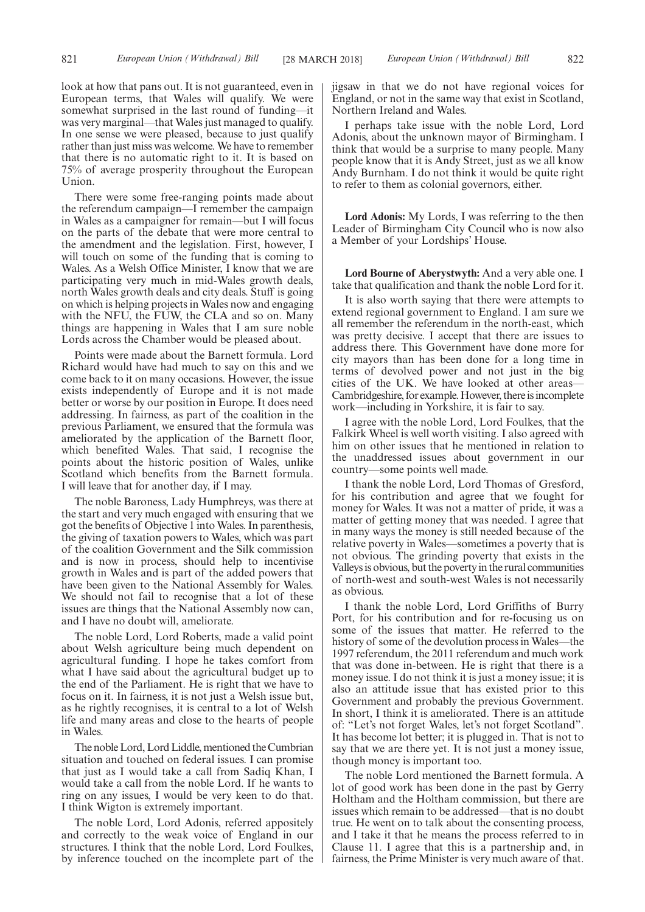look at how that pans out. It is not guaranteed, even in European terms, that Wales will qualify. We were somewhat surprised in the last round of funding—it was very marginal—that Wales just managed to qualify. In one sense we were pleased, because to just qualify rather than just miss was welcome. We have to remember that there is no automatic right to it. It is based on 75% of average prosperity throughout the European Union.

There were some free-ranging points made about the referendum campaign—I remember the campaign in Wales as a campaigner for remain—but I will focus on the parts of the debate that were more central to the amendment and the legislation. First, however, I will touch on some of the funding that is coming to Wales. As a Welsh Office Minister, I know that we are participating very much in mid-Wales growth deals, north Wales growth deals and city deals. Stuff is going on which is helping projects in Wales now and engaging with the NFU, the FUW, the CLA and so on. Many things are happening in Wales that I am sure noble Lords across the Chamber would be pleased about.

Points were made about the Barnett formula. Lord Richard would have had much to say on this and we come back to it on many occasions. However, the issue exists independently of Europe and it is not made better or worse by our position in Europe. It does need addressing. In fairness, as part of the coalition in the previous Parliament, we ensured that the formula was ameliorated by the application of the Barnett floor, which benefited Wales. That said, I recognise the points about the historic position of Wales, unlike Scotland which benefits from the Barnett formula. I will leave that for another day, if I may.

The noble Baroness, Lady Humphreys, was there at the start and very much engaged with ensuring that we got the benefits of Objective 1 into Wales. In parenthesis, the giving of taxation powers to Wales, which was part of the coalition Government and the Silk commission and is now in process, should help to incentivise growth in Wales and is part of the added powers that have been given to the National Assembly for Wales. We should not fail to recognise that a lot of these issues are things that the National Assembly now can, and I have no doubt will, ameliorate.

The noble Lord, Lord Roberts, made a valid point about Welsh agriculture being much dependent on agricultural funding. I hope he takes comfort from what I have said about the agricultural budget up to the end of the Parliament. He is right that we have to focus on it. In fairness, it is not just a Welsh issue but, as he rightly recognises, it is central to a lot of Welsh life and many areas and close to the hearts of people in Wales.

The noble Lord, Lord Liddle, mentioned the Cumbrian situation and touched on federal issues. I can promise that just as I would take a call from Sadiq Khan, I would take a call from the noble Lord. If he wants to ring on any issues, I would be very keen to do that. I think Wigton is extremely important.

The noble Lord, Lord Adonis, referred appositely and correctly to the weak voice of England in our structures. I think that the noble Lord, Lord Foulkes, by inference touched on the incomplete part of the jigsaw in that we do not have regional voices for England, or not in the same way that exist in Scotland, Northern Ireland and Wales.

I perhaps take issue with the noble Lord, Lord Adonis, about the unknown mayor of Birmingham. I think that would be a surprise to many people. Many people know that it is Andy Street, just as we all know Andy Burnham. I do not think it would be quite right to refer to them as colonial governors, either.

**Lord Adonis:** My Lords, I was referring to the then Leader of Birmingham City Council who is now also a Member of your Lordships' House.

**Lord Bourne of Aberystwyth:** And a very able one. I take that qualification and thank the noble Lord for it.

It is also worth saying that there were attempts to extend regional government to England. I am sure we all remember the referendum in the north-east, which was pretty decisive. I accept that there are issues to address there. This Government have done more for city mayors than has been done for a long time in terms of devolved power and not just in the big cities of the UK. We have looked at other areas— Cambridgeshire, for example. However, there is incomplete work—including in Yorkshire, it is fair to say.

I agree with the noble Lord, Lord Foulkes, that the Falkirk Wheel is well worth visiting. I also agreed with him on other issues that he mentioned in relation to the unaddressed issues about government in our country—some points well made.

I thank the noble Lord, Lord Thomas of Gresford, for his contribution and agree that we fought for money for Wales. It was not a matter of pride, it was a matter of getting money that was needed. I agree that in many ways the money is still needed because of the relative poverty in Wales—sometimes a poverty that is not obvious. The grinding poverty that exists in the Valleys is obvious, but the poverty in the rural communities of north-west and south-west Wales is not necessarily as obvious.

I thank the noble Lord, Lord Griffiths of Burry Port, for his contribution and for re-focusing us on some of the issues that matter. He referred to the history of some of the devolution process in Wales—the 1997 referendum, the 2011 referendum and much work that was done in-between. He is right that there is a money issue. I do not think it is just a money issue; it is also an attitude issue that has existed prior to this Government and probably the previous Government. In short, I think it is ameliorated. There is an attitude of: "Let's not forget Wales, let's not forget Scotland". It has become lot better; it is plugged in. That is not to say that we are there yet. It is not just a money issue, though money is important too.

The noble Lord mentioned the Barnett formula. A lot of good work has been done in the past by Gerry Holtham and the Holtham commission, but there are issues which remain to be addressed—that is no doubt true. He went on to talk about the consenting process, and I take it that he means the process referred to in Clause 11. I agree that this is a partnership and, in fairness, the Prime Minister is very much aware of that.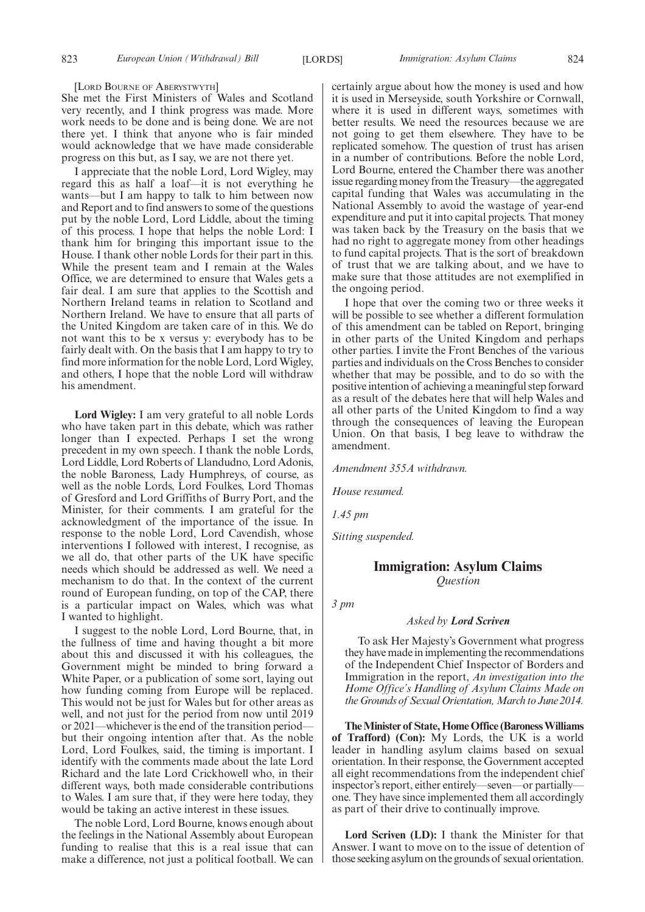[LORD BOURNE OF ABERYSTWYTH]

She met the First Ministers of Wales and Scotland very recently, and I think progress was made. More work needs to be done and is being done. We are not there yet. I think that anyone who is fair minded would acknowledge that we have made considerable progress on this but, as I say, we are not there yet.

I appreciate that the noble Lord, Lord Wigley, may regard this as half a loaf—it is not everything he wants—but I am happy to talk to him between now and Report and to find answers to some of the questions put by the noble Lord, Lord Liddle, about the timing of this process. I hope that helps the noble Lord: I thank him for bringing this important issue to the House. I thank other noble Lords for their part in this. While the present team and I remain at the Wales Office, we are determined to ensure that Wales gets a fair deal. I am sure that applies to the Scottish and Northern Ireland teams in relation to Scotland and Northern Ireland. We have to ensure that all parts of the United Kingdom are taken care of in this. We do not want this to be x versus y: everybody has to be fairly dealt with. On the basis that I am happy to try to find more information for the noble Lord, Lord Wigley, and others, I hope that the noble Lord will withdraw his amendment.

**Lord Wigley:** I am very grateful to all noble Lords who have taken part in this debate, which was rather longer than I expected. Perhaps I set the wrong precedent in my own speech. I thank the noble Lords, Lord Liddle, Lord Roberts of Llandudno, Lord Adonis, the noble Baroness, Lady Humphreys, of course, as well as the noble Lords, Lord Foulkes, Lord Thomas of Gresford and Lord Griffiths of Burry Port, and the Minister, for their comments. I am grateful for the acknowledgment of the importance of the issue. In response to the noble Lord, Lord Cavendish, whose interventions I followed with interest, I recognise, as we all do, that other parts of the UK have specific needs which should be addressed as well. We need a mechanism to do that. In the context of the current round of European funding, on top of the CAP, there is a particular impact on Wales, which was what I wanted to highlight.

I suggest to the noble Lord, Lord Bourne, that, in the fullness of time and having thought a bit more about this and discussed it with his colleagues, the Government might be minded to bring forward a White Paper, or a publication of some sort, laying out how funding coming from Europe will be replaced. This would not be just for Wales but for other areas as well, and not just for the period from now until 2019 or 2021—whichever is the end of the transition period but their ongoing intention after that. As the noble Lord, Lord Foulkes, said, the timing is important. I identify with the comments made about the late Lord Richard and the late Lord Crickhowell who, in their different ways, both made considerable contributions to Wales. I am sure that, if they were here today, they would be taking an active interest in these issues.

The noble Lord, Lord Bourne, knows enough about the feelings in the National Assembly about European funding to realise that this is a real issue that can make a difference, not just a political football. We can certainly argue about how the money is used and how it is used in Merseyside, south Yorkshire or Cornwall, where it is used in different ways, sometimes with better results. We need the resources because we are not going to get them elsewhere. They have to be replicated somehow. The question of trust has arisen in a number of contributions. Before the noble Lord, Lord Bourne, entered the Chamber there was another issue regarding money from the Treasury—the aggregated capital funding that Wales was accumulating in the National Assembly to avoid the wastage of year-end expenditure and put it into capital projects. That money was taken back by the Treasury on the basis that we had no right to aggregate money from other headings to fund capital projects. That is the sort of breakdown of trust that we are talking about, and we have to make sure that those attitudes are not exemplified in the ongoing period.

I hope that over the coming two or three weeks it will be possible to see whether a different formulation of this amendment can be tabled on Report, bringing in other parts of the United Kingdom and perhaps other parties. I invite the Front Benches of the various parties and individuals on the Cross Benches to consider whether that may be possible, and to do so with the positive intention of achieving a meaningful step forward as a result of the debates here that will help Wales and all other parts of the United Kingdom to find a way through the consequences of leaving the European Union. On that basis, I beg leave to withdraw the amendment.

*Amendment 355A withdrawn.*

*House resumed.*

*1.45 pm*

*Sitting suspended.*

## **Immigration: Asylum Claims** *Question*

*3 pm*

## *Asked by Lord Scriven*

To ask Her Majesty's Government what progress they have made in implementing the recommendations of the Independent Chief Inspector of Borders and Immigration in the report, *An investigation into the Home Office's Handling of Asylum Claims Made on the Grounds of Sexual Orientation, March to June 2014.*

**The Minister of State, Home Office (Baroness Williams of Trafford) (Con):** My Lords, the UK is a world leader in handling asylum claims based on sexual orientation. In their response, the Government accepted all eight recommendations from the independent chief inspector's report, either entirely—seven—or partially one. They have since implemented them all accordingly as part of their drive to continually improve.

**Lord Scriven (LD):** I thank the Minister for that Answer. I want to move on to the issue of detention of those seeking asylum on the grounds of sexual orientation.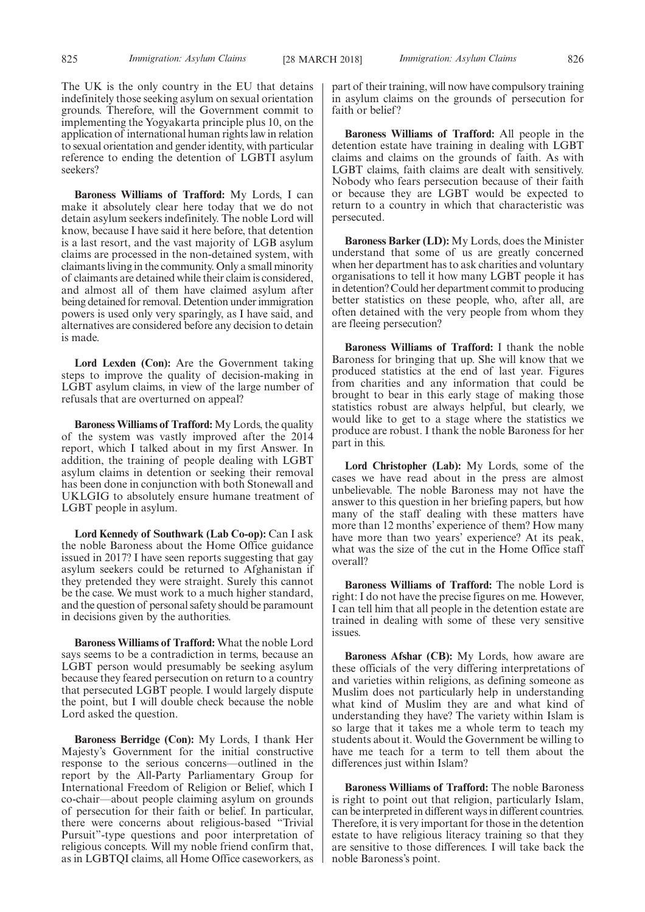The UK is the only country in the EU that detains indefinitely those seeking asylum on sexual orientation grounds. Therefore, will the Government commit to implementing the Yogyakarta principle plus 10, on the application of international human rights law in relation to sexual orientation and gender identity, with particular reference to ending the detention of LGBTI asylum seekers?

**Baroness Williams of Trafford:** My Lords, I can make it absolutely clear here today that we do not detain asylum seekers indefinitely. The noble Lord will know, because I have said it here before, that detention is a last resort, and the vast majority of LGB asylum claims are processed in the non-detained system, with claimants living in the community. Only a small minority of claimants are detained while their claim is considered, and almost all of them have claimed asylum after being detained for removal. Detention under immigration powers is used only very sparingly, as I have said, and alternatives are considered before any decision to detain is made.

**Lord Lexden (Con):** Are the Government taking steps to improve the quality of decision-making in LGBT asylum claims, in view of the large number of refusals that are overturned on appeal?

**Baroness Williams of Trafford:** My Lords, the quality of the system was vastly improved after the 2014 report, which I talked about in my first Answer. In addition, the training of people dealing with LGBT asylum claims in detention or seeking their removal has been done in conjunction with both Stonewall and UKLGIG to absolutely ensure humane treatment of LGBT people in asylum.

**Lord Kennedy of Southwark (Lab Co-op):** Can I ask the noble Baroness about the Home Office guidance issued in 2017? I have seen reports suggesting that gay asylum seekers could be returned to Afghanistan if they pretended they were straight. Surely this cannot be the case. We must work to a much higher standard, and the question of personal safety should be paramount in decisions given by the authorities.

**Baroness Williams of Trafford:** What the noble Lord says seems to be a contradiction in terms, because an LGBT person would presumably be seeking asylum because they feared persecution on return to a country that persecuted LGBT people. I would largely dispute the point, but I will double check because the noble Lord asked the question.

**Baroness Berridge (Con):** My Lords, I thank Her Majesty's Government for the initial constructive response to the serious concerns—outlined in the report by the All-Party Parliamentary Group for International Freedom of Religion or Belief, which I co-chair—about people claiming asylum on grounds of persecution for their faith or belief. In particular, there were concerns about religious-based "Trivial Pursuit"-type questions and poor interpretation of religious concepts. Will my noble friend confirm that, as in LGBTQI claims, all Home Office caseworkers, as part of their training, will now have compulsory training in asylum claims on the grounds of persecution for faith or belief?

**Baroness Williams of Trafford:** All people in the detention estate have training in dealing with LGBT claims and claims on the grounds of faith. As with LGBT claims, faith claims are dealt with sensitively. Nobody who fears persecution because of their faith or because they are LGBT would be expected to return to a country in which that characteristic was persecuted.

**Baroness Barker (LD):** My Lords, does the Minister understand that some of us are greatly concerned when her department has to ask charities and voluntary organisations to tell it how many LGBT people it has in detention? Could her department commit to producing better statistics on these people, who, after all, are often detained with the very people from whom they are fleeing persecution?

**Baroness Williams of Trafford:** I thank the noble Baroness for bringing that up. She will know that we produced statistics at the end of last year. Figures from charities and any information that could be brought to bear in this early stage of making those statistics robust are always helpful, but clearly, we would like to get to a stage where the statistics we produce are robust. I thank the noble Baroness for her part in this.

**Lord Christopher (Lab):** My Lords, some of the cases we have read about in the press are almost unbelievable. The noble Baroness may not have the answer to this question in her briefing papers, but how many of the staff dealing with these matters have more than 12 months' experience of them? How many have more than two years' experience? At its peak, what was the size of the cut in the Home Office staff overall?

**Baroness Williams of Trafford:** The noble Lord is right: I do not have the precise figures on me. However, I can tell him that all people in the detention estate are trained in dealing with some of these very sensitive issues.

**Baroness Afshar (CB):** My Lords, how aware are these officials of the very differing interpretations of and varieties within religions, as defining someone as Muslim does not particularly help in understanding what kind of Muslim they are and what kind of understanding they have? The variety within Islam is so large that it takes me a whole term to teach my students about it. Would the Government be willing to have me teach for a term to tell them about the differences just within Islam?

**Baroness Williams of Trafford:** The noble Baroness is right to point out that religion, particularly Islam, can be interpreted in different ways in different countries. Therefore, it is very important for those in the detention estate to have religious literacy training so that they are sensitive to those differences. I will take back the noble Baroness's point.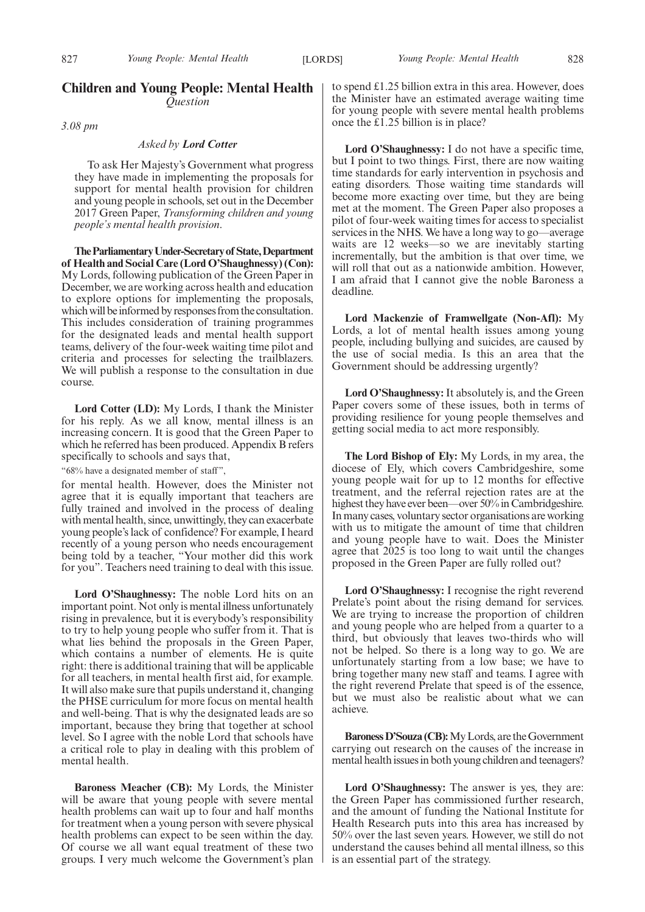## **Children and Young People: Mental Health** *Question*

*3.08 pm*

## *Asked by Lord Cotter*

To ask Her Majesty's Government what progress they have made in implementing the proposals for support for mental health provision for children and young people in schools, set out in the December 2017 Green Paper, *Transforming children and young people's mental health provision*.

**TheParliamentaryUnder-Secretaryof State,Department of Health and Social Care (Lord O'Shaughnessy) (Con):** My Lords, following publication of the Green Paper in December, we are working across health and education to explore options for implementing the proposals, which will be informed by responses from the consultation. This includes consideration of training programmes for the designated leads and mental health support teams, delivery of the four-week waiting time pilot and criteria and processes for selecting the trailblazers. We will publish a response to the consultation in due course.

**Lord Cotter (LD):** My Lords, I thank the Minister for his reply. As we all know, mental illness is an increasing concern. It is good that the Green Paper to which he referred has been produced. Appendix B refers specifically to schools and says that,

"68% have a designated member of staff",

for mental health. However, does the Minister not agree that it is equally important that teachers are fully trained and involved in the process of dealing with mental health, since, unwittingly, they can exacerbate young people's lack of confidence? For example, I heard recently of a young person who needs encouragement being told by a teacher, "Your mother did this work for you". Teachers need training to deal with this issue.

**Lord O'Shaughnessy:** The noble Lord hits on an important point. Not only is mental illness unfortunately rising in prevalence, but it is everybody's responsibility to try to help young people who suffer from it. That is what lies behind the proposals in the Green Paper, which contains a number of elements. He is quite right: there is additional training that will be applicable for all teachers, in mental health first aid, for example. It will also make sure that pupils understand it, changing the PHSE curriculum for more focus on mental health and well-being. That is why the designated leads are so important, because they bring that together at school level. So I agree with the noble Lord that schools have a critical role to play in dealing with this problem of mental health.

**Baroness Meacher (CB):** My Lords, the Minister will be aware that young people with severe mental health problems can wait up to four and half months for treatment when a young person with severe physical health problems can expect to be seen within the day. Of course we all want equal treatment of these two groups. I very much welcome the Government's plan to spend £1.25 billion extra in this area. However, does the Minister have an estimated average waiting time for young people with severe mental health problems once the £1.25 billion is in place?

**Lord O'Shaughnessy:** I do not have a specific time, but I point to two things. First, there are now waiting time standards for early intervention in psychosis and eating disorders. Those waiting time standards will become more exacting over time, but they are being met at the moment. The Green Paper also proposes a pilot of four-week waiting times for access to specialist services in the NHS. We have a long way to go—average waits are 12 weeks—so we are inevitably starting incrementally, but the ambition is that over time, we will roll that out as a nationwide ambition. However, I am afraid that I cannot give the noble Baroness a deadline.

**Lord Mackenzie of Framwellgate (Non-Afl):** My Lords, a lot of mental health issues among young people, including bullying and suicides, are caused by the use of social media. Is this an area that the Government should be addressing urgently?

**Lord O'Shaughnessy:** It absolutely is, and the Green Paper covers some of these issues, both in terms of providing resilience for young people themselves and getting social media to act more responsibly.

**The Lord Bishop of Ely:** My Lords, in my area, the diocese of Ely, which covers Cambridgeshire, some young people wait for up to 12 months for effective treatment, and the referral rejection rates are at the highest they have ever been—over 50% in Cambridgeshire. In many cases, voluntary sector organisations are working with us to mitigate the amount of time that children and young people have to wait. Does the Minister agree that 2025 is too long to wait until the changes proposed in the Green Paper are fully rolled out?

**Lord O'Shaughnessy:** I recognise the right reverend Prelate's point about the rising demand for services. We are trying to increase the proportion of children and young people who are helped from a quarter to a third, but obviously that leaves two-thirds who will not be helped. So there is a long way to go. We are unfortunately starting from a low base; we have to bring together many new staff and teams. I agree with the right reverend Prelate that speed is of the essence, but we must also be realistic about what we can achieve.

**Baroness D'Souza (CB):**My Lords, are the Government carrying out research on the causes of the increase in mental health issues in both young children and teenagers?

**Lord O'Shaughnessy:** The answer is yes, they are: the Green Paper has commissioned further research, and the amount of funding the National Institute for Health Research puts into this area has increased by 50% over the last seven years. However, we still do not understand the causes behind all mental illness, so this is an essential part of the strategy.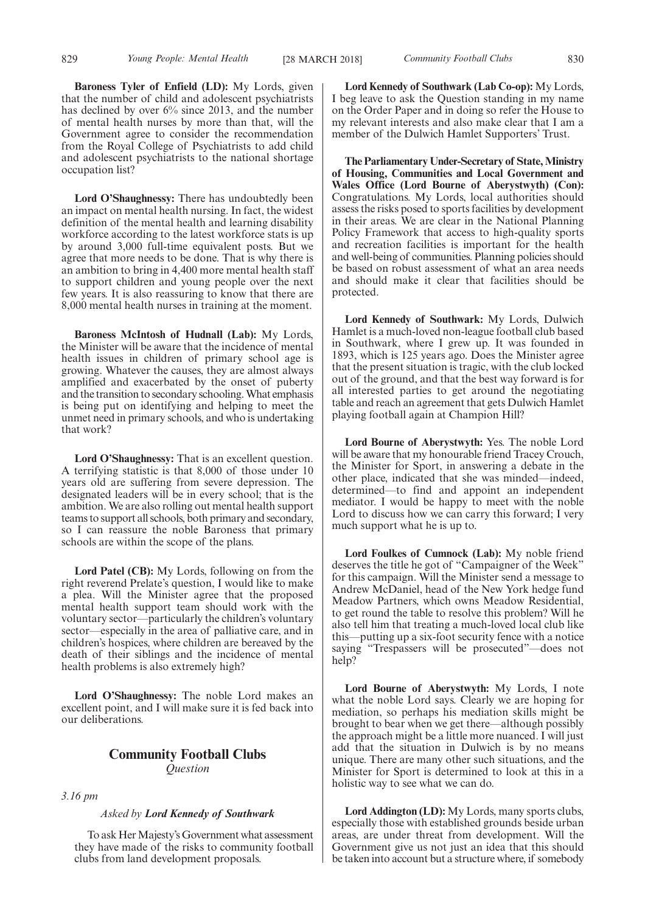**Baroness Tyler of Enfield (LD):** My Lords, given that the number of child and adolescent psychiatrists has declined by over 6% since 2013, and the number of mental health nurses by more than that, will the Government agree to consider the recommendation from the Royal College of Psychiatrists to add child and adolescent psychiatrists to the national shortage occupation list?

**Lord O'Shaughnessy:** There has undoubtedly been an impact on mental health nursing. In fact, the widest definition of the mental health and learning disability workforce according to the latest workforce stats is up by around 3,000 full-time equivalent posts. But we agree that more needs to be done. That is why there is an ambition to bring in 4,400 more mental health staff to support children and young people over the next few years. It is also reassuring to know that there are 8,000 mental health nurses in training at the moment.

**Baroness McIntosh of Hudnall (Lab):** My Lords, the Minister will be aware that the incidence of mental health issues in children of primary school age is growing. Whatever the causes, they are almost always amplified and exacerbated by the onset of puberty and the transition to secondary schooling. What emphasis is being put on identifying and helping to meet the unmet need in primary schools, and who is undertaking that work?

**Lord O'Shaughnessy:** That is an excellent question. A terrifying statistic is that 8,000 of those under 10 years old are suffering from severe depression. The designated leaders will be in every school; that is the ambition. We are also rolling out mental health support teams to support all schools, both primary and secondary, so I can reassure the noble Baroness that primary schools are within the scope of the plans.

**Lord Patel (CB):** My Lords, following on from the right reverend Prelate's question, I would like to make a plea. Will the Minister agree that the proposed mental health support team should work with the voluntary sector—particularly the children's voluntary sector—especially in the area of palliative care, and in children's hospices, where children are bereaved by the death of their siblings and the incidence of mental health problems is also extremely high?

**Lord O'Shaughnessy:** The noble Lord makes an excellent point, and I will make sure it is fed back into our deliberations.

## **Community Football Clubs** *Question*

*3.16 pm*

#### *Asked by Lord Kennedy of Southwark*

To ask Her Majesty's Government what assessment they have made of the risks to community football clubs from land development proposals.

**Lord Kennedy of Southwark (Lab Co-op):** My Lords, I beg leave to ask the Question standing in my name on the Order Paper and in doing so refer the House to my relevant interests and also make clear that I am a member of the Dulwich Hamlet Supporters' Trust.

**The Parliamentary Under-Secretary of State, Ministry of Housing, Communities and Local Government and Wales Office (Lord Bourne of Aberystwyth) (Con):** Congratulations. My Lords, local authorities should assess the risks posed to sports facilities by development in their areas. We are clear in the National Planning Policy Framework that access to high-quality sports and recreation facilities is important for the health and well-being of communities. Planning policies should be based on robust assessment of what an area needs and should make it clear that facilities should be protected.

**Lord Kennedy of Southwark:** My Lords, Dulwich Hamlet is a much-loved non-league football club based in Southwark, where I grew up. It was founded in 1893, which is 125 years ago. Does the Minister agree that the present situation is tragic, with the club locked out of the ground, and that the best way forward is for all interested parties to get around the negotiating table and reach an agreement that gets Dulwich Hamlet playing football again at Champion Hill?

**Lord Bourne of Aberystwyth:** Yes. The noble Lord will be aware that my honourable friend Tracey Crouch, the Minister for Sport, in answering a debate in the other place, indicated that she was minded—indeed, determined—to find and appoint an independent mediator. I would be happy to meet with the noble Lord to discuss how we can carry this forward; I very much support what he is up to.

**Lord Foulkes of Cumnock (Lab):** My noble friend deserves the title he got of "Campaigner of the Week" for this campaign. Will the Minister send a message to Andrew McDaniel, head of the New York hedge fund Meadow Partners, which owns Meadow Residential, to get round the table to resolve this problem? Will he also tell him that treating a much-loved local club like this—putting up a six-foot security fence with a notice saying "Trespassers will be prosecuted"—does not help?

**Lord Bourne of Aberystwyth:** My Lords, I note what the noble Lord says. Clearly we are hoping for mediation, so perhaps his mediation skills might be brought to bear when we get there—although possibly the approach might be a little more nuanced. I will just add that the situation in Dulwich is by no means unique. There are many other such situations, and the Minister for Sport is determined to look at this in a holistic way to see what we can do.

**Lord Addington (LD):** My Lords, many sports clubs, especially those with established grounds beside urban areas, are under threat from development. Will the Government give us not just an idea that this should be taken into account but a structure where, if somebody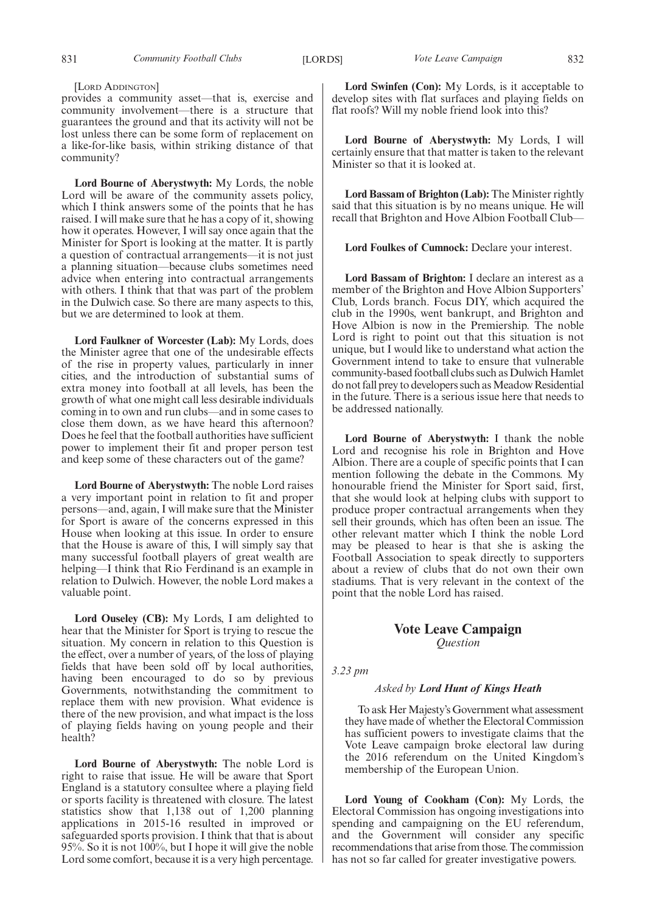#### [LORD ADDINGTON]

provides a community asset—that is, exercise and community involvement—there is a structure that guarantees the ground and that its activity will not be lost unless there can be some form of replacement on a like-for-like basis, within striking distance of that community?

**Lord Bourne of Aberystwyth:** My Lords, the noble Lord will be aware of the community assets policy, which I think answers some of the points that he has raised. I will make sure that he has a copy of it, showing how it operates. However, I will say once again that the Minister for Sport is looking at the matter. It is partly a question of contractual arrangements—it is not just a planning situation—because clubs sometimes need advice when entering into contractual arrangements with others. I think that that was part of the problem in the Dulwich case. So there are many aspects to this, but we are determined to look at them.

**Lord Faulkner of Worcester (Lab):** My Lords, does the Minister agree that one of the undesirable effects of the rise in property values, particularly in inner cities, and the introduction of substantial sums of extra money into football at all levels, has been the growth of what one might call less desirable individuals coming in to own and run clubs—and in some cases to close them down, as we have heard this afternoon? Does he feel that the football authorities have sufficient power to implement their fit and proper person test and keep some of these characters out of the game?

**Lord Bourne of Aberystwyth:** The noble Lord raises a very important point in relation to fit and proper persons—and, again, I will make sure that the Minister for Sport is aware of the concerns expressed in this House when looking at this issue. In order to ensure that the House is aware of this, I will simply say that many successful football players of great wealth are helping—I think that Rio Ferdinand is an example in relation to Dulwich. However, the noble Lord makes a valuable point.

**Lord Ouseley (CB):** My Lords, I am delighted to hear that the Minister for Sport is trying to rescue the situation. My concern in relation to this Question is the effect, over a number of years, of the loss of playing fields that have been sold off by local authorities, having been encouraged to do so by previous Governments, notwithstanding the commitment to replace them with new provision. What evidence is there of the new provision, and what impact is the loss of playing fields having on young people and their health?

**Lord Bourne of Aberystwyth:** The noble Lord is right to raise that issue. He will be aware that Sport England is a statutory consultee where a playing field or sports facility is threatened with closure. The latest statistics show that 1,138 out of 1,200 planning applications in 2015-16 resulted in improved or safeguarded sports provision. I think that that is about 95%. So it is not 100%, but I hope it will give the noble Lord some comfort, because it is a very high percentage.

**Lord Swinfen (Con):** My Lords, is it acceptable to develop sites with flat surfaces and playing fields on flat roofs? Will my noble friend look into this?

**Lord Bourne of Aberystwyth:** My Lords, I will certainly ensure that that matter is taken to the relevant Minister so that it is looked at.

**Lord Bassam of Brighton (Lab):** The Minister rightly said that this situation is by no means unique. He will recall that Brighton and Hove Albion Football Club—

**Lord Foulkes of Cumnock:** Declare your interest.

**Lord Bassam of Brighton:** I declare an interest as a member of the Brighton and Hove Albion Supporters' Club, Lords branch. Focus DIY, which acquired the club in the 1990s, went bankrupt, and Brighton and Hove Albion is now in the Premiership. The noble Lord is right to point out that this situation is not unique, but I would like to understand what action the Government intend to take to ensure that vulnerable community-based football clubs such as Dulwich Hamlet do not fall prey to developers such as Meadow Residential in the future. There is a serious issue here that needs to be addressed nationally.

**Lord Bourne of Aberystwyth:** I thank the noble Lord and recognise his role in Brighton and Hove Albion. There are a couple of specific points that I can mention following the debate in the Commons. My honourable friend the Minister for Sport said, first, that she would look at helping clubs with support to produce proper contractual arrangements when they sell their grounds, which has often been an issue. The other relevant matter which I think the noble Lord may be pleased to hear is that she is asking the Football Association to speak directly to supporters about a review of clubs that do not own their own stadiums. That is very relevant in the context of the point that the noble Lord has raised.

## **Vote Leave Campaign** *Question*

*3.23 pm*

#### *Asked by Lord Hunt of Kings Heath*

To ask Her Majesty's Government what assessment they have made of whether the Electoral Commission has sufficient powers to investigate claims that the Vote Leave campaign broke electoral law during the 2016 referendum on the United Kingdom's membership of the European Union.

**Lord Young of Cookham (Con):** My Lords, the Electoral Commission has ongoing investigations into spending and campaigning on the EU referendum, and the Government will consider any specific recommendations that arise from those. The commission has not so far called for greater investigative powers.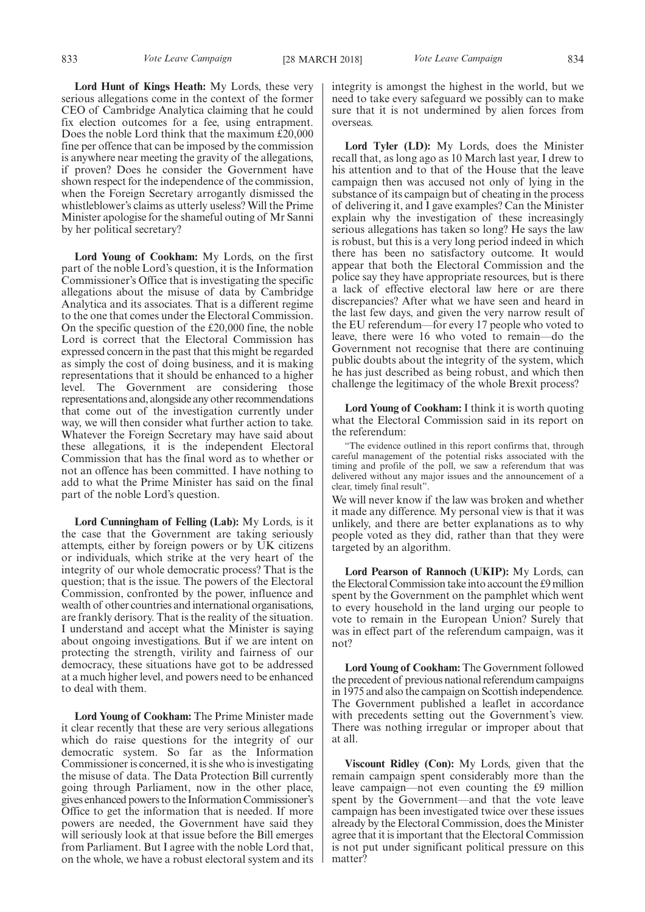**Lord Hunt of Kings Heath:** My Lords, these very serious allegations come in the context of the former CEO of Cambridge Analytica claiming that he could fix election outcomes for a fee, using entrapment. Does the noble Lord think that the maximum £20,000 fine per offence that can be imposed by the commission is anywhere near meeting the gravity of the allegations, if proven? Does he consider the Government have shown respect for the independence of the commission, when the Foreign Secretary arrogantly dismissed the whistleblower's claims as utterly useless? Will the Prime Minister apologise for the shameful outing of Mr Sanni by her political secretary?

**Lord Young of Cookham:** My Lords, on the first part of the noble Lord's question, it is the Information Commissioner's Office that is investigating the specific allegations about the misuse of data by Cambridge Analytica and its associates. That is a different regime to the one that comes under the Electoral Commission. On the specific question of the £20,000 fine, the noble Lord is correct that the Electoral Commission has expressed concern in the past that this might be regarded as simply the cost of doing business, and it is making representations that it should be enhanced to a higher level. The Government are considering those representations and, alongside any other recommendations that come out of the investigation currently under way, we will then consider what further action to take. Whatever the Foreign Secretary may have said about these allegations, it is the independent Electoral Commission that has the final word as to whether or not an offence has been committed. I have nothing to add to what the Prime Minister has said on the final part of the noble Lord's question.

**Lord Cunningham of Felling (Lab):** My Lords, is it the case that the Government are taking seriously attempts, either by foreign powers or by UK citizens or individuals, which strike at the very heart of the integrity of our whole democratic process? That is the question; that is the issue. The powers of the Electoral Commission, confronted by the power, influence and wealth of other countries and international organisations, are frankly derisory. That is the reality of the situation. I understand and accept what the Minister is saying about ongoing investigations. But if we are intent on protecting the strength, virility and fairness of our democracy, these situations have got to be addressed at a much higher level, and powers need to be enhanced to deal with them.

**Lord Young of Cookham:** The Prime Minister made it clear recently that these are very serious allegations which do raise questions for the integrity of our democratic system. So far as the Information Commissioner is concerned, it is she who is investigating the misuse of data. The Data Protection Bill currently going through Parliament, now in the other place, gives enhanced powers to the Information Commissioner's Office to get the information that is needed. If more powers are needed, the Government have said they will seriously look at that issue before the Bill emerges from Parliament. But I agree with the noble Lord that, on the whole, we have a robust electoral system and its integrity is amongst the highest in the world, but we need to take every safeguard we possibly can to make sure that it is not undermined by alien forces from overseas.

**Lord Tyler (LD):** My Lords, does the Minister recall that, as long ago as 10 March last year, I drew to his attention and to that of the House that the leave campaign then was accused not only of lying in the substance of its campaign but of cheating in the process of delivering it, and I gave examples? Can the Minister explain why the investigation of these increasingly serious allegations has taken so long? He says the law is robust, but this is a very long period indeed in which there has been no satisfactory outcome. It would appear that both the Electoral Commission and the police say they have appropriate resources, but is there a lack of effective electoral law here or are there discrepancies? After what we have seen and heard in the last few days, and given the very narrow result of the EU referendum—for every 17 people who voted to leave, there were 16 who voted to remain—do the Government not recognise that there are continuing public doubts about the integrity of the system, which he has just described as being robust, and which then challenge the legitimacy of the whole Brexit process?

**Lord Young of Cookham:** I think it is worth quoting what the Electoral Commission said in its report on the referendum:

"The evidence outlined in this report confirms that, through careful management of the potential risks associated with the timing and profile of the poll, we saw a referendum that was delivered without any major issues and the announcement of a clear, timely final result".

We will never know if the law was broken and whether it made any difference. My personal view is that it was unlikely, and there are better explanations as to why people voted as they did, rather than that they were targeted by an algorithm.

**Lord Pearson of Rannoch (UKIP):** My Lords, can the Electoral Commission take into account the £9 million spent by the Government on the pamphlet which went to every household in the land urging our people to vote to remain in the European Union? Surely that was in effect part of the referendum campaign, was it not?

**Lord Young of Cookham:** The Government followed the precedent of previous national referendum campaigns in 1975 and also the campaign on Scottish independence. The Government published a leaflet in accordance with precedents setting out the Government's view. There was nothing irregular or improper about that at all.

**Viscount Ridley (Con):** My Lords, given that the remain campaign spent considerably more than the leave campaign—not even counting the £9 million spent by the Government—and that the vote leave campaign has been investigated twice over these issues already by the Electoral Commission, does the Minister agree that it is important that the Electoral Commission is not put under significant political pressure on this matter?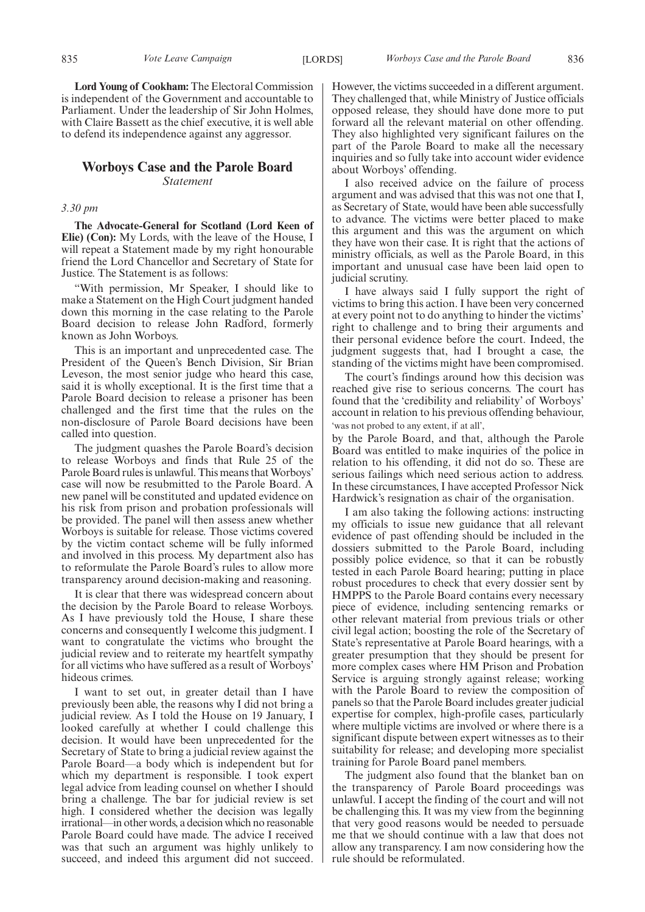**Lord Young of Cookham:** The Electoral Commission is independent of the Government and accountable to Parliament. Under the leadership of Sir John Holmes, with Claire Bassett as the chief executive, it is well able to defend its independence against any aggressor.

## **Worboys Case and the Parole Board** *Statement*

## *3.30 pm*

**The Advocate-General for Scotland (Lord Keen of Elie) (Con):** My Lords, with the leave of the House, I will repeat a Statement made by my right honourable friend the Lord Chancellor and Secretary of State for Justice. The Statement is as follows:

"With permission, Mr Speaker, I should like to make a Statement on the High Court judgment handed down this morning in the case relating to the Parole Board decision to release John Radford, formerly known as John Worboys.

This is an important and unprecedented case. The President of the Queen's Bench Division, Sir Brian Leveson, the most senior judge who heard this case, said it is wholly exceptional. It is the first time that a Parole Board decision to release a prisoner has been challenged and the first time that the rules on the non-disclosure of Parole Board decisions have been called into question.

The judgment quashes the Parole Board's decision to release Worboys and finds that Rule 25 of the Parole Board rules is unlawful. This means that Worboys' case will now be resubmitted to the Parole Board. A new panel will be constituted and updated evidence on his risk from prison and probation professionals will be provided. The panel will then assess anew whether Worboys is suitable for release. Those victims covered by the victim contact scheme will be fully informed and involved in this process. My department also has to reformulate the Parole Board's rules to allow more transparency around decision-making and reasoning.

It is clear that there was widespread concern about the decision by the Parole Board to release Worboys. As I have previously told the House, I share these concerns and consequently I welcome this judgment. I want to congratulate the victims who brought the judicial review and to reiterate my heartfelt sympathy for all victims who have suffered as a result of Worboys' hideous crimes.

I want to set out, in greater detail than I have previously been able, the reasons why I did not bring a judicial review. As I told the House on 19 January, I looked carefully at whether I could challenge this decision. It would have been unprecedented for the Secretary of State to bring a judicial review against the Parole Board—a body which is independent but for which my department is responsible. I took expert legal advice from leading counsel on whether I should bring a challenge. The bar for judicial review is set high. I considered whether the decision was legally irrational—in other words, a decision which no reasonable Parole Board could have made. The advice I received was that such an argument was highly unlikely to succeed, and indeed this argument did not succeed.

However, the victims succeeded in a different argument. They challenged that, while Ministry of Justice officials opposed release, they should have done more to put forward all the relevant material on other offending. They also highlighted very significant failures on the part of the Parole Board to make all the necessary inquiries and so fully take into account wider evidence about Worboys' offending.

I also received advice on the failure of process argument and was advised that this was not one that I, as Secretary of State, would have been able successfully to advance. The victims were better placed to make this argument and this was the argument on which they have won their case. It is right that the actions of ministry officials, as well as the Parole Board, in this important and unusual case have been laid open to judicial scrutiny.

I have always said I fully support the right of victims to bring this action. I have been very concerned at every point not to do anything to hinder the victims' right to challenge and to bring their arguments and their personal evidence before the court. Indeed, the judgment suggests that, had I brought a case, the standing of the victims might have been compromised.

The court's findings around how this decision was reached give rise to serious concerns. The court has found that the 'credibility and reliability' of Worboys' account in relation to his previous offending behaviour, 'was not probed to any extent, if at all',

by the Parole Board, and that, although the Parole Board was entitled to make inquiries of the police in relation to his offending, it did not do so. These are serious failings which need serious action to address. In these circumstances, I have accepted Professor Nick Hardwick's resignation as chair of the organisation.

I am also taking the following actions: instructing my officials to issue new guidance that all relevant evidence of past offending should be included in the dossiers submitted to the Parole Board, including possibly police evidence, so that it can be robustly tested in each Parole Board hearing; putting in place robust procedures to check that every dossier sent by HMPPS to the Parole Board contains every necessary piece of evidence, including sentencing remarks or other relevant material from previous trials or other civil legal action; boosting the role of the Secretary of State's representative at Parole Board hearings, with a greater presumption that they should be present for more complex cases where HM Prison and Probation Service is arguing strongly against release; working with the Parole Board to review the composition of panels so that the Parole Board includes greater judicial expertise for complex, high-profile cases, particularly where multiple victims are involved or where there is a significant dispute between expert witnesses as to their suitability for release; and developing more specialist training for Parole Board panel members.

The judgment also found that the blanket ban on the transparency of Parole Board proceedings was unlawful. I accept the finding of the court and will not be challenging this. It was my view from the beginning that very good reasons would be needed to persuade me that we should continue with a law that does not allow any transparency. I am now considering how the rule should be reformulated.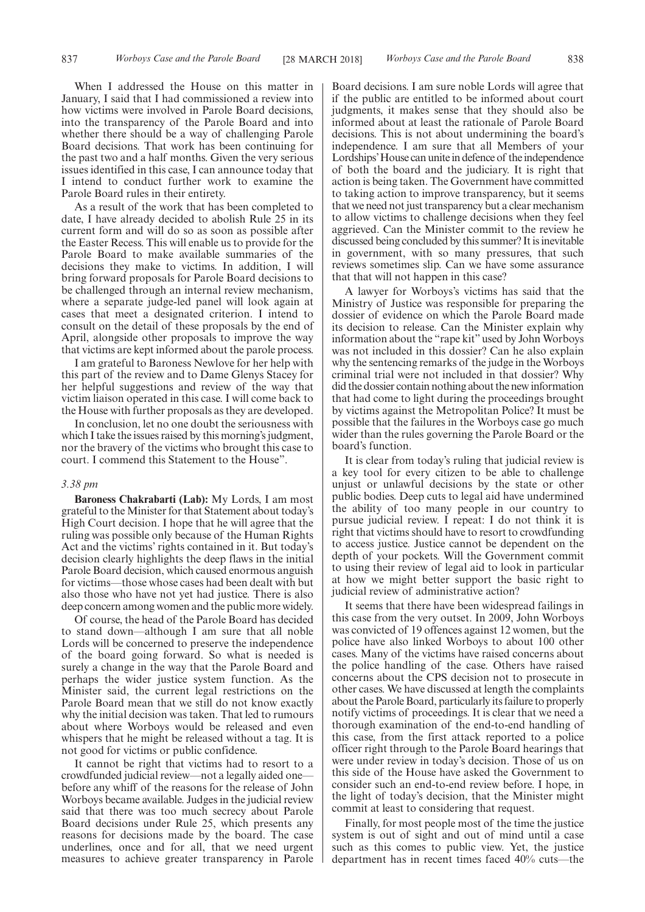When I addressed the House on this matter in January, I said that I had commissioned a review into how victims were involved in Parole Board decisions, into the transparency of the Parole Board and into whether there should be a way of challenging Parole Board decisions. That work has been continuing for the past two and a half months. Given the very serious issues identified in this case, I can announce today that I intend to conduct further work to examine the Parole Board rules in their entirety.

As a result of the work that has been completed to date, I have already decided to abolish Rule 25 in its current form and will do so as soon as possible after the Easter Recess. This will enable us to provide for the Parole Board to make available summaries of the decisions they make to victims. In addition, I will bring forward proposals for Parole Board decisions to be challenged through an internal review mechanism, where a separate judge-led panel will look again at cases that meet a designated criterion. I intend to consult on the detail of these proposals by the end of April, alongside other proposals to improve the way that victims are kept informed about the parole process.

I am grateful to Baroness Newlove for her help with this part of the review and to Dame Glenys Stacey for her helpful suggestions and review of the way that victim liaison operated in this case. I will come back to the House with further proposals as they are developed.

In conclusion, let no one doubt the seriousness with which I take the issues raised by this morning's judgment, nor the bravery of the victims who brought this case to court. I commend this Statement to the House".

#### *3.38 pm*

**Baroness Chakrabarti (Lab):** My Lords, I am most grateful to the Minister for that Statement about today's High Court decision. I hope that he will agree that the ruling was possible only because of the Human Rights Act and the victims' rights contained in it. But today's decision clearly highlights the deep flaws in the initial Parole Board decision, which caused enormous anguish for victims—those whose cases had been dealt with but also those who have not yet had justice. There is also deep concern among women and the public more widely.

Of course, the head of the Parole Board has decided to stand down—although I am sure that all noble Lords will be concerned to preserve the independence of the board going forward. So what is needed is surely a change in the way that the Parole Board and perhaps the wider justice system function. As the Minister said, the current legal restrictions on the Parole Board mean that we still do not know exactly why the initial decision was taken. That led to rumours about where Worboys would be released and even whispers that he might be released without a tag. It is not good for victims or public confidence.

It cannot be right that victims had to resort to a crowdfunded judicial review—not a legally aided one before any whiff of the reasons for the release of John Worboys became available. Judges in the judicial review said that there was too much secrecy about Parole Board decisions under Rule 25, which presents any reasons for decisions made by the board. The case underlines, once and for all, that we need urgent measures to achieve greater transparency in Parole

Board decisions. I am sure noble Lords will agree that if the public are entitled to be informed about court judgments, it makes sense that they should also be informed about at least the rationale of Parole Board decisions. This is not about undermining the board's independence. I am sure that all Members of your Lordships'House can unite in defence of the independence of both the board and the judiciary. It is right that action is being taken. The Government have committed to taking action to improve transparency, but it seems that we need not just transparency but a clear mechanism to allow victims to challenge decisions when they feel aggrieved. Can the Minister commit to the review he discussed being concluded by this summer? It is inevitable in government, with so many pressures, that such reviews sometimes slip. Can we have some assurance that that will not happen in this case?

A lawyer for Worboys's victims has said that the Ministry of Justice was responsible for preparing the dossier of evidence on which the Parole Board made its decision to release. Can the Minister explain why information about the "rape kit" used by John Worboys was not included in this dossier? Can he also explain why the sentencing remarks of the judge in the Worboys criminal trial were not included in that dossier? Why did the dossier contain nothing about the new information that had come to light during the proceedings brought by victims against the Metropolitan Police? It must be possible that the failures in the Worboys case go much wider than the rules governing the Parole Board or the board's function.

It is clear from today's ruling that judicial review is a key tool for every citizen to be able to challenge unjust or unlawful decisions by the state or other public bodies. Deep cuts to legal aid have undermined the ability of too many people in our country to pursue judicial review. I repeat: I do not think it is right that victims should have to resort to crowdfunding to access justice. Justice cannot be dependent on the depth of your pockets. Will the Government commit to using their review of legal aid to look in particular at how we might better support the basic right to judicial review of administrative action?

It seems that there have been widespread failings in this case from the very outset. In 2009, John Worboys was convicted of 19 offences against 12 women, but the police have also linked Worboys to about 100 other cases. Many of the victims have raised concerns about the police handling of the case. Others have raised concerns about the CPS decision not to prosecute in other cases. We have discussed at length the complaints about the Parole Board, particularly its failure to properly notify victims of proceedings. It is clear that we need a thorough examination of the end-to-end handling of this case, from the first attack reported to a police officer right through to the Parole Board hearings that were under review in today's decision. Those of us on this side of the House have asked the Government to consider such an end-to-end review before. I hope, in the light of today's decision, that the Minister might commit at least to considering that request.

Finally, for most people most of the time the justice system is out of sight and out of mind until a case such as this comes to public view. Yet, the justice department has in recent times faced 40% cuts—the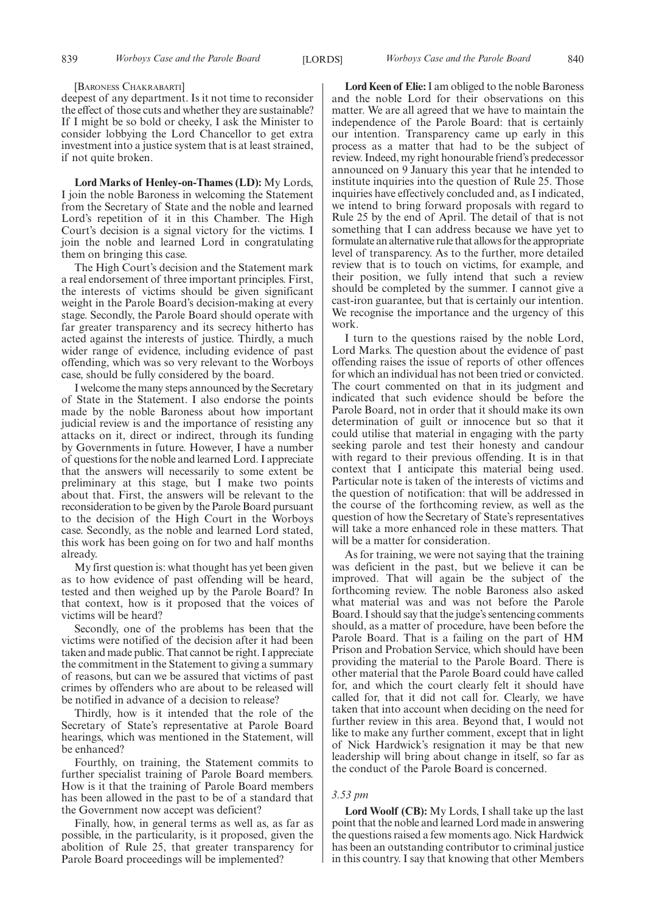#### [BARONESS CHAKRABARTI]

deepest of any department. Is it not time to reconsider the effect of those cuts and whether they are sustainable? If I might be so bold or cheeky, I ask the Minister to consider lobbying the Lord Chancellor to get extra investment into a justice system that is at least strained, if not quite broken.

**Lord Marks of Henley-on-Thames (LD):** My Lords, I join the noble Baroness in welcoming the Statement from the Secretary of State and the noble and learned Lord's repetition of it in this Chamber. The High Court's decision is a signal victory for the victims. I join the noble and learned Lord in congratulating them on bringing this case.

The High Court's decision and the Statement mark a real endorsement of three important principles. First, the interests of victims should be given significant weight in the Parole Board's decision-making at every stage. Secondly, the Parole Board should operate with far greater transparency and its secrecy hitherto has acted against the interests of justice. Thirdly, a much wider range of evidence, including evidence of past offending, which was so very relevant to the Worboys case, should be fully considered by the board.

I welcome the many steps announced by the Secretary of State in the Statement. I also endorse the points made by the noble Baroness about how important judicial review is and the importance of resisting any attacks on it, direct or indirect, through its funding by Governments in future. However, I have a number of questions for the noble and learned Lord. I appreciate that the answers will necessarily to some extent be preliminary at this stage, but I make two points about that. First, the answers will be relevant to the reconsideration to be given by the Parole Board pursuant to the decision of the High Court in the Worboys case. Secondly, as the noble and learned Lord stated, this work has been going on for two and half months already.

My first question is: what thought has yet been given as to how evidence of past offending will be heard, tested and then weighed up by the Parole Board? In that context, how is it proposed that the voices of victims will be heard?

Secondly, one of the problems has been that the victims were notified of the decision after it had been taken and made public. That cannot be right. I appreciate the commitment in the Statement to giving a summary of reasons, but can we be assured that victims of past crimes by offenders who are about to be released will be notified in advance of a decision to release?

Thirdly, how is it intended that the role of the Secretary of State's representative at Parole Board hearings, which was mentioned in the Statement, will be enhanced?

Fourthly, on training, the Statement commits to further specialist training of Parole Board members. How is it that the training of Parole Board members has been allowed in the past to be of a standard that the Government now accept was deficient?

Finally, how, in general terms as well as, as far as possible, in the particularity, is it proposed, given the abolition of Rule 25, that greater transparency for Parole Board proceedings will be implemented?

**Lord Keen of Elie:**I am obliged to the noble Baroness and the noble Lord for their observations on this matter. We are all agreed that we have to maintain the independence of the Parole Board: that is certainly our intention. Transparency came up early in this process as a matter that had to be the subject of review. Indeed, my right honourable friend's predecessor announced on 9 January this year that he intended to institute inquiries into the question of Rule 25. Those inquiries have effectively concluded and, as I indicated, we intend to bring forward proposals with regard to Rule 25 by the end of April. The detail of that is not something that I can address because we have yet to formulate an alternative rule that allows for the appropriate level of transparency. As to the further, more detailed review that is to touch on victims, for example, and their position, we fully intend that such a review should be completed by the summer. I cannot give a cast-iron guarantee, but that is certainly our intention. We recognise the importance and the urgency of this work.

I turn to the questions raised by the noble Lord, Lord Marks. The question about the evidence of past offending raises the issue of reports of other offences for which an individual has not been tried or convicted. The court commented on that in its judgment and indicated that such evidence should be before the Parole Board, not in order that it should make its own determination of guilt or innocence but so that it could utilise that material in engaging with the party seeking parole and test their honesty and candour with regard to their previous offending. It is in that context that I anticipate this material being used. Particular note is taken of the interests of victims and the question of notification: that will be addressed in the course of the forthcoming review, as well as the question of how the Secretary of State's representatives will take a more enhanced role in these matters. That will be a matter for consideration.

As for training, we were not saying that the training was deficient in the past, but we believe it can be improved. That will again be the subject of the forthcoming review. The noble Baroness also asked what material was and was not before the Parole Board. I should say that the judge's sentencing comments should, as a matter of procedure, have been before the Parole Board. That is a failing on the part of HM Prison and Probation Service, which should have been providing the material to the Parole Board. There is other material that the Parole Board could have called for, and which the court clearly felt it should have called for, that it did not call for. Clearly, we have taken that into account when deciding on the need for further review in this area. Beyond that, I would not like to make any further comment, except that in light of Nick Hardwick's resignation it may be that new leadership will bring about change in itself, so far as the conduct of the Parole Board is concerned.

#### *3.53 pm*

**Lord Woolf (CB):** My Lords, I shall take up the last point that the noble and learned Lord made in answering the questions raised a few moments ago. Nick Hardwick has been an outstanding contributor to criminal justice in this country. I say that knowing that other Members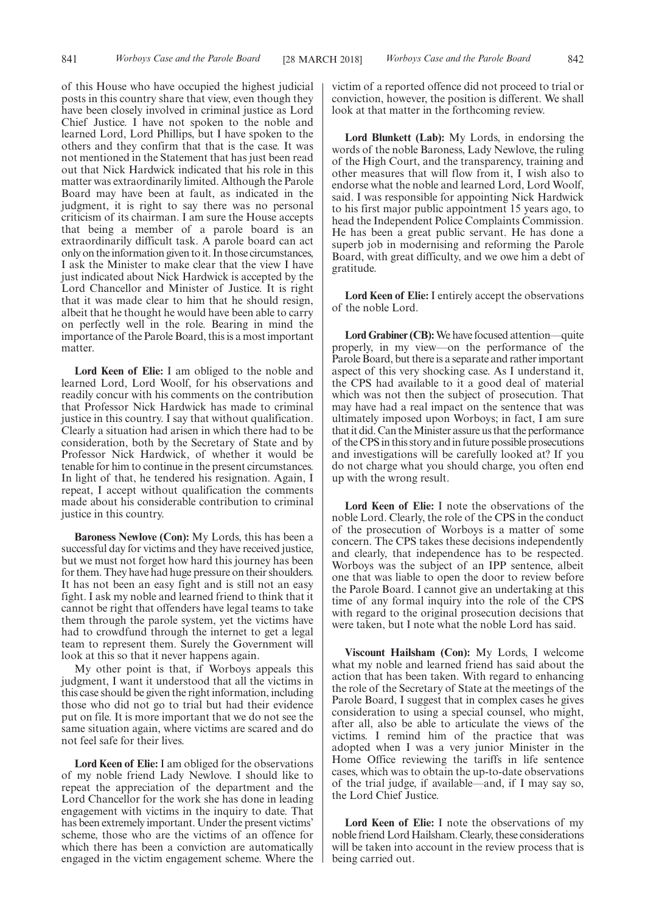of this House who have occupied the highest judicial posts in this country share that view, even though they have been closely involved in criminal justice as Lord Chief Justice. I have not spoken to the noble and learned Lord, Lord Phillips, but I have spoken to the others and they confirm that that is the case. It was not mentioned in the Statement that has just been read out that Nick Hardwick indicated that his role in this matter was extraordinarily limited. Although the Parole Board may have been at fault, as indicated in the judgment, it is right to say there was no personal criticism of its chairman. I am sure the House accepts that being a member of a parole board is an extraordinarily difficult task. A parole board can act only on the information given to it. In those circumstances, I ask the Minister to make clear that the view I have just indicated about Nick Hardwick is accepted by the Lord Chancellor and Minister of Justice. It is right that it was made clear to him that he should resign, albeit that he thought he would have been able to carry on perfectly well in the role. Bearing in mind the importance of the Parole Board, this is a most important matter.

**Lord Keen of Elie:** I am obliged to the noble and learned Lord, Lord Woolf, for his observations and readily concur with his comments on the contribution that Professor Nick Hardwick has made to criminal justice in this country. I say that without qualification. Clearly a situation had arisen in which there had to be consideration, both by the Secretary of State and by Professor Nick Hardwick, of whether it would be tenable for him to continue in the present circumstances. In light of that, he tendered his resignation. Again, I repeat, I accept without qualification the comments made about his considerable contribution to criminal justice in this country.

**Baroness Newlove (Con):** My Lords, this has been a successful day for victims and they have received justice, but we must not forget how hard this journey has been for them. They have had huge pressure on their shoulders. It has not been an easy fight and is still not an easy fight. I ask my noble and learned friend to think that it cannot be right that offenders have legal teams to take them through the parole system, yet the victims have had to crowdfund through the internet to get a legal team to represent them. Surely the Government will look at this so that it never happens again.

My other point is that, if Worboys appeals this judgment, I want it understood that all the victims in this case should be given the right information, including those who did not go to trial but had their evidence put on file. It is more important that we do not see the same situation again, where victims are scared and do not feel safe for their lives.

**Lord Keen of Elie:** I am obliged for the observations of my noble friend Lady Newlove. I should like to repeat the appreciation of the department and the Lord Chancellor for the work she has done in leading engagement with victims in the inquiry to date. That has been extremely important. Under the present victims' scheme, those who are the victims of an offence for which there has been a conviction are automatically engaged in the victim engagement scheme. Where the victim of a reported offence did not proceed to trial or conviction, however, the position is different. We shall look at that matter in the forthcoming review.

**Lord Blunkett (Lab):** My Lords, in endorsing the words of the noble Baroness, Lady Newlove, the ruling of the High Court, and the transparency, training and other measures that will flow from it, I wish also to endorse what the noble and learned Lord, Lord Woolf, said. I was responsible for appointing Nick Hardwick to his first major public appointment 15 years ago, to head the Independent Police Complaints Commission. He has been a great public servant. He has done a superb job in modernising and reforming the Parole Board, with great difficulty, and we owe him a debt of gratitude.

**Lord Keen of Elie:** I entirely accept the observations of the noble Lord.

Lord Grabiner (CB): We have focused attention—quite properly, in my view—on the performance of the Parole Board, but there is a separate and rather important aspect of this very shocking case. As I understand it, the CPS had available to it a good deal of material which was not then the subject of prosecution. That may have had a real impact on the sentence that was ultimately imposed upon Worboys; in fact, I am sure that it did. Can the Minister assure us that the performance of the CPS in this story and in future possible prosecutions and investigations will be carefully looked at? If you do not charge what you should charge, you often end up with the wrong result.

**Lord Keen of Elie:** I note the observations of the noble Lord. Clearly, the role of the CPS in the conduct of the prosecution of Worboys is a matter of some concern. The CPS takes these decisions independently and clearly, that independence has to be respected. Worboys was the subject of an IPP sentence, albeit one that was liable to open the door to review before the Parole Board. I cannot give an undertaking at this time of any formal inquiry into the role of the CPS with regard to the original prosecution decisions that were taken, but I note what the noble Lord has said.

**Viscount Hailsham (Con):** My Lords, I welcome what my noble and learned friend has said about the action that has been taken. With regard to enhancing the role of the Secretary of State at the meetings of the Parole Board, I suggest that in complex cases he gives consideration to using a special counsel, who might, after all, also be able to articulate the views of the victims. I remind him of the practice that was adopted when I was a very junior Minister in the Home Office reviewing the tariffs in life sentence cases, which was to obtain the up-to-date observations of the trial judge, if available—and, if I may say so, the Lord Chief Justice.

**Lord Keen of Elie:** I note the observations of my noble friend Lord Hailsham. Clearly, these considerations will be taken into account in the review process that is being carried out.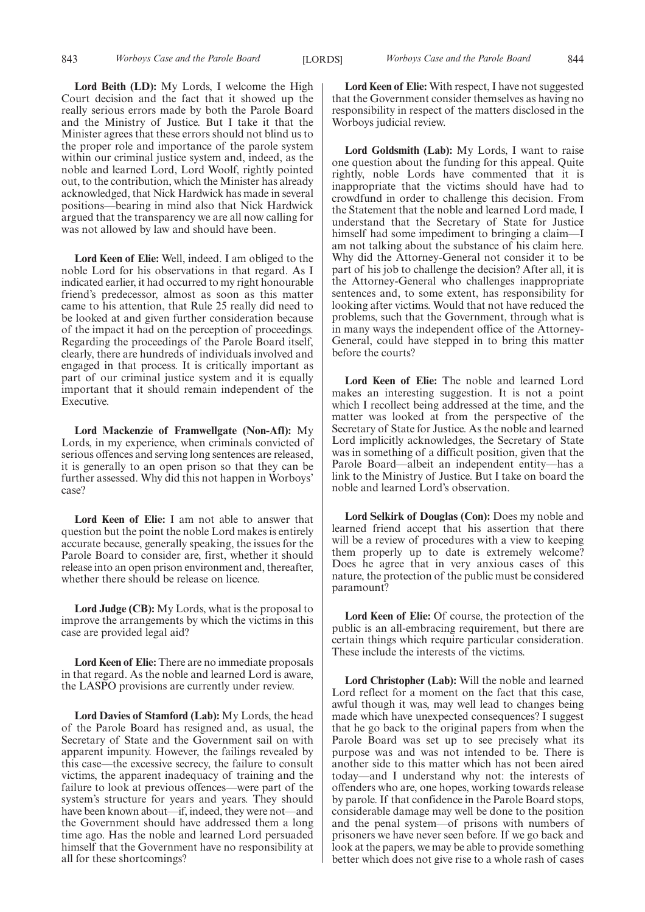**Lord Beith (LD):** My Lords, I welcome the High Court decision and the fact that it showed up the really serious errors made by both the Parole Board and the Ministry of Justice. But I take it that the Minister agrees that these errors should not blind us to the proper role and importance of the parole system within our criminal justice system and, indeed, as the noble and learned Lord, Lord Woolf, rightly pointed out, to the contribution, which the Minister has already acknowledged, that Nick Hardwick has made in several positions—bearing in mind also that Nick Hardwick argued that the transparency we are all now calling for was not allowed by law and should have been.

**Lord Keen of Elie:** Well, indeed. I am obliged to the noble Lord for his observations in that regard. As I indicated earlier, it had occurred to my right honourable friend's predecessor, almost as soon as this matter came to his attention, that Rule 25 really did need to be looked at and given further consideration because of the impact it had on the perception of proceedings. Regarding the proceedings of the Parole Board itself, clearly, there are hundreds of individuals involved and engaged in that process. It is critically important as part of our criminal justice system and it is equally important that it should remain independent of the Executive.

**Lord Mackenzie of Framwellgate (Non-Afl):** My Lords, in my experience, when criminals convicted of serious offences and serving long sentences are released, it is generally to an open prison so that they can be further assessed. Why did this not happen in Worboys' case?

**Lord Keen of Elie:** I am not able to answer that question but the point the noble Lord makes is entirely accurate because, generally speaking, the issues for the Parole Board to consider are, first, whether it should release into an open prison environment and, thereafter, whether there should be release on licence.

**Lord Judge (CB):** My Lords, what is the proposal to improve the arrangements by which the victims in this case are provided legal aid?

**Lord Keen of Elie:** There are no immediate proposals in that regard. As the noble and learned Lord is aware, the LASPO provisions are currently under review.

**Lord Davies of Stamford (Lab):** My Lords, the head of the Parole Board has resigned and, as usual, the Secretary of State and the Government sail on with apparent impunity. However, the failings revealed by this case—the excessive secrecy, the failure to consult victims, the apparent inadequacy of training and the failure to look at previous offences—were part of the system's structure for years and years. They should have been known about—if, indeed, they were not—and the Government should have addressed them a long time ago. Has the noble and learned Lord persuaded himself that the Government have no responsibility at all for these shortcomings?

**Lord Keen of Elie:** With respect, I have not suggested that the Government consider themselves as having no responsibility in respect of the matters disclosed in the Worboys judicial review.

**Lord Goldsmith (Lab):** My Lords, I want to raise one question about the funding for this appeal. Quite rightly, noble Lords have commented that it is inappropriate that the victims should have had to crowdfund in order to challenge this decision. From the Statement that the noble and learned Lord made, I understand that the Secretary of State for Justice himself had some impediment to bringing a claim—I am not talking about the substance of his claim here. Why did the Attorney-General not consider it to be part of his job to challenge the decision? After all, it is the Attorney-General who challenges inappropriate sentences and, to some extent, has responsibility for looking after victims. Would that not have reduced the problems, such that the Government, through what is in many ways the independent office of the Attorney-General, could have stepped in to bring this matter before the courts?

**Lord Keen of Elie:** The noble and learned Lord makes an interesting suggestion. It is not a point which I recollect being addressed at the time, and the matter was looked at from the perspective of the Secretary of State for Justice. As the noble and learned Lord implicitly acknowledges, the Secretary of State was in something of a difficult position, given that the Parole Board—albeit an independent entity—has a link to the Ministry of Justice. But I take on board the noble and learned Lord's observation.

**Lord Selkirk of Douglas (Con):** Does my noble and learned friend accept that his assertion that there will be a review of procedures with a view to keeping them properly up to date is extremely welcome? Does he agree that in very anxious cases of this nature, the protection of the public must be considered paramount?

**Lord Keen of Elie:** Of course, the protection of the public is an all-embracing requirement, but there are certain things which require particular consideration. These include the interests of the victims.

**Lord Christopher (Lab):** Will the noble and learned Lord reflect for a moment on the fact that this case, awful though it was, may well lead to changes being made which have unexpected consequences? I suggest that he go back to the original papers from when the Parole Board was set up to see precisely what its purpose was and was not intended to be. There is another side to this matter which has not been aired today—and I understand why not: the interests of offenders who are, one hopes, working towards release by parole. If that confidence in the Parole Board stops, considerable damage may well be done to the position and the penal system—of prisons with numbers of prisoners we have never seen before. If we go back and look at the papers, we may be able to provide something better which does not give rise to a whole rash of cases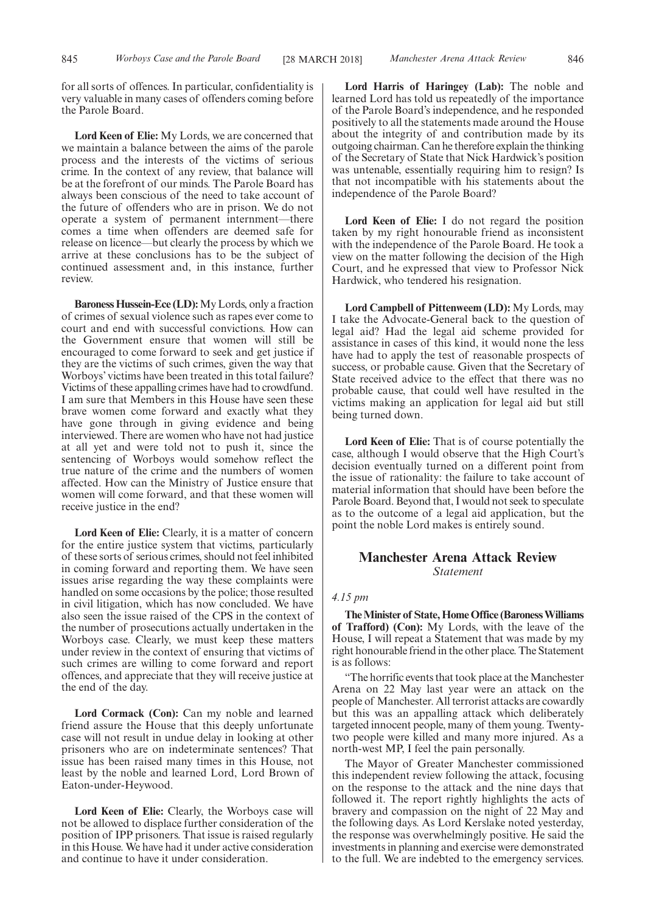for all sorts of offences. In particular, confidentiality is very valuable in many cases of offenders coming before the Parole Board.

**Lord Keen of Elie:** My Lords, we are concerned that we maintain a balance between the aims of the parole process and the interests of the victims of serious crime. In the context of any review, that balance will be at the forefront of our minds. The Parole Board has always been conscious of the need to take account of the future of offenders who are in prison. We do not operate a system of permanent internment—there comes a time when offenders are deemed safe for release on licence—but clearly the process by which we arrive at these conclusions has to be the subject of continued assessment and, in this instance, further review.

**Baroness Hussein-Ece (LD):**My Lords, only a fraction of crimes of sexual violence such as rapes ever come to court and end with successful convictions. How can the Government ensure that women will still be encouraged to come forward to seek and get justice if they are the victims of such crimes, given the way that Worboys' victims have been treated in this total failure? Victims of these appalling crimes have had to crowdfund. I am sure that Members in this House have seen these brave women come forward and exactly what they have gone through in giving evidence and being interviewed. There are women who have not had justice at all yet and were told not to push it, since the sentencing of Worboys would somehow reflect the true nature of the crime and the numbers of women affected. How can the Ministry of Justice ensure that women will come forward, and that these women will receive justice in the end?

**Lord Keen of Elie:** Clearly, it is a matter of concern for the entire justice system that victims, particularly of these sorts of serious crimes, should not feel inhibited in coming forward and reporting them. We have seen issues arise regarding the way these complaints were handled on some occasions by the police; those resulted in civil litigation, which has now concluded. We have also seen the issue raised of the CPS in the context of the number of prosecutions actually undertaken in the Worboys case. Clearly, we must keep these matters under review in the context of ensuring that victims of such crimes are willing to come forward and report offences, and appreciate that they will receive justice at the end of the day.

**Lord Cormack (Con):** Can my noble and learned friend assure the House that this deeply unfortunate case will not result in undue delay in looking at other prisoners who are on indeterminate sentences? That issue has been raised many times in this House, not least by the noble and learned Lord, Lord Brown of Eaton-under-Heywood.

**Lord Keen of Elie:** Clearly, the Worboys case will not be allowed to displace further consideration of the position of IPP prisoners. That issue is raised regularly in this House. We have had it under active consideration and continue to have it under consideration.

**Lord Harris of Haringey (Lab):** The noble and learned Lord has told us repeatedly of the importance of the Parole Board's independence, and he responded positively to all the statements made around the House about the integrity of and contribution made by its outgoing chairman. Can he therefore explain the thinking of the Secretary of State that Nick Hardwick's position was untenable, essentially requiring him to resign? Is that not incompatible with his statements about the independence of the Parole Board?

**Lord Keen of Elie:** I do not regard the position taken by my right honourable friend as inconsistent with the independence of the Parole Board. He took a view on the matter following the decision of the High Court, and he expressed that view to Professor Nick Hardwick, who tendered his resignation.

**Lord Campbell of Pittenweem (LD):** My Lords, may I take the Advocate-General back to the question of legal aid? Had the legal aid scheme provided for assistance in cases of this kind, it would none the less have had to apply the test of reasonable prospects of success, or probable cause. Given that the Secretary of State received advice to the effect that there was no probable cause, that could well have resulted in the victims making an application for legal aid but still being turned down.

**Lord Keen of Elie:** That is of course potentially the case, although I would observe that the High Court's decision eventually turned on a different point from the issue of rationality: the failure to take account of material information that should have been before the Parole Board. Beyond that, I would not seek to speculate as to the outcome of a legal aid application, but the point the noble Lord makes is entirely sound.

## **Manchester Arena Attack Review** *Statement*

## *4.15 pm*

**The Minister of State, Home Office (Baroness Williams of Trafford) (Con):** My Lords, with the leave of the House, I will repeat a Statement that was made by my right honourable friend in the other place. The Statement is as follows:

"The horrific events that took place at the Manchester Arena on 22 May last year were an attack on the people of Manchester. All terrorist attacks are cowardly but this was an appalling attack which deliberately targeted innocent people, many of them young. Twentytwo people were killed and many more injured. As a north-west MP, I feel the pain personally.

The Mayor of Greater Manchester commissioned this independent review following the attack, focusing on the response to the attack and the nine days that followed it. The report rightly highlights the acts of bravery and compassion on the night of 22 May and the following days. As Lord Kerslake noted yesterday, the response was overwhelmingly positive. He said the investments in planning and exercise were demonstrated to the full. We are indebted to the emergency services.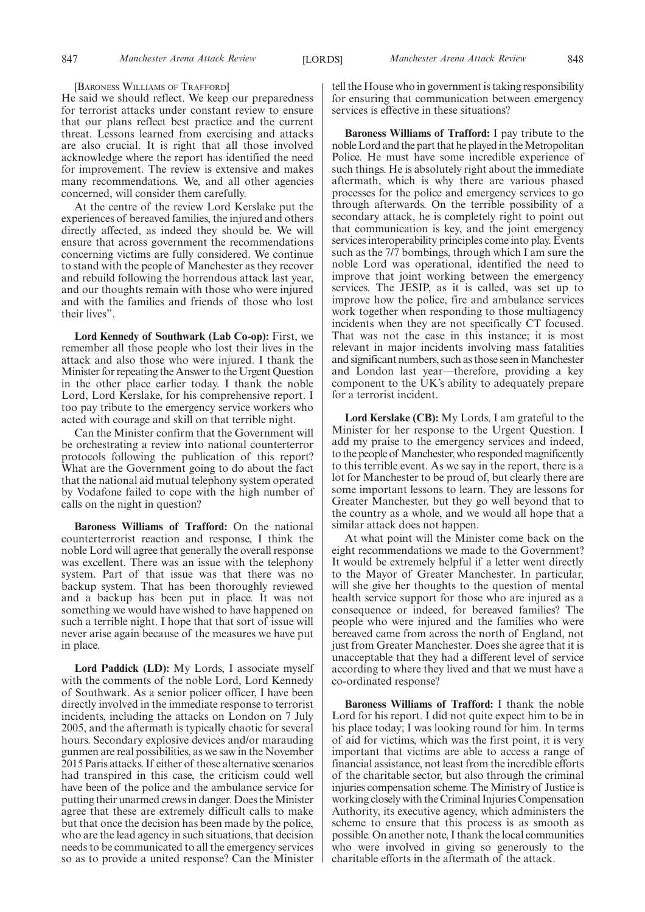[BARONESS WILLIAMS OF TRAFFORD]

He said we should reflect. We keep our preparedness for terrorist attacks under constant review to ensure that our plans reflect best practice and the current threat. Lessons learned from exercising and attacks are also crucial. It is right that all those involved acknowledge where the report has identified the need for improvement. The review is extensive and makes many recommendations. We, and all other agencies concerned, will consider them carefully.

At the centre of the review Lord Kerslake put the experiences of bereaved families, the injured and others directly affected, as indeed they should be. We will ensure that across government the recommendations concerning victims are fully considered. We continue to stand with the people of Manchester as they recover and rebuild following the horrendous attack last year, and our thoughts remain with those who were injured and with the families and friends of those who lost their lives".

**Lord Kennedy of Southwark (Lab Co-op):** First, we remember all those people who lost their lives in the attack and also those who were injured. I thank the Minister for repeating the Answer to the Urgent Question in the other place earlier today. I thank the noble Lord, Lord Kerslake, for his comprehensive report. I too pay tribute to the emergency service workers who acted with courage and skill on that terrible night.

Can the Minister confirm that the Government will be orchestrating a review into national counterterror protocols following the publication of this report? What are the Government going to do about the fact that the national aid mutual telephony system operated by Vodafone failed to cope with the high number of calls on the night in question?

**Baroness Williams of Trafford:** On the national counterterrorist reaction and response, I think the noble Lord will agree that generally the overall response was excellent. There was an issue with the telephony system. Part of that issue was that there was no backup system. That has been thoroughly reviewed and a backup has been put in place. It was not something we would have wished to have happened on such a terrible night. I hope that that sort of issue will never arise again because of the measures we have put in place.

**Lord Paddick (LD):** My Lords, I associate myself with the comments of the noble Lord, Lord Kennedy of Southwark. As a senior policer officer, I have been directly involved in the immediate response to terrorist incidents, including the attacks on London on 7 July 2005, and the aftermath is typically chaotic for several hours. Secondary explosive devices and/or marauding gunmen are real possibilities, as we saw in the November 2015 Paris attacks. If either of those alternative scenarios had transpired in this case, the criticism could well have been of the police and the ambulance service for putting their unarmed crews in danger. Does the Minister agree that these are extremely difficult calls to make but that once the decision has been made by the police, who are the lead agency in such situations, that decision needs to be communicated to all the emergency services so as to provide a united response? Can the Minister

tell the House who in government is taking responsibility for ensuring that communication between emergency services is effective in these situations?

**Baroness Williams of Trafford:** I pay tribute to the noble Lord and the part that he played in the Metropolitan Police. He must have some incredible experience of such things. He is absolutely right about the immediate aftermath, which is why there are various phased processes for the police and emergency services to go through afterwards. On the terrible possibility of a secondary attack, he is completely right to point out that communication is key, and the joint emergency services interoperability principles come into play. Events such as the 7/7 bombings, through which I am sure the noble Lord was operational, identified the need to improve that joint working between the emergency services. The JESIP, as it is called, was set up to improve how the police, fire and ambulance services work together when responding to those multiagency incidents when they are not specifically CT focused. That was not the case in this instance; it is most relevant in major incidents involving mass fatalities and significant numbers, such as those seen in Manchester and London last year—therefore, providing a key component to the UK's ability to adequately prepare for a terrorist incident.

**Lord Kerslake (CB):** My Lords, I am grateful to the Minister for her response to the Urgent Question. I add my praise to the emergency services and indeed, to the people of Manchester, who responded magnificently to this terrible event. As we say in the report, there is a lot for Manchester to be proud of, but clearly there are some important lessons to learn. They are lessons for Greater Manchester, but they go well beyond that to the country as a whole, and we would all hope that a similar attack does not happen.

At what point will the Minister come back on the eight recommendations we made to the Government? It would be extremely helpful if a letter went directly to the Mayor of Greater Manchester. In particular, will she give her thoughts to the question of mental health service support for those who are injured as a consequence or indeed, for bereaved families? The people who were injured and the families who were bereaved came from across the north of England, not just from Greater Manchester. Does she agree that it is unacceptable that they had a different level of service according to where they lived and that we must have a co-ordinated response?

**Baroness Williams of Trafford:** I thank the noble Lord for his report. I did not quite expect him to be in his place today; I was looking round for him. In terms of aid for victims, which was the first point, it is very important that victims are able to access a range of financial assistance, not least from the incredible efforts of the charitable sector, but also through the criminal injuries compensation scheme. The Ministry of Justice is working closely with the Criminal Injuries Compensation Authority, its executive agency, which administers the scheme to ensure that this process is as smooth as possible. On another note, I thank the local communities who were involved in giving so generously to the charitable efforts in the aftermath of the attack.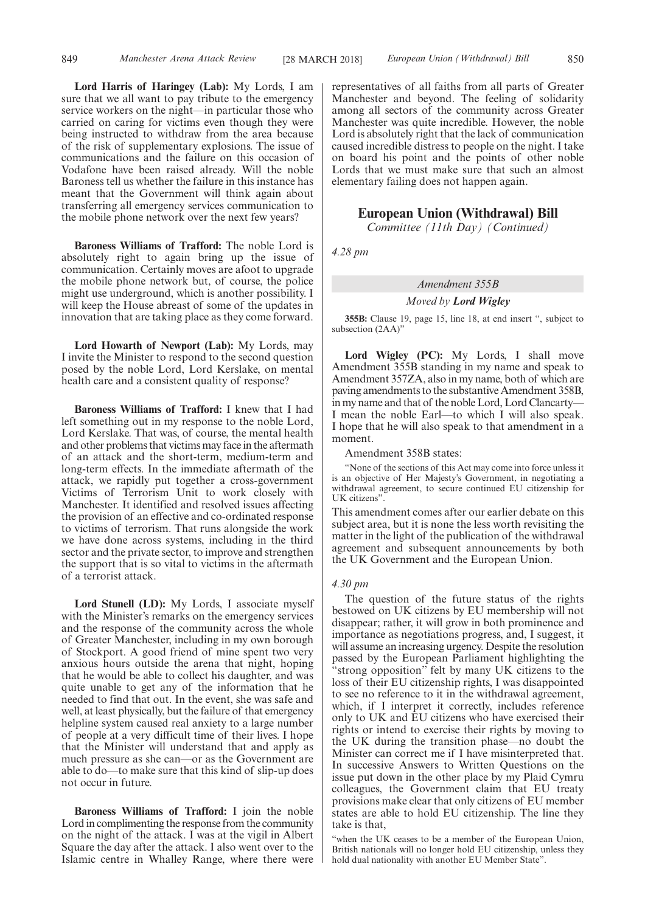**Lord Harris of Haringey (Lab):** My Lords, I am sure that we all want to pay tribute to the emergency service workers on the night—in particular those who carried on caring for victims even though they were being instructed to withdraw from the area because of the risk of supplementary explosions. The issue of communications and the failure on this occasion of Vodafone have been raised already. Will the noble Baroness tell us whether the failure in this instance has meant that the Government will think again about transferring all emergency services communication to the mobile phone network over the next few years?

**Baroness Williams of Trafford:** The noble Lord is absolutely right to again bring up the issue of communication. Certainly moves are afoot to upgrade the mobile phone network but, of course, the police might use underground, which is another possibility. I will keep the House abreast of some of the updates in innovation that are taking place as they come forward.

**Lord Howarth of Newport (Lab):** My Lords, may I invite the Minister to respond to the second question posed by the noble Lord, Lord Kerslake, on mental health care and a consistent quality of response?

**Baroness Williams of Trafford:** I knew that I had left something out in my response to the noble Lord, Lord Kerslake. That was, of course, the mental health and other problems that victims may face in the aftermath of an attack and the short-term, medium-term and long-term effects. In the immediate aftermath of the attack, we rapidly put together a cross-government Victims of Terrorism Unit to work closely with Manchester. It identified and resolved issues affecting the provision of an effective and co-ordinated response to victims of terrorism. That runs alongside the work we have done across systems, including in the third sector and the private sector, to improve and strengthen the support that is so vital to victims in the aftermath of a terrorist attack.

**Lord Stunell (LD):** My Lords, I associate myself with the Minister's remarks on the emergency services and the response of the community across the whole of Greater Manchester, including in my own borough of Stockport. A good friend of mine spent two very anxious hours outside the arena that night, hoping that he would be able to collect his daughter, and was quite unable to get any of the information that he needed to find that out. In the event, she was safe and well, at least physically, but the failure of that emergency helpline system caused real anxiety to a large number of people at a very difficult time of their lives. I hope that the Minister will understand that and apply as much pressure as she can—or as the Government are able to do—to make sure that this kind of slip-up does not occur in future.

**Baroness Williams of Trafford:** I join the noble Lord in complimenting the response from the community on the night of the attack. I was at the vigil in Albert Square the day after the attack. I also went over to the Islamic centre in Whalley Range, where there were representatives of all faiths from all parts of Greater Manchester and beyond. The feeling of solidarity among all sectors of the community across Greater Manchester was quite incredible. However, the noble Lord is absolutely right that the lack of communication caused incredible distress to people on the night. I take on board his point and the points of other noble Lords that we must make sure that such an almost elementary failing does not happen again.

## **European Union (Withdrawal) Bill**

*Committee (11th Day) (Continued)*

*4.28 pm*

## *Amendment 355B*

## *Moved by Lord Wigley*

**355B:** Clause 19, page 15, line 18, at end insert ", subject to subsection (2AA)"

**Lord Wigley (PC):** My Lords, I shall move Amendment 355B standing in my name and speak to Amendment 357ZA, also in my name, both of which are paving amendments to the substantive Amendment 358B, in my name and that of the noble Lord, Lord Clancarty— I mean the noble Earl—to which I will also speak. I hope that he will also speak to that amendment in a moment.

Amendment 358B states:

"None of the sections of this Act may come into force unless it is an objective of Her Majesty's Government, in negotiating a withdrawal agreement, to secure continued EU citizenship for UK citizens".

This amendment comes after our earlier debate on this subject area, but it is none the less worth revisiting the matter in the light of the publication of the withdrawal agreement and subsequent announcements by both the UK Government and the European Union.

## *4.30 pm*

The question of the future status of the rights bestowed on UK citizens by EU membership will not disappear; rather, it will grow in both prominence and importance as negotiations progress, and, I suggest, it will assume an increasing urgency. Despite the resolution passed by the European Parliament highlighting the "strong opposition" felt by many UK citizens to the loss of their EU citizenship rights, I was disappointed to see no reference to it in the withdrawal agreement, which, if I interpret it correctly, includes reference only to UK and EU citizens who have exercised their rights or intend to exercise their rights by moving to the UK during the transition phase—no doubt the Minister can correct me if I have misinterpreted that. In successive Answers to Written Questions on the issue put down in the other place by my Plaid Cymru colleagues, the Government claim that EU treaty provisions make clear that only citizens of EU member states are able to hold EU citizenship. The line they take is that,

"when the UK ceases to be a member of the European Union, British nationals will no longer hold EU citizenship, unless they hold dual nationality with another EU Member State".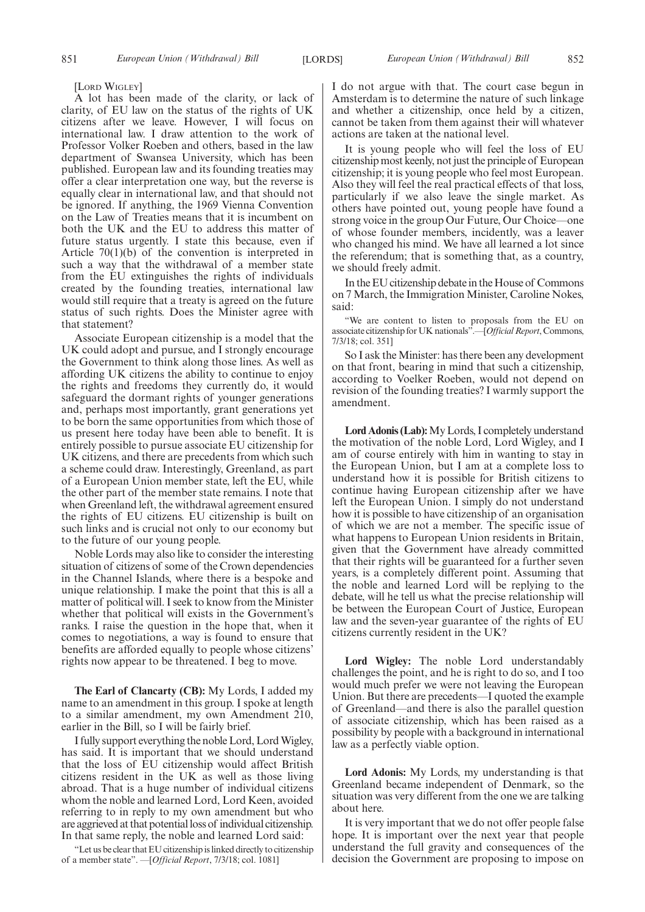[LORD WIGLEY]

A lot has been made of the clarity, or lack of clarity, of EU law on the status of the rights of UK citizens after we leave. However, I will focus on international law. I draw attention to the work of Professor Volker Roeben and others, based in the law department of Swansea University, which has been published. European law and its founding treaties may offer a clear interpretation one way, but the reverse is equally clear in international law, and that should not be ignored. If anything, the 1969 Vienna Convention on the Law of Treaties means that it is incumbent on both the UK and the EU to address this matter of future status urgently. I state this because, even if Article 70(1)(b) of the convention is interpreted in such a way that the withdrawal of a member state from the EU extinguishes the rights of individuals created by the founding treaties, international law would still require that a treaty is agreed on the future status of such rights. Does the Minister agree with that statement?

Associate European citizenship is a model that the UK could adopt and pursue, and I strongly encourage the Government to think along those lines. As well as affording UK citizens the ability to continue to enjoy the rights and freedoms they currently do, it would safeguard the dormant rights of younger generations and, perhaps most importantly, grant generations yet to be born the same opportunities from which those of us present here today have been able to benefit. It is entirely possible to pursue associate EU citizenship for UK citizens, and there are precedents from which such a scheme could draw. Interestingly, Greenland, as part of a European Union member state, left the EU, while the other part of the member state remains. I note that when Greenland left, the withdrawal agreement ensured the rights of EU citizens. EU citizenship is built on such links and is crucial not only to our economy but to the future of our young people.

Noble Lords may also like to consider the interesting situation of citizens of some of the Crown dependencies in the Channel Islands, where there is a bespoke and unique relationship. I make the point that this is all a matter of political will. I seek to know from the Minister whether that political will exists in the Government's ranks. I raise the question in the hope that, when it comes to negotiations, a way is found to ensure that benefits are afforded equally to people whose citizens' rights now appear to be threatened. I beg to move.

**The Earl of Clancarty (CB):** My Lords, I added my name to an amendment in this group. I spoke at length to a similar amendment, my own Amendment 210, earlier in the Bill, so I will be fairly brief.

I fully support everything the noble Lord, Lord Wigley, has said. It is important that we should understand that the loss of EU citizenship would affect British citizens resident in the UK as well as those living abroad. That is a huge number of individual citizens whom the noble and learned Lord, Lord Keen, avoided referring to in reply to my own amendment but who are aggrieved at that potential loss of individual citizenship. In that same reply, the noble and learned Lord said:

"Let us be clear that EU citizenship is linked directly to citizenship of a member state". —[*Official Report*, 7/3/18; col. 1081]

I do not argue with that. The court case begun in Amsterdam is to determine the nature of such linkage and whether a citizenship, once held by a citizen, cannot be taken from them against their will whatever actions are taken at the national level.

It is young people who will feel the loss of EU citizenship most keenly, not just the principle of European citizenship; it is young people who feel most European. Also they will feel the real practical effects of that loss, particularly if we also leave the single market. As others have pointed out, young people have found a strong voice in the group Our Future, Our Choice—one of whose founder members, incidently, was a leaver who changed his mind. We have all learned a lot since the referendum; that is something that, as a country, we should freely admit.

In the EU citizenship debate in the House of Commons on 7 March, the Immigration Minister, Caroline Nokes, said:

"We are content to listen to proposals from the EU on associate citizenship for UK nationals".—[*Official Report*, Commons, 7/3/18; col. 351]

So I ask the Minister: has there been any development on that front, bearing in mind that such a citizenship, according to Voelker Roeben, would not depend on revision of the founding treaties? I warmly support the amendment.

**Lord Adonis (Lab):**My Lords, I completely understand the motivation of the noble Lord, Lord Wigley, and I am of course entirely with him in wanting to stay in the European Union, but I am at a complete loss to understand how it is possible for British citizens to continue having European citizenship after we have left the European Union. I simply do not understand how it is possible to have citizenship of an organisation of which we are not a member. The specific issue of what happens to European Union residents in Britain, given that the Government have already committed that their rights will be guaranteed for a further seven years, is a completely different point. Assuming that the noble and learned Lord will be replying to the debate, will he tell us what the precise relationship will be between the European Court of Justice, European law and the seven-year guarantee of the rights of EU citizens currently resident in the UK?

**Lord Wigley:** The noble Lord understandably challenges the point, and he is right to do so, and I too would much prefer we were not leaving the European Union. But there are precedents—I quoted the example of Greenland—and there is also the parallel question of associate citizenship, which has been raised as a possibility by people with a background in international law as a perfectly viable option.

**Lord Adonis:** My Lords, my understanding is that Greenland became independent of Denmark, so the situation was very different from the one we are talking about here.

It is very important that we do not offer people false hope. It is important over the next year that people understand the full gravity and consequences of the decision the Government are proposing to impose on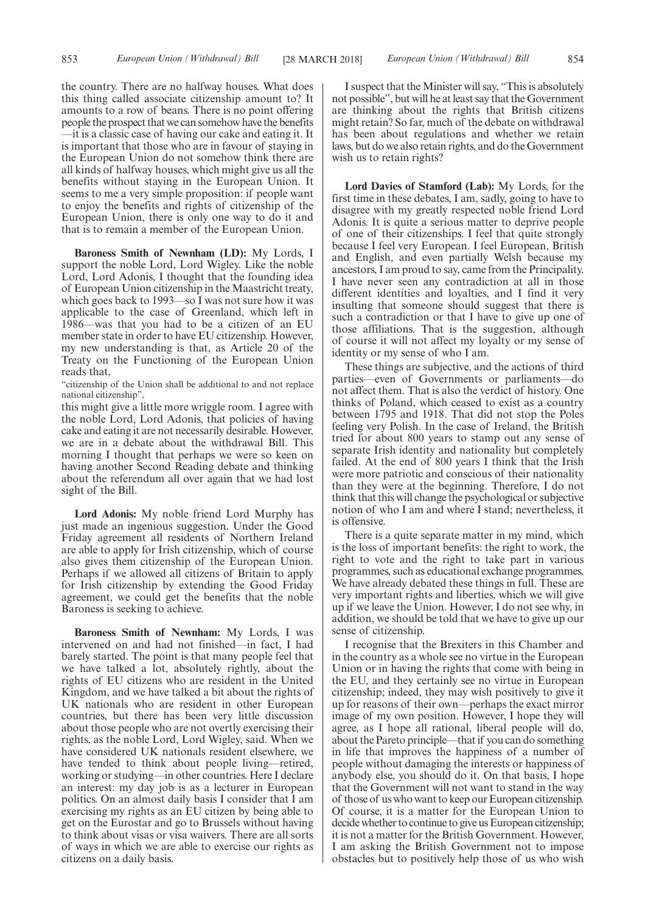the country. There are no halfway houses. What does this thing called associate citizenship amount to? It amounts to a row of beans. There is no point offering people the prospect that we can somehow have the benefits —it is a classic case of having our cake and eating it. It is important that those who are in favour of staying in the European Union do not somehow think there are all kinds of halfway houses, which might give us all the benefits without staying in the European Union. It seems to me a very simple proposition: if people want to enjoy the benefits and rights of citizenship of the European Union, there is only one way to do it and that is to remain a member of the European Union.

**Baroness Smith of Newnham (LD):** My Lords, I support the noble Lord, Lord Wigley. Like the noble Lord, Lord Adonis, I thought that the founding idea of European Union citizenship in the Maastricht treaty, which goes back to 1993—so I was not sure how it was applicable to the case of Greenland, which left in 1986—was that you had to be a citizen of an EU member state in order to have EU citizenship. However, my new understanding is that, as Article 20 of the Treaty on the Functioning of the European Union reads that,

"citizenship of the Union shall be additional to and not replace national citizenship",

this might give a little more wriggle room. I agree with the noble Lord, Lord Adonis, that policies of having cake and eating it are not necessarily desirable. However, we are in a debate about the withdrawal Bill. This morning I thought that perhaps we were so keen on having another Second Reading debate and thinking about the referendum all over again that we had lost sight of the Bill.

**Lord Adonis:** My noble friend Lord Murphy has just made an ingenious suggestion. Under the Good Friday agreement all residents of Northern Ireland are able to apply for Irish citizenship, which of course also gives them citizenship of the European Union. Perhaps if we allowed all citizens of Britain to apply for Irish citizenship by extending the Good Friday agreement, we could get the benefits that the noble Baroness is seeking to achieve.

**Baroness Smith of Newnham:** My Lords, I was intervened on and had not finished—in fact, I had barely started. The point is that many people feel that we have talked a lot, absolutely rightly, about the rights of EU citizens who are resident in the United Kingdom, and we have talked a bit about the rights of UK nationals who are resident in other European countries, but there has been very little discussion about those people who are not overtly exercising their rights, as the noble Lord, Lord Wigley, said. When we have considered UK nationals resident elsewhere, we have tended to think about people living—retired, working or studying—in other countries. Here I declare an interest: my day job is as a lecturer in European politics. On an almost daily basis I consider that I am exercising my rights as an EU citizen by being able to get on the Eurostar and go to Brussels without having to think about visas or visa waivers. There are all sorts of ways in which we are able to exercise our rights as citizens on a daily basis.

I suspect that the Minister will say, "This is absolutely not possible", but will he at least say that the Government are thinking about the rights that British citizens might retain? So far, much of the debate on withdrawal has been about regulations and whether we retain laws, but do we also retain rights, and do the Government wish us to retain rights?

**Lord Davies of Stamford (Lab):** My Lords, for the first time in these debates, I am, sadly, going to have to disagree with my greatly respected noble friend Lord Adonis. It is quite a serious matter to deprive people of one of their citizenships. I feel that quite strongly because I feel very European. I feel European, British and English, and even partially Welsh because my ancestors, I am proud to say, came from the Principality. I have never seen any contradiction at all in those different identities and loyalties, and I find it very insulting that someone should suggest that there is such a contradiction or that I have to give up one of those affiliations. That is the suggestion, although of course it will not affect my loyalty or my sense of identity or my sense of who I am.

These things are subjective, and the actions of third parties—even of Governments or parliaments—do not affect them. That is also the verdict of history. One thinks of Poland, which ceased to exist as a country between 1795 and 1918. That did not stop the Poles feeling very Polish. In the case of Ireland, the British tried for about 800 years to stamp out any sense of separate Irish identity and nationality but completely failed. At the end of 800 years I think that the Irish were more patriotic and conscious of their nationality than they were at the beginning. Therefore, I do not think that this will change the psychological or subjective notion of who I am and where I stand; nevertheless, it is offensive.

There is a quite separate matter in my mind, which is the loss of important benefits: the right to work, the right to vote and the right to take part in various programmes, such as educational exchange programmes. We have already debated these things in full. These are very important rights and liberties, which we will give up if we leave the Union. However, I do not see why, in addition, we should be told that we have to give up our sense of citizenship.

I recognise that the Brexiters in this Chamber and in the country as a whole see no virtue in the European Union or in having the rights that come with being in the EU, and they certainly see no virtue in European citizenship; indeed, they may wish positively to give it up for reasons of their own—perhaps the exact mirror image of my own position. However, I hope they will agree, as I hope all rational, liberal people will do, about the Pareto principle—that if you can do something in life that improves the happiness of a number of people without damaging the interests or happiness of anybody else, you should do it. On that basis, I hope that the Government will not want to stand in the way of those of us who want to keep our European citizenship. Of course, it is a matter for the European Union to decide whether to continue to give us European citizenship; it is not a matter for the British Government. However, I am asking the British Government not to impose obstacles but to positively help those of us who wish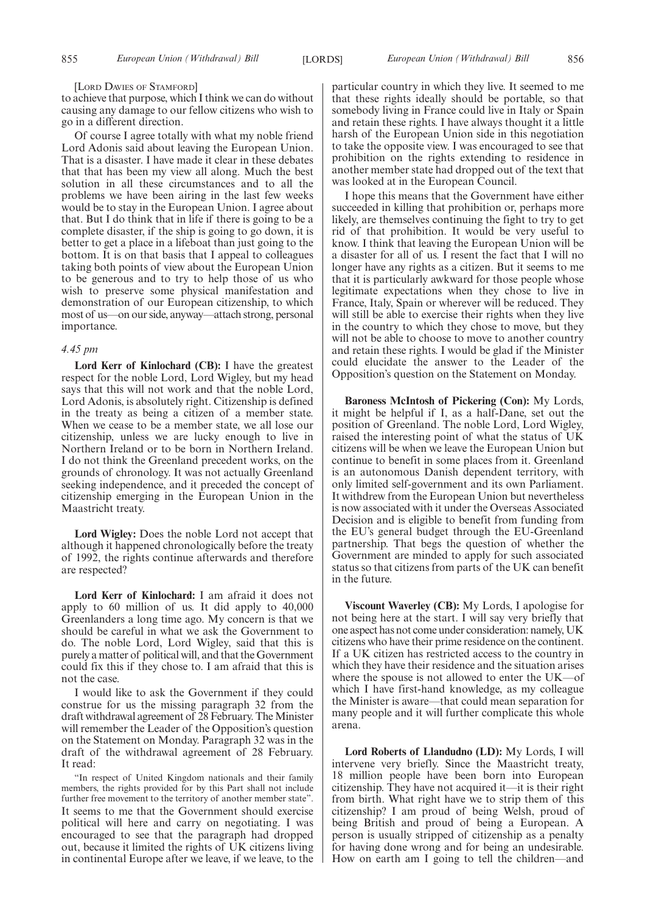#### [LORD DAVIES OF STAMFORD]

to achieve that purpose, which I think we can do without causing any damage to our fellow citizens who wish to go in a different direction.

Of course I agree totally with what my noble friend Lord Adonis said about leaving the European Union. That is a disaster. I have made it clear in these debates that that has been my view all along. Much the best solution in all these circumstances and to all the problems we have been airing in the last few weeks would be to stay in the European Union. I agree about that. But I do think that in life if there is going to be a complete disaster, if the ship is going to go down, it is better to get a place in a lifeboat than just going to the bottom. It is on that basis that I appeal to colleagues taking both points of view about the European Union to be generous and to try to help those of us who wish to preserve some physical manifestation and demonstration of our European citizenship, to which most of us—on our side, anyway—attach strong, personal importance.

#### *4.45 pm*

**Lord Kerr of Kinlochard (CB):** I have the greatest respect for the noble Lord, Lord Wigley, but my head says that this will not work and that the noble Lord, Lord Adonis, is absolutely right. Citizenship is defined in the treaty as being a citizen of a member state. When we cease to be a member state, we all lose our citizenship, unless we are lucky enough to live in Northern Ireland or to be born in Northern Ireland. I do not think the Greenland precedent works, on the grounds of chronology. It was not actually Greenland seeking independence, and it preceded the concept of citizenship emerging in the European Union in the Maastricht treaty.

**Lord Wigley:** Does the noble Lord not accept that although it happened chronologically before the treaty of 1992, the rights continue afterwards and therefore are respected?

**Lord Kerr of Kinlochard:** I am afraid it does not apply to 60 million of us. It did apply to 40,000 Greenlanders a long time ago. My concern is that we should be careful in what we ask the Government to do. The noble Lord, Lord Wigley, said that this is purely a matter of political will, and that the Government could fix this if they chose to. I am afraid that this is not the case.

I would like to ask the Government if they could construe for us the missing paragraph 32 from the draft withdrawal agreement of 28 February. The Minister will remember the Leader of the Opposition's question on the Statement on Monday. Paragraph 32 was in the draft of the withdrawal agreement of 28 February. It read:

"In respect of United Kingdom nationals and their family members, the rights provided for by this Part shall not include further free movement to the territory of another member state". It seems to me that the Government should exercise political will here and carry on negotiating. I was encouraged to see that the paragraph had dropped out, because it limited the rights of UK citizens living in continental Europe after we leave, if we leave, to the particular country in which they live. It seemed to me that these rights ideally should be portable, so that somebody living in France could live in Italy or Spain and retain these rights. I have always thought it a little harsh of the European Union side in this negotiation to take the opposite view. I was encouraged to see that prohibition on the rights extending to residence in another member state had dropped out of the text that was looked at in the European Council.

I hope this means that the Government have either succeeded in killing that prohibition or, perhaps more likely, are themselves continuing the fight to try to get rid of that prohibition. It would be very useful to know. I think that leaving the European Union will be a disaster for all of us. I resent the fact that I will no longer have any rights as a citizen. But it seems to me that it is particularly awkward for those people whose legitimate expectations when they chose to live in France, Italy, Spain or wherever will be reduced. They will still be able to exercise their rights when they live in the country to which they chose to move, but they will not be able to choose to move to another country and retain these rights. I would be glad if the Minister could elucidate the answer to the Leader of the Opposition's question on the Statement on Monday.

**Baroness McIntosh of Pickering (Con):** My Lords, it might be helpful if I, as a half-Dane, set out the position of Greenland. The noble Lord, Lord Wigley, raised the interesting point of what the status of UK citizens will be when we leave the European Union but continue to benefit in some places from it. Greenland is an autonomous Danish dependent territory, with only limited self-government and its own Parliament. It withdrew from the European Union but nevertheless is now associated with it under the Overseas Associated Decision and is eligible to benefit from funding from the EU's general budget through the EU-Greenland partnership. That begs the question of whether the Government are minded to apply for such associated status so that citizens from parts of the UK can benefit in the future.

**Viscount Waverley (CB):** My Lords, I apologise for not being here at the start. I will say very briefly that one aspect has not come under consideration: namely, UK citizens who have their prime residence on the continent. If a UK citizen has restricted access to the country in which they have their residence and the situation arises where the spouse is not allowed to enter the UK—of which I have first-hand knowledge, as my colleague the Minister is aware—that could mean separation for many people and it will further complicate this whole arena.

**Lord Roberts of Llandudno (LD):** My Lords, I will intervene very briefly. Since the Maastricht treaty, 18 million people have been born into European citizenship. They have not acquired it—it is their right from birth. What right have we to strip them of this citizenship? I am proud of being Welsh, proud of being British and proud of being a European. A person is usually stripped of citizenship as a penalty for having done wrong and for being an undesirable. How on earth am I going to tell the children—and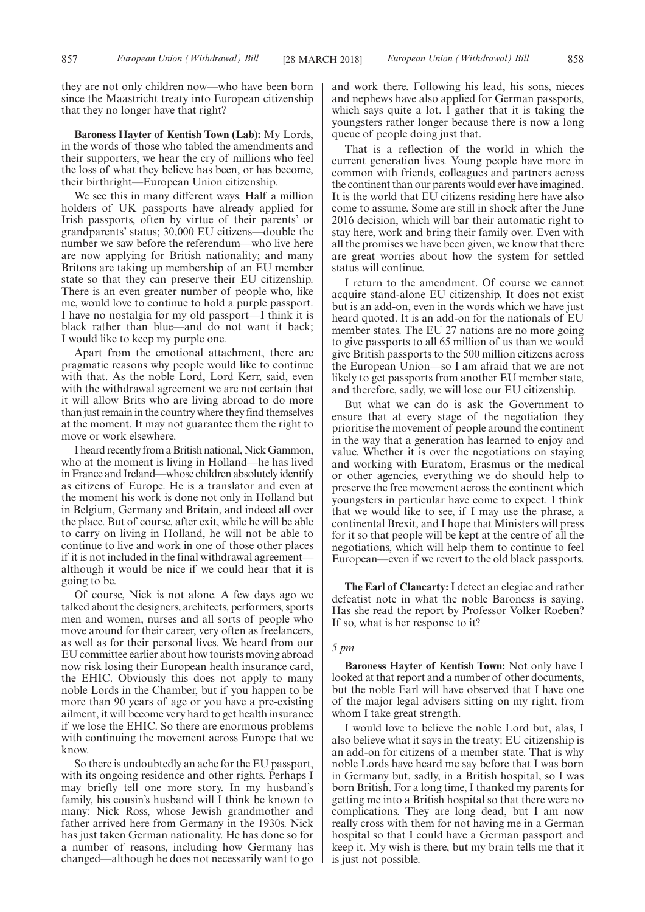they are not only children now—who have been born since the Maastricht treaty into European citizenship that they no longer have that right?

**Baroness Hayter of Kentish Town (Lab):** My Lords, in the words of those who tabled the amendments and their supporters, we hear the cry of millions who feel the loss of what they believe has been, or has become, their birthright—European Union citizenship.

We see this in many different ways. Half a million holders of UK passports have already applied for Irish passports, often by virtue of their parents' or grandparents' status; 30,000 EU citizens—double the number we saw before the referendum—who live here are now applying for British nationality; and many Britons are taking up membership of an EU member state so that they can preserve their EU citizenship. There is an even greater number of people who, like me, would love to continue to hold a purple passport. I have no nostalgia for my old passport—I think it is black rather than blue—and do not want it back; I would like to keep my purple one.

Apart from the emotional attachment, there are pragmatic reasons why people would like to continue with that. As the noble Lord, Lord Kerr, said, even with the withdrawal agreement we are not certain that it will allow Brits who are living abroad to do more than just remain in the country where they find themselves at the moment. It may not guarantee them the right to move or work elsewhere.

I heard recently from a British national, Nick Gammon, who at the moment is living in Holland—he has lived in France and Ireland—whose children absolutely identify as citizens of Europe. He is a translator and even at the moment his work is done not only in Holland but in Belgium, Germany and Britain, and indeed all over the place. But of course, after exit, while he will be able to carry on living in Holland, he will not be able to continue to live and work in one of those other places if it is not included in the final withdrawal agreement although it would be nice if we could hear that it is going to be.

Of course, Nick is not alone. A few days ago we talked about the designers, architects, performers, sports men and women, nurses and all sorts of people who move around for their career, very often as freelancers, as well as for their personal lives. We heard from our EU committee earlier about how tourists moving abroad now risk losing their European health insurance card, the EHIC. Obviously this does not apply to many noble Lords in the Chamber, but if you happen to be more than 90 years of age or you have a pre-existing ailment, it will become very hard to get health insurance if we lose the EHIC. So there are enormous problems with continuing the movement across Europe that we know.

So there is undoubtedly an ache for the EU passport, with its ongoing residence and other rights. Perhaps I may briefly tell one more story. In my husband's family, his cousin's husband will I think be known to many: Nick Ross, whose Jewish grandmother and father arrived here from Germany in the 1930s. Nick has just taken German nationality. He has done so for a number of reasons, including how Germany has changed—although he does not necessarily want to go and work there. Following his lead, his sons, nieces and nephews have also applied for German passports, which says quite a lot. I gather that it is taking the youngsters rather longer because there is now a long queue of people doing just that.

That is a reflection of the world in which the current generation lives. Young people have more in common with friends, colleagues and partners across the continent than our parents would ever have imagined. It is the world that EU citizens residing here have also come to assume. Some are still in shock after the June 2016 decision, which will bar their automatic right to stay here, work and bring their family over. Even with all the promises we have been given, we know that there are great worries about how the system for settled status will continue.

I return to the amendment. Of course we cannot acquire stand-alone EU citizenship. It does not exist but is an add-on, even in the words which we have just heard quoted. It is an add-on for the nationals of EU member states. The EU 27 nations are no more going to give passports to all 65 million of us than we would give British passports to the 500 million citizens across the European Union—so I am afraid that we are not likely to get passports from another EU member state, and therefore, sadly, we will lose our EU citizenship.

But what we can do is ask the Government to ensure that at every stage of the negotiation they prioritise the movement of people around the continent in the way that a generation has learned to enjoy and value. Whether it is over the negotiations on staying and working with Euratom, Erasmus or the medical or other agencies, everything we do should help to preserve the free movement across the continent which youngsters in particular have come to expect. I think that we would like to see, if I may use the phrase, a continental Brexit, and I hope that Ministers will press for it so that people will be kept at the centre of all the negotiations, which will help them to continue to feel European—even if we revert to the old black passports.

**The Earl of Clancarty:** I detect an elegiac and rather defeatist note in what the noble Baroness is saying. Has she read the report by Professor Volker Roeben? If so, what is her response to it?

#### *5 pm*

**Baroness Hayter of Kentish Town:** Not only have I looked at that report and a number of other documents, but the noble Earl will have observed that I have one of the major legal advisers sitting on my right, from whom I take great strength.

I would love to believe the noble Lord but, alas, I also believe what it says in the treaty: EU citizenship is an add-on for citizens of a member state. That is why noble Lords have heard me say before that I was born in Germany but, sadly, in a British hospital, so I was born British. For a long time, I thanked my parents for getting me into a British hospital so that there were no complications. They are long dead, but I am now really cross with them for not having me in a German hospital so that I could have a German passport and keep it. My wish is there, but my brain tells me that it is just not possible.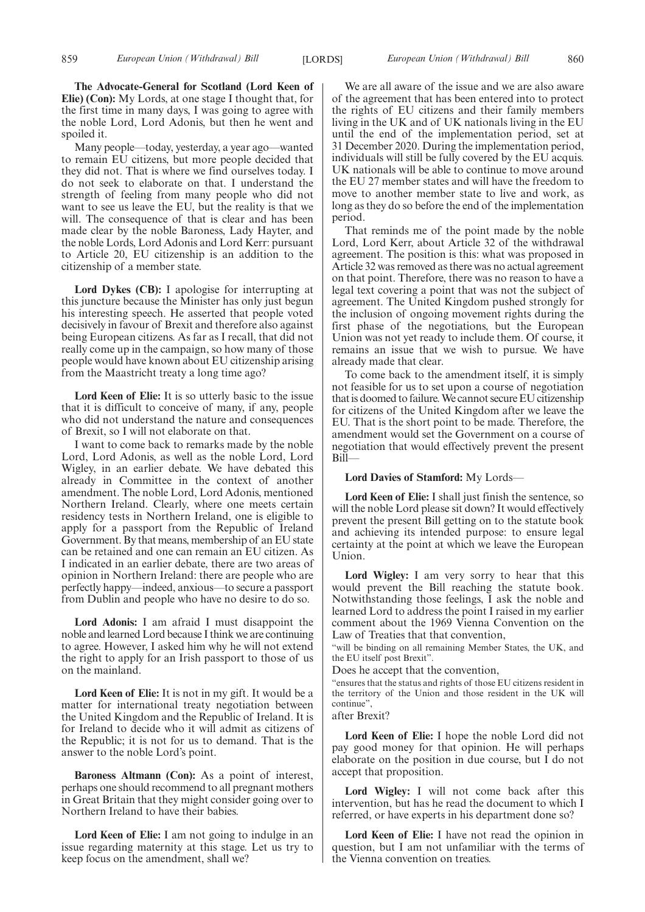Many people—today, yesterday, a year ago—wanted to remain EU citizens, but more people decided that they did not. That is where we find ourselves today. I do not seek to elaborate on that. I understand the strength of feeling from many people who did not want to see us leave the EU, but the reality is that we will. The consequence of that is clear and has been made clear by the noble Baroness, Lady Hayter, and the noble Lords, Lord Adonis and Lord Kerr: pursuant to Article 20, EU citizenship is an addition to the citizenship of a member state.

**Lord Dykes (CB):** I apologise for interrupting at this juncture because the Minister has only just begun his interesting speech. He asserted that people voted decisively in favour of Brexit and therefore also against being European citizens. As far as I recall, that did not really come up in the campaign, so how many of those people would have known about EU citizenship arising from the Maastricht treaty a long time ago?

**Lord Keen of Elie:** It is so utterly basic to the issue that it is difficult to conceive of many, if any, people who did not understand the nature and consequences of Brexit, so I will not elaborate on that.

I want to come back to remarks made by the noble Lord, Lord Adonis, as well as the noble Lord, Lord Wigley, in an earlier debate. We have debated this already in Committee in the context of another amendment. The noble Lord, Lord Adonis, mentioned Northern Ireland. Clearly, where one meets certain residency tests in Northern Ireland, one is eligible to apply for a passport from the Republic of Ireland Government. By that means, membership of an EU state can be retained and one can remain an EU citizen. As I indicated in an earlier debate, there are two areas of opinion in Northern Ireland: there are people who are perfectly happy—indeed, anxious—to secure a passport from Dublin and people who have no desire to do so.

**Lord Adonis:** I am afraid I must disappoint the noble and learned Lord because I think we are continuing to agree. However, I asked him why he will not extend the right to apply for an Irish passport to those of us on the mainland.

**Lord Keen of Elie:** It is not in my gift. It would be a matter for international treaty negotiation between the United Kingdom and the Republic of Ireland. It is for Ireland to decide who it will admit as citizens of the Republic; it is not for us to demand. That is the answer to the noble Lord's point.

**Baroness Altmann (Con):** As a point of interest, perhaps one should recommend to all pregnant mothers in Great Britain that they might consider going over to Northern Ireland to have their babies.

**Lord Keen of Elie:** I am not going to indulge in an issue regarding maternity at this stage. Let us try to keep focus on the amendment, shall we?

We are all aware of the issue and we are also aware of the agreement that has been entered into to protect the rights of EU citizens and their family members living in the UK and of UK nationals living in the EU until the end of the implementation period, set at 31 December 2020. During the implementation period, individuals will still be fully covered by the EU acquis. UK nationals will be able to continue to move around the EU 27 member states and will have the freedom to move to another member state to live and work, as long as they do so before the end of the implementation period.

That reminds me of the point made by the noble Lord, Lord Kerr, about Article 32 of the withdrawal agreement. The position is this: what was proposed in Article 32 was removed as there was no actual agreement on that point. Therefore, there was no reason to have a legal text covering a point that was not the subject of agreement. The United Kingdom pushed strongly for the inclusion of ongoing movement rights during the first phase of the negotiations, but the European Union was not yet ready to include them. Of course, it remains an issue that we wish to pursue. We have already made that clear.

To come back to the amendment itself, it is simply not feasible for us to set upon a course of negotiation that is doomed to failure. We cannot secure EU citizenship for citizens of the United Kingdom after we leave the EU. That is the short point to be made. Therefore, the amendment would set the Government on a course of negotiation that would effectively prevent the present Bill—

#### **Lord Davies of Stamford:** My Lords—

**Lord Keen of Elie:** I shall just finish the sentence, so will the noble Lord please sit down? It would effectively prevent the present Bill getting on to the statute book and achieving its intended purpose: to ensure legal certainty at the point at which we leave the European Union.

**Lord Wigley:** I am very sorry to hear that this would prevent the Bill reaching the statute book. Notwithstanding those feelings, I ask the noble and learned Lord to address the point I raised in my earlier comment about the 1969 Vienna Convention on the Law of Treaties that that convention,

"will be binding on all remaining Member States, the UK, and the EU itself post Brexit".

Does he accept that the convention,

"ensures that the status and rights of those EU citizens resident in the territory of the Union and those resident in the UK will continue",

## after Brexit?

**Lord Keen of Elie:** I hope the noble Lord did not pay good money for that opinion. He will perhaps elaborate on the position in due course, but I do not accept that proposition.

**Lord Wigley:** I will not come back after this intervention, but has he read the document to which I referred, or have experts in his department done so?

**Lord Keen of Elie:** I have not read the opinion in question, but I am not unfamiliar with the terms of the Vienna convention on treaties.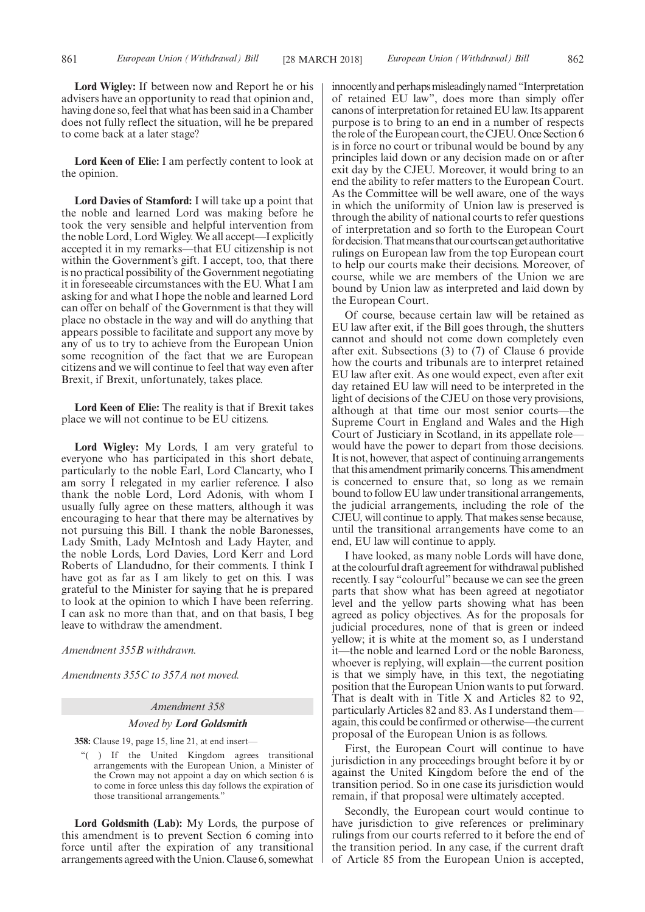**Lord Wigley:** If between now and Report he or his advisers have an opportunity to read that opinion and, having done so, feel that what has been said in a Chamber does not fully reflect the situation, will he be prepared to come back at a later stage?

**Lord Keen of Elie:** I am perfectly content to look at the opinion.

**Lord Davies of Stamford:** I will take up a point that the noble and learned Lord was making before he took the very sensible and helpful intervention from the noble Lord, Lord Wigley. We all accept—I explicitly accepted it in my remarks—that EU citizenship is not within the Government's gift. I accept, too, that there is no practical possibility of the Government negotiating it in foreseeable circumstances with the EU. What I am asking for and what I hope the noble and learned Lord can offer on behalf of the Government is that they will place no obstacle in the way and will do anything that appears possible to facilitate and support any move by any of us to try to achieve from the European Union some recognition of the fact that we are European citizens and we will continue to feel that way even after Brexit, if Brexit, unfortunately, takes place.

**Lord Keen of Elie:** The reality is that if Brexit takes place we will not continue to be EU citizens.

**Lord Wigley:** My Lords, I am very grateful to everyone who has participated in this short debate, particularly to the noble Earl, Lord Clancarty, who I am sorry I relegated in my earlier reference. I also thank the noble Lord, Lord Adonis, with whom I usually fully agree on these matters, although it was encouraging to hear that there may be alternatives by not pursuing this Bill. I thank the noble Baronesses, Lady Smith, Lady McIntosh and Lady Hayter, and the noble Lords, Lord Davies, Lord Kerr and Lord Roberts of Llandudno, for their comments. I think I have got as far as I am likely to get on this. I was grateful to the Minister for saying that he is prepared to look at the opinion to which I have been referring. I can ask no more than that, and on that basis, I beg leave to withdraw the amendment.

*Amendment 355B withdrawn.*

*Amendments 355C to 357A not moved.*

#### *Amendment 358*

#### *Moved by Lord Goldsmith*

**358:** Clause 19, page 15, line 21, at end insert—

"( ) If the United Kingdom agrees transitional arrangements with the European Union, a Minister of the Crown may not appoint a day on which section 6 is to come in force unless this day follows the expiration of those transitional arrangements."

**Lord Goldsmith (Lab):** My Lords, the purpose of this amendment is to prevent Section 6 coming into force until after the expiration of any transitional arrangements agreed with the Union. Clause 6, somewhat innocently and perhaps misleadingly named "Interpretation of retained EU law", does more than simply offer canons of interpretation for retained EU law. Its apparent purpose is to bring to an end in a number of respects the role of the European court, the CJEU. Once Section 6 is in force no court or tribunal would be bound by any principles laid down or any decision made on or after exit day by the CJEU. Moreover, it would bring to an end the ability to refer matters to the European Court. As the Committee will be well aware, one of the ways in which the uniformity of Union law is preserved is through the ability of national courts to refer questions of interpretation and so forth to the European Court for decision. That means that our courts can get authoritative rulings on European law from the top European court to help our courts make their decisions. Moreover, of course, while we are members of the Union we are bound by Union law as interpreted and laid down by the European Court.

Of course, because certain law will be retained as EU law after exit, if the Bill goes through, the shutters cannot and should not come down completely even after exit. Subsections (3) to (7) of Clause 6 provide how the courts and tribunals are to interpret retained EU law after exit. As one would expect, even after exit day retained EU law will need to be interpreted in the light of decisions of the CJEU on those very provisions, although at that time our most senior courts—the Supreme Court in England and Wales and the High Court of Justiciary in Scotland, in its appellate role would have the power to depart from those decisions. It is not, however, that aspect of continuing arrangements that this amendment primarily concerns. This amendment is concerned to ensure that, so long as we remain bound to follow EU law under transitional arrangements, the judicial arrangements, including the role of the CJEU, will continue to apply. That makes sense because, until the transitional arrangements have come to an end, EU law will continue to apply.

I have looked, as many noble Lords will have done, at the colourful draft agreement for withdrawal published recently. I say "colourful" because we can see the green parts that show what has been agreed at negotiator level and the yellow parts showing what has been agreed as policy objectives. As for the proposals for judicial procedures, none of that is green or indeed yellow; it is white at the moment so, as I understand it—the noble and learned Lord or the noble Baroness, whoever is replying, will explain—the current position is that we simply have, in this text, the negotiating position that the European Union wants to put forward. That is dealt with in Title X and Articles 82 to 92, particularly Articles 82 and 83. As I understand them again, this could be confirmed or otherwise—the current proposal of the European Union is as follows.

First, the European Court will continue to have jurisdiction in any proceedings brought before it by or against the United Kingdom before the end of the transition period. So in one case its jurisdiction would remain, if that proposal were ultimately accepted.

Secondly, the European court would continue to have jurisdiction to give references or preliminary rulings from our courts referred to it before the end of the transition period. In any case, if the current draft of Article 85 from the European Union is accepted,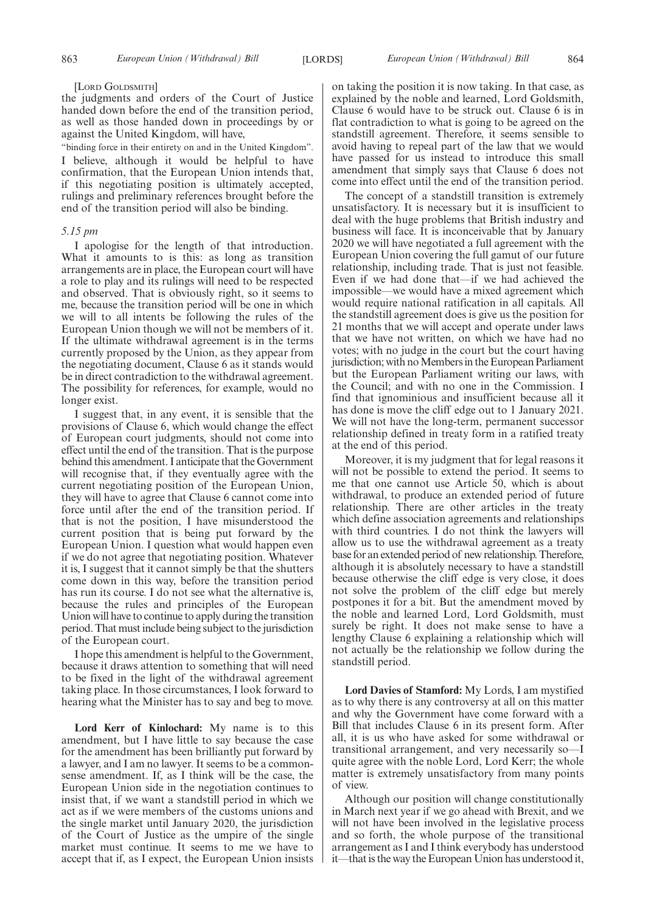#### [LORD GOLDSMITH]

the judgments and orders of the Court of Justice handed down before the end of the transition period, as well as those handed down in proceedings by or against the United Kingdom, will have,

"binding force in their entirety on and in the United Kingdom". I believe, although it would be helpful to have confirmation, that the European Union intends that, if this negotiating position is ultimately accepted, rulings and preliminary references brought before the end of the transition period will also be binding.

## *5.15 pm*

I apologise for the length of that introduction. What it amounts to is this: as long as transition arrangements are in place, the European court will have a role to play and its rulings will need to be respected and observed. That is obviously right, so it seems to me, because the transition period will be one in which we will to all intents be following the rules of the European Union though we will not be members of it. If the ultimate withdrawal agreement is in the terms currently proposed by the Union, as they appear from the negotiating document, Clause 6 as it stands would be in direct contradiction to the withdrawal agreement. The possibility for references, for example, would no longer exist.

I suggest that, in any event, it is sensible that the provisions of Clause 6, which would change the effect of European court judgments, should not come into effect until the end of the transition. That is the purpose behind this amendment. I anticipate that the Government will recognise that, if they eventually agree with the current negotiating position of the European Union, they will have to agree that Clause 6 cannot come into force until after the end of the transition period. If that is not the position, I have misunderstood the current position that is being put forward by the European Union. I question what would happen even if we do not agree that negotiating position. Whatever it is, I suggest that it cannot simply be that the shutters come down in this way, before the transition period has run its course. I do not see what the alternative is, because the rules and principles of the European Union will have to continue to apply during the transition period. That must include being subject to the jurisdiction of the European court.

I hope this amendment is helpful to the Government, because it draws attention to something that will need to be fixed in the light of the withdrawal agreement taking place. In those circumstances, I look forward to hearing what the Minister has to say and beg to move.

**Lord Kerr of Kinlochard:** My name is to this amendment, but I have little to say because the case for the amendment has been brilliantly put forward by a lawyer, and I am no lawyer. It seems to be a commonsense amendment. If, as I think will be the case, the European Union side in the negotiation continues to insist that, if we want a standstill period in which we act as if we were members of the customs unions and the single market until January 2020, the jurisdiction of the Court of Justice as the umpire of the single market must continue. It seems to me we have to accept that if, as I expect, the European Union insists on taking the position it is now taking. In that case, as explained by the noble and learned, Lord Goldsmith, Clause 6 would have to be struck out. Clause 6 is in flat contradiction to what is going to be agreed on the standstill agreement. Therefore, it seems sensible to avoid having to repeal part of the law that we would have passed for us instead to introduce this small amendment that simply says that Clause 6 does not come into effect until the end of the transition period.

The concept of a standstill transition is extremely unsatisfactory. It is necessary but it is insufficient to deal with the huge problems that British industry and business will face. It is inconceivable that by January 2020 we will have negotiated a full agreement with the European Union covering the full gamut of our future relationship, including trade. That is just not feasible. Even if we had done that—if we had achieved the impossible—we would have a mixed agreement which would require national ratification in all capitals. All the standstill agreement does is give us the position for 21 months that we will accept and operate under laws that we have not written, on which we have had no votes; with no judge in the court but the court having jurisdiction; with no Members in the European Parliament but the European Parliament writing our laws, with the Council; and with no one in the Commission. I find that ignominious and insufficient because all it has done is move the cliff edge out to 1 January 2021. We will not have the long-term, permanent successor relationship defined in treaty form in a ratified treaty at the end of this period.

Moreover, it is my judgment that for legal reasons it will not be possible to extend the period. It seems to me that one cannot use Article 50, which is about withdrawal, to produce an extended period of future relationship. There are other articles in the treaty which define association agreements and relationships with third countries. I do not think the lawyers will allow us to use the withdrawal agreement as a treaty base for an extended period of new relationship. Therefore, although it is absolutely necessary to have a standstill because otherwise the cliff edge is very close, it does not solve the problem of the cliff edge but merely postpones it for a bit. But the amendment moved by the noble and learned Lord, Lord Goldsmith, must surely be right. It does not make sense to have a lengthy Clause 6 explaining a relationship which will not actually be the relationship we follow during the standstill period.

**Lord Davies of Stamford:** My Lords, I am mystified as to why there is any controversy at all on this matter and why the Government have come forward with a Bill that includes Clause 6 in its present form. After all, it is us who have asked for some withdrawal or transitional arrangement, and very necessarily so—I quite agree with the noble Lord, Lord Kerr; the whole matter is extremely unsatisfactory from many points of view.

Although our position will change constitutionally in March next year if we go ahead with Brexit, and we will not have been involved in the legislative process and so forth, the whole purpose of the transitional arrangement as I and I think everybody has understood it—that is the way the European Union has understood it,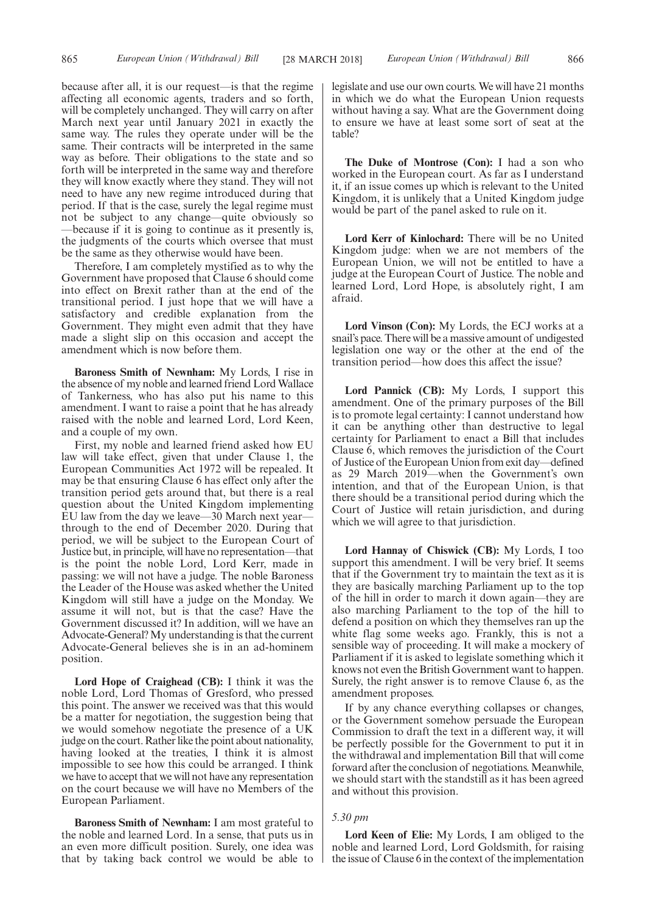because after all, it is our request—is that the regime affecting all economic agents, traders and so forth, will be completely unchanged. They will carry on after March next year until January 2021 in exactly the same way. The rules they operate under will be the same. Their contracts will be interpreted in the same way as before. Their obligations to the state and so forth will be interpreted in the same way and therefore they will know exactly where they stand. They will not need to have any new regime introduced during that period. If that is the case, surely the legal regime must not be subject to any change—quite obviously so —because if it is going to continue as it presently is, the judgments of the courts which oversee that must be the same as they otherwise would have been.

Therefore, I am completely mystified as to why the Government have proposed that Clause 6 should come into effect on Brexit rather than at the end of the transitional period. I just hope that we will have a satisfactory and credible explanation from the Government. They might even admit that they have made a slight slip on this occasion and accept the amendment which is now before them.

**Baroness Smith of Newnham:** My Lords, I rise in the absence of my noble and learned friend Lord Wallace of Tankerness, who has also put his name to this amendment. I want to raise a point that he has already raised with the noble and learned Lord, Lord Keen, and a couple of my own.

First, my noble and learned friend asked how EU law will take effect, given that under Clause 1, the European Communities Act 1972 will be repealed. It may be that ensuring Clause 6 has effect only after the transition period gets around that, but there is a real question about the United Kingdom implementing EU law from the day we leave—30 March next year through to the end of December 2020. During that period, we will be subject to the European Court of Justice but, in principle, will have no representation—that is the point the noble Lord, Lord Kerr, made in passing: we will not have a judge. The noble Baroness the Leader of the House was asked whether the United Kingdom will still have a judge on the Monday. We assume it will not, but is that the case? Have the Government discussed it? In addition, will we have an Advocate-General? My understanding is that the current Advocate-General believes she is in an ad-hominem position.

**Lord Hope of Craighead (CB):** I think it was the noble Lord, Lord Thomas of Gresford, who pressed this point. The answer we received was that this would be a matter for negotiation, the suggestion being that we would somehow negotiate the presence of a UK judge on the court. Rather like the point about nationality, having looked at the treaties, I think it is almost impossible to see how this could be arranged. I think we have to accept that we will not have any representation on the court because we will have no Members of the European Parliament.

**Baroness Smith of Newnham:** I am most grateful to the noble and learned Lord. In a sense, that puts us in an even more difficult position. Surely, one idea was that by taking back control we would be able to legislate and use our own courts. We will have 21 months in which we do what the European Union requests without having a say. What are the Government doing to ensure we have at least some sort of seat at the table?

**The Duke of Montrose (Con):** I had a son who worked in the European court. As far as I understand it, if an issue comes up which is relevant to the United Kingdom, it is unlikely that a United Kingdom judge would be part of the panel asked to rule on it.

**Lord Kerr of Kinlochard:** There will be no United Kingdom judge: when we are not members of the European Union, we will not be entitled to have a judge at the European Court of Justice. The noble and learned Lord, Lord Hope, is absolutely right, I am afraid.

**Lord Vinson (Con):** My Lords, the ECJ works at a snail's pace. There will be a massive amount of undigested legislation one way or the other at the end of the transition period—how does this affect the issue?

**Lord Pannick (CB):** My Lords, I support this amendment. One of the primary purposes of the Bill is to promote legal certainty: I cannot understand how it can be anything other than destructive to legal certainty for Parliament to enact a Bill that includes Clause 6, which removes the jurisdiction of the Court of Justice of the European Union from exit day—defined as 29 March 2019—when the Government's own intention, and that of the European Union, is that there should be a transitional period during which the Court of Justice will retain jurisdiction, and during which we will agree to that jurisdiction.

**Lord Hannay of Chiswick (CB):** My Lords, I too support this amendment. I will be very brief. It seems that if the Government try to maintain the text as it is they are basically marching Parliament up to the top of the hill in order to march it down again—they are also marching Parliament to the top of the hill to defend a position on which they themselves ran up the white flag some weeks ago. Frankly, this is not a sensible way of proceeding. It will make a mockery of Parliament if it is asked to legislate something which it knows not even the British Government want to happen. Surely, the right answer is to remove Clause 6, as the amendment proposes.

If by any chance everything collapses or changes, or the Government somehow persuade the European Commission to draft the text in a different way, it will be perfectly possible for the Government to put it in the withdrawal and implementation Bill that will come forward after the conclusion of negotiations. Meanwhile, we should start with the standstill as it has been agreed and without this provision.

#### *5.30 pm*

**Lord Keen of Elie:** My Lords, I am obliged to the noble and learned Lord, Lord Goldsmith, for raising the issue of Clause 6 in the context of the implementation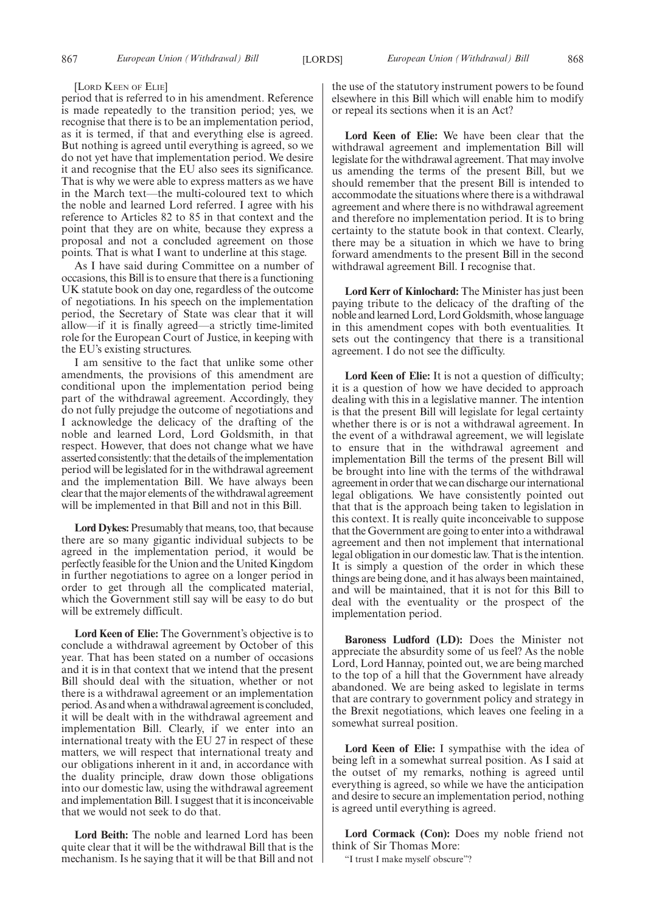#### [LORD KEEN OF ELIE]

period that is referred to in his amendment. Reference is made repeatedly to the transition period; yes, we recognise that there is to be an implementation period, as it is termed, if that and everything else is agreed. But nothing is agreed until everything is agreed, so we do not yet have that implementation period. We desire it and recognise that the EU also sees its significance. That is why we were able to express matters as we have in the March text—the multi-coloured text to which the noble and learned Lord referred. I agree with his reference to Articles 82 to 85 in that context and the point that they are on white, because they express a proposal and not a concluded agreement on those points. That is what I want to underline at this stage.

As I have said during Committee on a number of occasions, this Bill is to ensure that there is a functioning UK statute book on day one, regardless of the outcome of negotiations. In his speech on the implementation period, the Secretary of State was clear that it will allow—if it is finally agreed—a strictly time-limited role for the European Court of Justice, in keeping with the EU's existing structures.

I am sensitive to the fact that unlike some other amendments, the provisions of this amendment are conditional upon the implementation period being part of the withdrawal agreement. Accordingly, they do not fully prejudge the outcome of negotiations and I acknowledge the delicacy of the drafting of the noble and learned Lord, Lord Goldsmith, in that respect. However, that does not change what we have asserted consistently: that the details of the implementation period will be legislated for in the withdrawal agreement and the implementation Bill. We have always been clear that the major elements of the withdrawal agreement will be implemented in that Bill and not in this Bill.

**Lord Dykes:** Presumably that means, too, that because there are so many gigantic individual subjects to be agreed in the implementation period, it would be perfectly feasible for the Union and the United Kingdom in further negotiations to agree on a longer period in order to get through all the complicated material, which the Government still say will be easy to do but will be extremely difficult.

**Lord Keen of Elie:** The Government's objective is to conclude a withdrawal agreement by October of this year. That has been stated on a number of occasions and it is in that context that we intend that the present Bill should deal with the situation, whether or not there is a withdrawal agreement or an implementation period. As and when a withdrawal agreement is concluded, it will be dealt with in the withdrawal agreement and implementation Bill. Clearly, if we enter into an international treaty with the EU 27 in respect of these matters, we will respect that international treaty and our obligations inherent in it and, in accordance with the duality principle, draw down those obligations into our domestic law, using the withdrawal agreement and implementation Bill. I suggest that it is inconceivable that we would not seek to do that.

**Lord Beith:** The noble and learned Lord has been quite clear that it will be the withdrawal Bill that is the mechanism. Is he saying that it will be that Bill and not the use of the statutory instrument powers to be found elsewhere in this Bill which will enable him to modify or repeal its sections when it is an Act?

**Lord Keen of Elie:** We have been clear that the withdrawal agreement and implementation Bill will legislate for the withdrawal agreement. That may involve us amending the terms of the present Bill, but we should remember that the present Bill is intended to accommodate the situations where there is a withdrawal agreement and where there is no withdrawal agreement and therefore no implementation period. It is to bring certainty to the statute book in that context. Clearly, there may be a situation in which we have to bring forward amendments to the present Bill in the second withdrawal agreement Bill. I recognise that.

**Lord Kerr of Kinlochard:** The Minister has just been paying tribute to the delicacy of the drafting of the noble and learned Lord, Lord Goldsmith, whose language in this amendment copes with both eventualities. It sets out the contingency that there is a transitional agreement. I do not see the difficulty.

**Lord Keen of Elie:** It is not a question of difficulty; it is a question of how we have decided to approach dealing with this in a legislative manner. The intention is that the present Bill will legislate for legal certainty whether there is or is not a withdrawal agreement. In the event of a withdrawal agreement, we will legislate to ensure that in the withdrawal agreement and implementation Bill the terms of the present Bill will be brought into line with the terms of the withdrawal agreement in order that we can discharge our international legal obligations. We have consistently pointed out that that is the approach being taken to legislation in this context. It is really quite inconceivable to suppose that the Government are going to enter into a withdrawal agreement and then not implement that international legal obligation in our domestic law. That is the intention. It is simply a question of the order in which these things are being done, and it has always been maintained, and will be maintained, that it is not for this Bill to deal with the eventuality or the prospect of the implementation period.

**Baroness Ludford (LD):** Does the Minister not appreciate the absurdity some of us feel? As the noble Lord, Lord Hannay, pointed out, we are being marched to the top of a hill that the Government have already abandoned. We are being asked to legislate in terms that are contrary to government policy and strategy in the Brexit negotiations, which leaves one feeling in a somewhat surreal position.

**Lord Keen of Elie:** I sympathise with the idea of being left in a somewhat surreal position. As I said at the outset of my remarks, nothing is agreed until everything is agreed, so while we have the anticipation and desire to secure an implementation period, nothing is agreed until everything is agreed.

**Lord Cormack (Con):** Does my noble friend not think of Sir Thomas More:

"I trust I make myself obscure"?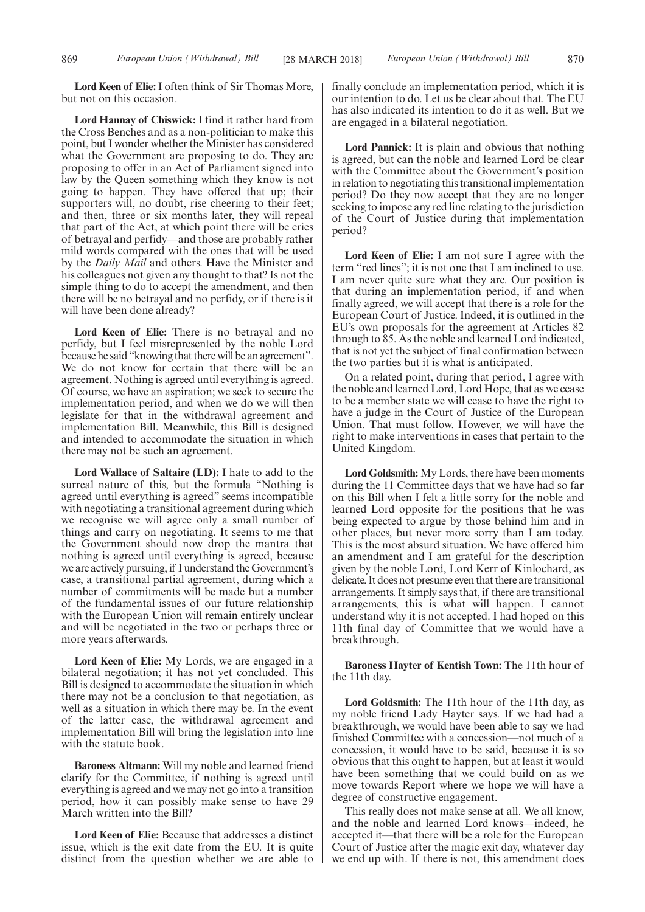**Lord Keen of Elie:**I often think of Sir Thomas More, but not on this occasion.

**Lord Hannay of Chiswick:** I find it rather hard from the Cross Benches and as a non-politician to make this point, but I wonder whether the Minister has considered what the Government are proposing to do. They are proposing to offer in an Act of Parliament signed into law by the Queen something which they know is not going to happen. They have offered that up; their supporters will, no doubt, rise cheering to their feet; and then, three or six months later, they will repeal that part of the Act, at which point there will be cries of betrayal and perfidy—and those are probably rather mild words compared with the ones that will be used by the *Daily Mail* and others. Have the Minister and his colleagues not given any thought to that? Is not the simple thing to do to accept the amendment, and then there will be no betrayal and no perfidy, or if there is it will have been done already?

**Lord Keen of Elie:** There is no betrayal and no perfidy, but I feel misrepresented by the noble Lord because he said "knowing that there will be an agreement". We do not know for certain that there will be an agreement. Nothing is agreed until everything is agreed. Of course, we have an aspiration; we seek to secure the implementation period, and when we do we will then legislate for that in the withdrawal agreement and implementation Bill. Meanwhile, this Bill is designed and intended to accommodate the situation in which there may not be such an agreement.

**Lord Wallace of Saltaire (LD):** I hate to add to the surreal nature of this, but the formula "Nothing is agreed until everything is agreed" seems incompatible with negotiating a transitional agreement during which we recognise we will agree only a small number of things and carry on negotiating. It seems to me that the Government should now drop the mantra that nothing is agreed until everything is agreed, because we are actively pursuing, if I understand the Government's case, a transitional partial agreement, during which a number of commitments will be made but a number of the fundamental issues of our future relationship with the European Union will remain entirely unclear and will be negotiated in the two or perhaps three or more years afterwards.

**Lord Keen of Elie:** My Lords, we are engaged in a bilateral negotiation; it has not yet concluded. This Bill is designed to accommodate the situation in which there may not be a conclusion to that negotiation, as well as a situation in which there may be. In the event of the latter case, the withdrawal agreement and implementation Bill will bring the legislation into line with the statute book.

**Baroness Altmann:** Will my noble and learned friend clarify for the Committee, if nothing is agreed until everything is agreed and we may not go into a transition period, how it can possibly make sense to have 29 March written into the Bill?

**Lord Keen of Elie:** Because that addresses a distinct issue, which is the exit date from the EU. It is quite distinct from the question whether we are able to finally conclude an implementation period, which it is our intention to do. Let us be clear about that. The EU has also indicated its intention to do it as well. But we are engaged in a bilateral negotiation.

**Lord Pannick:** It is plain and obvious that nothing is agreed, but can the noble and learned Lord be clear with the Committee about the Government's position in relation to negotiating this transitional implementation period? Do they now accept that they are no longer seeking to impose any red line relating to the jurisdiction of the Court of Justice during that implementation period?

**Lord Keen of Elie:** I am not sure I agree with the term "red lines"; it is not one that I am inclined to use. I am never quite sure what they are. Our position is that during an implementation period, if and when finally agreed, we will accept that there is a role for the European Court of Justice. Indeed, it is outlined in the EU's own proposals for the agreement at Articles 82 through to 85. As the noble and learned Lord indicated, that is not yet the subject of final confirmation between the two parties but it is what is anticipated.

On a related point, during that period, I agree with the noble and learned Lord, Lord Hope, that as we cease to be a member state we will cease to have the right to have a judge in the Court of Justice of the European Union. That must follow. However, we will have the right to make interventions in cases that pertain to the United Kingdom.

**Lord Goldsmith:** My Lords, there have been moments during the 11 Committee days that we have had so far on this Bill when I felt a little sorry for the noble and learned Lord opposite for the positions that he was being expected to argue by those behind him and in other places, but never more sorry than I am today. This is the most absurd situation. We have offered him an amendment and I am grateful for the description given by the noble Lord, Lord Kerr of Kinlochard, as delicate. It does not presume even that there are transitional arrangements. It simply says that, if there are transitional arrangements, this is what will happen. I cannot understand why it is not accepted. I had hoped on this 11th final day of Committee that we would have a breakthrough.

**Baroness Hayter of Kentish Town:** The 11th hour of the 11th day.

**Lord Goldsmith:** The 11th hour of the 11th day, as my noble friend Lady Hayter says. If we had had a breakthrough, we would have been able to say we had finished Committee with a concession—not much of a concession, it would have to be said, because it is so obvious that this ought to happen, but at least it would have been something that we could build on as we move towards Report where we hope we will have a degree of constructive engagement.

This really does not make sense at all. We all know, and the noble and learned Lord knows—indeed, he accepted it—that there will be a role for the European Court of Justice after the magic exit day, whatever day we end up with. If there is not, this amendment does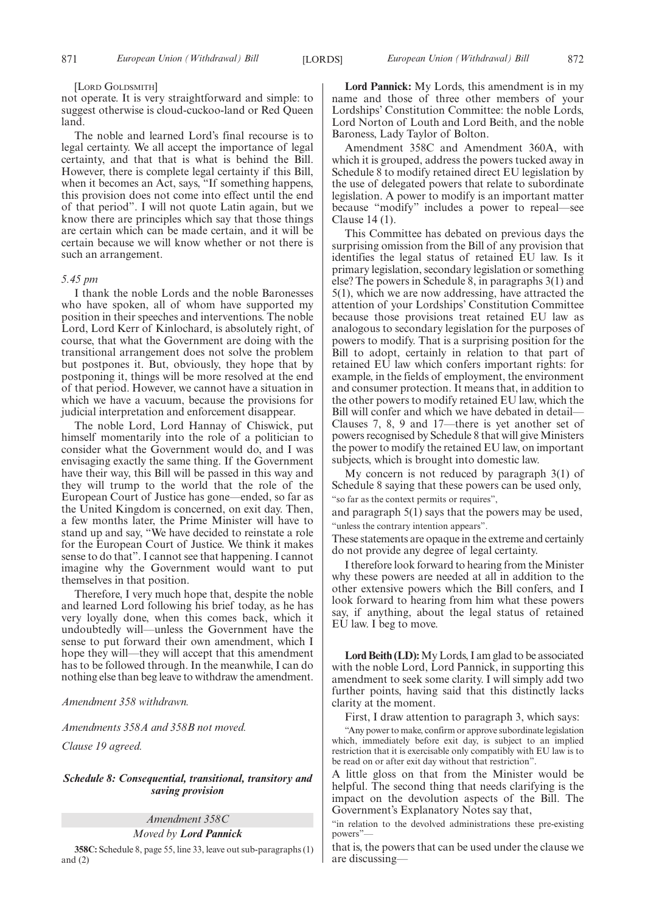#### [LORD GOLDSMITH]

not operate. It is very straightforward and simple: to suggest otherwise is cloud-cuckoo-land or Red Queen land.

The noble and learned Lord's final recourse is to legal certainty. We all accept the importance of legal certainty, and that that is what is behind the Bill. However, there is complete legal certainty if this Bill, when it becomes an Act, says, "If something happens, this provision does not come into effect until the end of that period". I will not quote Latin again, but we know there are principles which say that those things are certain which can be made certain, and it will be certain because we will know whether or not there is such an arrangement.

#### *5.45 pm*

I thank the noble Lords and the noble Baronesses who have spoken, all of whom have supported my position in their speeches and interventions. The noble Lord, Lord Kerr of Kinlochard, is absolutely right, of course, that what the Government are doing with the transitional arrangement does not solve the problem but postpones it. But, obviously, they hope that by postponing it, things will be more resolved at the end of that period. However, we cannot have a situation in which we have a vacuum, because the provisions for judicial interpretation and enforcement disappear.

The noble Lord, Lord Hannay of Chiswick, put himself momentarily into the role of a politician to consider what the Government would do, and I was envisaging exactly the same thing. If the Government have their way, this Bill will be passed in this way and they will trump to the world that the role of the European Court of Justice has gone—ended, so far as the United Kingdom is concerned, on exit day. Then, a few months later, the Prime Minister will have to stand up and say, "We have decided to reinstate a role for the European Court of Justice. We think it makes sense to do that". I cannot see that happening. I cannot imagine why the Government would want to put themselves in that position.

Therefore, I very much hope that, despite the noble and learned Lord following his brief today, as he has very loyally done, when this comes back, which it undoubtedly will—unless the Government have the sense to put forward their own amendment, which I hope they will—they will accept that this amendment has to be followed through. In the meanwhile, I can do nothing else than beg leave to withdraw the amendment.

*Amendment 358 withdrawn.*

*Amendments 358A and 358B not moved.*

*Clause 19 agreed.*

## *Schedule 8: Consequential, transitional, transitory and saving provision*

*Amendment 358C*

## *Moved by Lord Pannick*

**358C:** Schedule 8, page 55, line 33, leave out sub-paragraphs (1) and  $(2)$ 

**Lord Pannick:** My Lords, this amendment is in my name and those of three other members of your Lordships' Constitution Committee: the noble Lords, Lord Norton of Louth and Lord Beith, and the noble Baroness, Lady Taylor of Bolton.

Amendment 358C and Amendment 360A, with which it is grouped, address the powers tucked away in Schedule 8 to modify retained direct EU legislation by the use of delegated powers that relate to subordinate legislation. A power to modify is an important matter because "modify" includes a power to repeal—see Clause 14 (1).

This Committee has debated on previous days the surprising omission from the Bill of any provision that identifies the legal status of retained EU law. Is it primary legislation, secondary legislation or something else? The powers in Schedule 8, in paragraphs 3(1) and 5(1), which we are now addressing, have attracted the attention of your Lordships' Constitution Committee because those provisions treat retained EU law as analogous to secondary legislation for the purposes of powers to modify. That is a surprising position for the Bill to adopt, certainly in relation to that part of retained EU law which confers important rights: for example, in the fields of employment, the environment and consumer protection. It means that, in addition to the other powers to modify retained EU law, which the Bill will confer and which we have debated in detail— Clauses 7, 8, 9 and 17—there is yet another set of powers recognised by Schedule 8 that will give Ministers the power to modify the retained EU law, on important subjects, which is brought into domestic law.

My concern is not reduced by paragraph 3(1) of Schedule 8 saying that these powers can be used only, "so far as the context permits or requires",

and paragraph 5(1) says that the powers may be used, "unless the contrary intention appears".

These statements are opaque in the extreme and certainly do not provide any degree of legal certainty.

I therefore look forward to hearing from the Minister why these powers are needed at all in addition to the other extensive powers which the Bill confers, and I look forward to hearing from him what these powers say, if anything, about the legal status of retained EU law. I beg to move.

**Lord Beith (LD):**My Lords, I am glad to be associated with the noble Lord, Lord Pannick, in supporting this amendment to seek some clarity. I will simply add two further points, having said that this distinctly lacks clarity at the moment.

First, I draw attention to paragraph 3, which says:

"Any power to make, confirm or approve subordinate legislation which, immediately before exit day, is subject to an implied restriction that it is exercisable only compatibly with EU law is to be read on or after exit day without that restriction".

A little gloss on that from the Minister would be helpful. The second thing that needs clarifying is the impact on the devolution aspects of the Bill. The Government's Explanatory Notes say that,

"in relation to the devolved administrations these pre-existing powers"—

that is, the powers that can be used under the clause we are discussing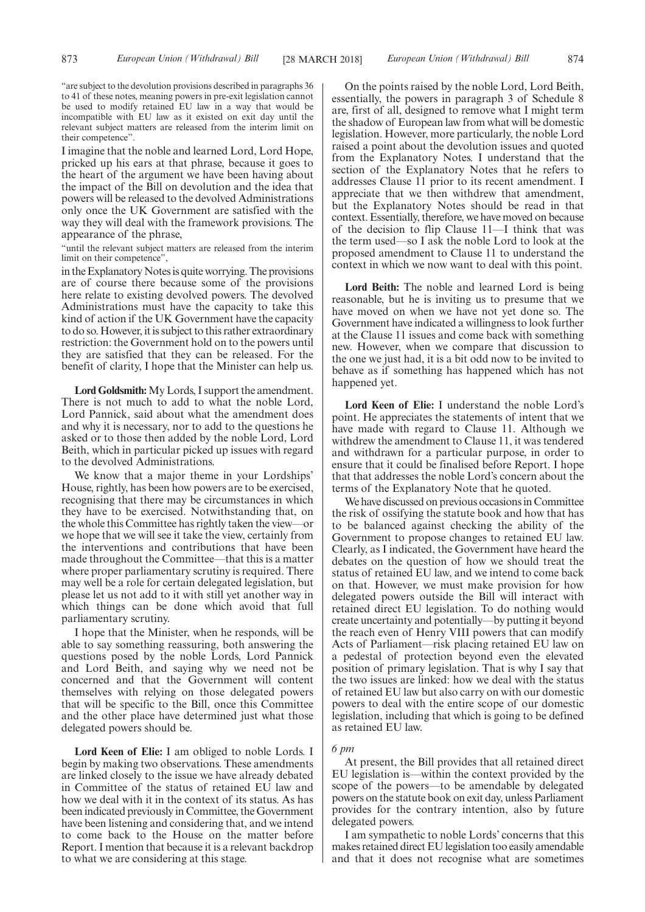"are subject to the devolution provisions described in paragraphs 36 to 41 of these notes, meaning powers in pre-exit legislation cannot be used to modify retained EU law in a way that would be incompatible with EU law as it existed on exit day until the relevant subject matters are released from the interim limit on their competence".

I imagine that the noble and learned Lord, Lord Hope, pricked up his ears at that phrase, because it goes to the heart of the argument we have been having about the impact of the Bill on devolution and the idea that powers will be released to the devolved Administrations only once the UK Government are satisfied with the way they will deal with the framework provisions. The appearance of the phrase,

"until the relevant subject matters are released from the interim limit on their competence",

in the Explanatory Notes is quite worrying. The provisions are of course there because some of the provisions here relate to existing devolved powers. The devolved Administrations must have the capacity to take this kind of action if the UK Government have the capacity to do so. However, it is subject to this rather extraordinary restriction: the Government hold on to the powers until they are satisfied that they can be released. For the benefit of clarity, I hope that the Minister can help us.

**Lord Goldsmith:**My Lords, I support the amendment. There is not much to add to what the noble Lord, Lord Pannick, said about what the amendment does and why it is necessary, nor to add to the questions he asked or to those then added by the noble Lord, Lord Beith, which in particular picked up issues with regard to the devolved Administrations.

We know that a major theme in your Lordships' House, rightly, has been how powers are to be exercised, recognising that there may be circumstances in which they have to be exercised. Notwithstanding that, on the whole this Committee has rightly taken the view—or we hope that we will see it take the view, certainly from the interventions and contributions that have been made throughout the Committee—that this is a matter where proper parliamentary scrutiny is required. There may well be a role for certain delegated legislation, but please let us not add to it with still yet another way in which things can be done which avoid that full parliamentary scrutiny.

I hope that the Minister, when he responds, will be able to say something reassuring, both answering the questions posed by the noble Lords, Lord Pannick and Lord Beith, and saying why we need not be concerned and that the Government will content themselves with relying on those delegated powers that will be specific to the Bill, once this Committee and the other place have determined just what those delegated powers should be.

**Lord Keen of Elie:** I am obliged to noble Lords. I begin by making two observations. These amendments are linked closely to the issue we have already debated in Committee of the status of retained EU law and how we deal with it in the context of its status. As has been indicated previously in Committee, the Government have been listening and considering that, and we intend to come back to the House on the matter before Report. I mention that because it is a relevant backdrop to what we are considering at this stage.

On the points raised by the noble Lord, Lord Beith, essentially, the powers in paragraph 3 of Schedule 8 are, first of all, designed to remove what I might term the shadow of European law from what will be domestic legislation. However, more particularly, the noble Lord raised a point about the devolution issues and quoted from the Explanatory Notes. I understand that the section of the Explanatory Notes that he refers to addresses Clause 11 prior to its recent amendment. I appreciate that we then withdrew that amendment, but the Explanatory Notes should be read in that context. Essentially, therefore, we have moved on because of the decision to flip Clause 11—I think that was the term used—so I ask the noble Lord to look at the proposed amendment to Clause 11 to understand the context in which we now want to deal with this point.

**Lord Beith:** The noble and learned Lord is being reasonable, but he is inviting us to presume that we have moved on when we have not yet done so. The Government have indicated a willingness to look further at the Clause 11 issues and come back with something new. However, when we compare that discussion to the one we just had, it is a bit odd now to be invited to behave as if something has happened which has not happened yet.

**Lord Keen of Elie:** I understand the noble Lord's point. He appreciates the statements of intent that we have made with regard to Clause 11. Although we withdrew the amendment to Clause 11, it was tendered and withdrawn for a particular purpose, in order to ensure that it could be finalised before Report. I hope that that addresses the noble Lord's concern about the terms of the Explanatory Note that he quoted.

We have discussed on previous occasions in Committee the risk of ossifying the statute book and how that has to be balanced against checking the ability of the Government to propose changes to retained EU law. Clearly, as I indicated, the Government have heard the debates on the question of how we should treat the status of retained EU law, and we intend to come back on that. However, we must make provision for how delegated powers outside the Bill will interact with retained direct EU legislation. To do nothing would create uncertainty and potentially—by putting it beyond the reach even of Henry VIII powers that can modify Acts of Parliament—risk placing retained EU law on a pedestal of protection beyond even the elevated position of primary legislation. That is why I say that the two issues are linked: how we deal with the status of retained EU law but also carry on with our domestic powers to deal with the entire scope of our domestic legislation, including that which is going to be defined as retained EU law.

#### *6 pm*

At present, the Bill provides that all retained direct EU legislation is—within the context provided by the scope of the powers—to be amendable by delegated powers on the statute book on exit day, unless Parliament provides for the contrary intention, also by future delegated powers.

I am sympathetic to noble Lords' concerns that this makes retained direct EU legislation too easily amendable and that it does not recognise what are sometimes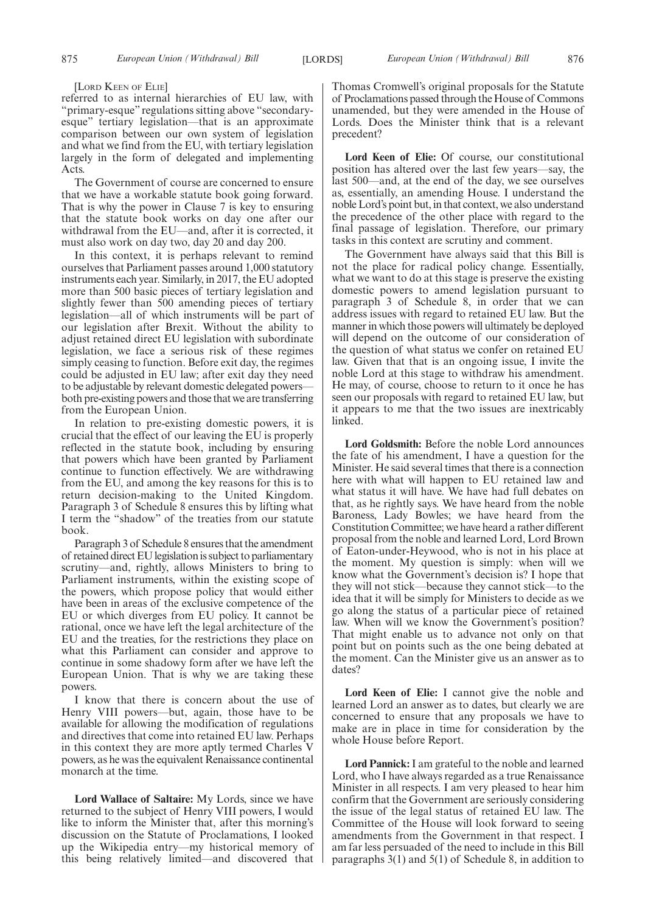#### [LORD KEEN OF ELIE]

referred to as internal hierarchies of EU law, with "primary-esque" regulations sitting above "secondaryesque" tertiary legislation—that is an approximate comparison between our own system of legislation and what we find from the EU, with tertiary legislation largely in the form of delegated and implementing Acts.

The Government of course are concerned to ensure that we have a workable statute book going forward. That is why the power in Clause 7 is key to ensuring that the statute book works on day one after our withdrawal from the EU—and, after it is corrected, it must also work on day two, day 20 and day 200.

In this context, it is perhaps relevant to remind ourselves that Parliament passes around 1,000 statutory instruments each year. Similarly, in 2017, the EU adopted more than 500 basic pieces of tertiary legislation and slightly fewer than 500 amending pieces of tertiary legislation—all of which instruments will be part of our legislation after Brexit. Without the ability to adjust retained direct EU legislation with subordinate legislation, we face a serious risk of these regimes simply ceasing to function. Before exit day, the regimes could be adjusted in EU law; after exit day they need to be adjustable by relevant domestic delegated powers both pre-existing powers and those that we are transferring from the European Union.

In relation to pre-existing domestic powers, it is crucial that the effect of our leaving the EU is properly reflected in the statute book, including by ensuring that powers which have been granted by Parliament continue to function effectively. We are withdrawing from the EU, and among the key reasons for this is to return decision-making to the United Kingdom. Paragraph 3 of Schedule 8 ensures this by lifting what I term the "shadow" of the treaties from our statute book.

Paragraph 3 of Schedule 8 ensures that the amendment of retained direct EU legislation is subject to parliamentary scrutiny—and, rightly, allows Ministers to bring to Parliament instruments, within the existing scope of the powers, which propose policy that would either have been in areas of the exclusive competence of the EU or which diverges from EU policy. It cannot be rational, once we have left the legal architecture of the EU and the treaties, for the restrictions they place on what this Parliament can consider and approve to continue in some shadowy form after we have left the European Union. That is why we are taking these powers.

I know that there is concern about the use of Henry VIII powers—but, again, those have to be available for allowing the modification of regulations and directives that come into retained EU law. Perhaps in this context they are more aptly termed Charles V powers, as he was the equivalent Renaissance continental monarch at the time.

**Lord Wallace of Saltaire:** My Lords, since we have returned to the subject of Henry VIII powers, I would like to inform the Minister that, after this morning's discussion on the Statute of Proclamations, I looked up the Wikipedia entry—my historical memory of this being relatively limited—and discovered that Thomas Cromwell's original proposals for the Statute of Proclamations passed through the House of Commons unamended, but they were amended in the House of Lords. Does the Minister think that is a relevant precedent?

**Lord Keen of Elie:** Of course, our constitutional position has altered over the last few years—say, the last 500—and, at the end of the day, we see ourselves as, essentially, an amending House. I understand the noble Lord's point but, in that context, we also understand the precedence of the other place with regard to the final passage of legislation. Therefore, our primary tasks in this context are scrutiny and comment.

The Government have always said that this Bill is not the place for radical policy change. Essentially, what we want to do at this stage is preserve the existing domestic powers to amend legislation pursuant to paragraph 3 of Schedule 8, in order that we can address issues with regard to retained EU law. But the manner in which those powers will ultimately be deployed will depend on the outcome of our consideration of the question of what status we confer on retained EU law. Given that that is an ongoing issue, I invite the noble Lord at this stage to withdraw his amendment. He may, of course, choose to return to it once he has seen our proposals with regard to retained EU law, but it appears to me that the two issues are inextricably linked.

**Lord Goldsmith:** Before the noble Lord announces the fate of his amendment, I have a question for the Minister. He said several times that there is a connection here with what will happen to EU retained law and what status it will have. We have had full debates on that, as he rightly says. We have heard from the noble Baroness, Lady Bowles; we have heard from the Constitution Committee; we have heard a rather different proposal from the noble and learned Lord, Lord Brown of Eaton-under-Heywood, who is not in his place at the moment. My question is simply: when will we know what the Government's decision is? I hope that they will not stick—because they cannot stick—to the idea that it will be simply for Ministers to decide as we go along the status of a particular piece of retained law. When will we know the Government's position? That might enable us to advance not only on that point but on points such as the one being debated at the moment. Can the Minister give us an answer as to dates?

**Lord Keen of Elie:** I cannot give the noble and learned Lord an answer as to dates, but clearly we are concerned to ensure that any proposals we have to make are in place in time for consideration by the whole House before Report.

**Lord Pannick:**I am grateful to the noble and learned Lord, who I have always regarded as a true Renaissance Minister in all respects. I am very pleased to hear him confirm that the Government are seriously considering the issue of the legal status of retained EU law. The Committee of the House will look forward to seeing amendments from the Government in that respect. I am far less persuaded of the need to include in this Bill paragraphs 3(1) and 5(1) of Schedule 8, in addition to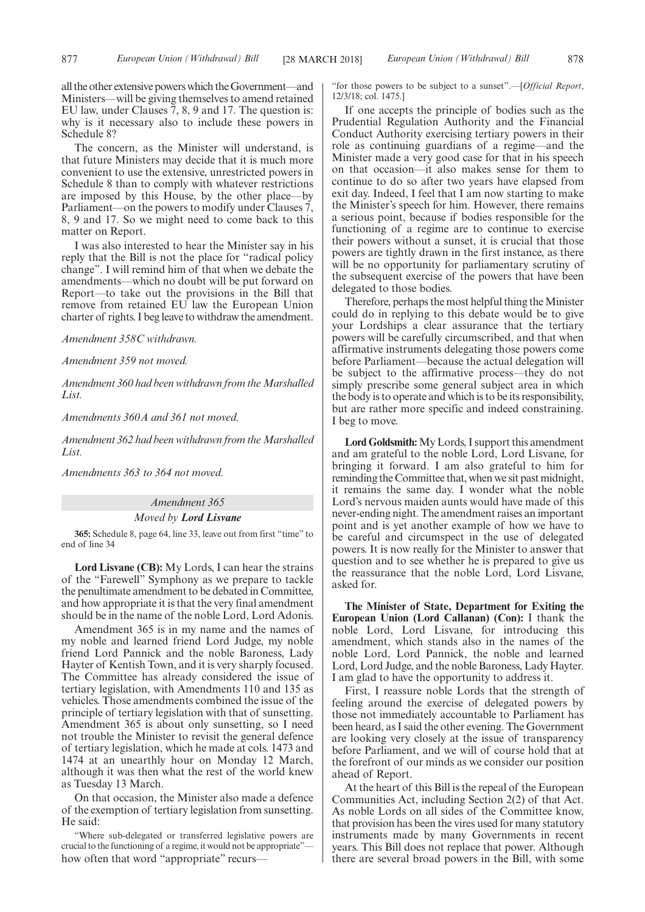all the other extensive powers which the Government—and Ministers—will be giving themselves to amend retained EU law, under Clauses 7, 8, 9 and 17. The question is: why is it necessary also to include these powers in Schedule 8?

The concern, as the Minister will understand, is that future Ministers may decide that it is much more convenient to use the extensive, unrestricted powers in Schedule 8 than to comply with whatever restrictions are imposed by this House, by the other place—by Parliament—on the powers to modify under Clauses 7, 8, 9 and 17. So we might need to come back to this matter on Report.

I was also interested to hear the Minister say in his reply that the Bill is not the place for "radical policy change". I will remind him of that when we debate the amendments—which no doubt will be put forward on Report—to take out the provisions in the Bill that remove from retained EU law the European Union charter of rights. I beg leave to withdraw the amendment.

*Amendment 358C withdrawn.*

*Amendment 359 not moved.*

*Amendment 360 had been withdrawn from the Marshalled List.*

*Amendments 360A and 361 not moved.*

*Amendment 362 had been withdrawn from the Marshalled List.*

*Amendments 363 to 364 not moved.*

*Amendment 365*

#### *Moved by Lord Lisvane*

**365:** Schedule 8, page 64, line 33, leave out from first "time" to end of line 34

**Lord Lisvane (CB):** My Lords, I can hear the strains of the "Farewell" Symphony as we prepare to tackle the penultimate amendment to be debated in Committee, and how appropriate it is that the very final amendment should be in the name of the noble Lord, Lord Adonis.

Amendment 365 is in my name and the names of my noble and learned friend Lord Judge, my noble friend Lord Pannick and the noble Baroness, Lady Hayter of Kentish Town, and it is very sharply focused. The Committee has already considered the issue of tertiary legislation, with Amendments 110 and 135 as vehicles. Those amendments combined the issue of the principle of tertiary legislation with that of sunsetting. Amendment 365 is about only sunsetting, so I need not trouble the Minister to revisit the general defence of tertiary legislation, which he made at cols. 1473 and 1474 at an unearthly hour on Monday 12 March, although it was then what the rest of the world knew as Tuesday 13 March.

On that occasion, the Minister also made a defence of the exemption of tertiary legislation from sunsetting. He said:

"Where sub-delegated or transferred legislative powers are crucial to the functioning of a regime, it would not be appropriate" how often that word "appropriate" recurs"for those powers to be subject to a sunset".—[*Official Report*, 12/3/18; col. 1475.]

If one accepts the principle of bodies such as the Prudential Regulation Authority and the Financial Conduct Authority exercising tertiary powers in their role as continuing guardians of a regime—and the Minister made a very good case for that in his speech on that occasion—it also makes sense for them to continue to do so after two years have elapsed from exit day. Indeed, I feel that I am now starting to make the Minister's speech for him. However, there remains a serious point, because if bodies responsible for the functioning of a regime are to continue to exercise their powers without a sunset, it is crucial that those powers are tightly drawn in the first instance, as there will be no opportunity for parliamentary scrutiny of the subsequent exercise of the powers that have been delegated to those bodies.

Therefore, perhaps the most helpful thing the Minister could do in replying to this debate would be to give your Lordships a clear assurance that the tertiary powers will be carefully circumscribed, and that when affirmative instruments delegating those powers come before Parliament—because the actual delegation will be subject to the affirmative process—they do not simply prescribe some general subject area in which the body is to operate and which is to be its responsibility, but are rather more specific and indeed constraining. I beg to move.

**Lord Goldsmith:**My Lords, I support this amendment and am grateful to the noble Lord, Lord Lisvane, for bringing it forward. I am also grateful to him for reminding the Committee that, when we sit past midnight, it remains the same day. I wonder what the noble Lord's nervous maiden aunts would have made of this never-ending night. The amendment raises an important point and is yet another example of how we have to be careful and circumspect in the use of delegated powers. It is now really for the Minister to answer that question and to see whether he is prepared to give us the reassurance that the noble Lord, Lord Lisvane, asked for.

**The Minister of State, Department for Exiting the European Union (Lord Callanan) (Con):** I thank the noble Lord, Lord Lisvane, for introducing this amendment, which stands also in the names of the noble Lord, Lord Pannick, the noble and learned Lord, Lord Judge, and the noble Baroness, Lady Hayter. I am glad to have the opportunity to address it.

First, I reassure noble Lords that the strength of feeling around the exercise of delegated powers by those not immediately accountable to Parliament has been heard, as I said the other evening. The Government are looking very closely at the issue of transparency before Parliament, and we will of course hold that at the forefront of our minds as we consider our position ahead of Report.

At the heart of this Bill is the repeal of the European Communities Act, including Section 2(2) of that Act. As noble Lords on all sides of the Committee know, that provision has been the vires used for many statutory instruments made by many Governments in recent years. This Bill does not replace that power. Although there are several broad powers in the Bill, with some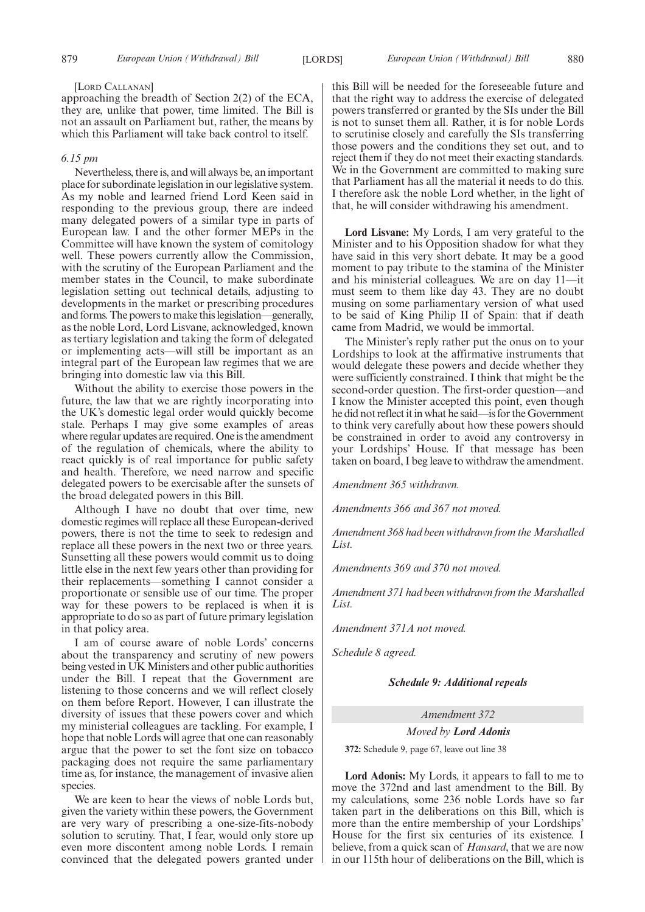#### [LORD CALLANAN]

approaching the breadth of Section 2(2) of the ECA, they are, unlike that power, time limited. The Bill is not an assault on Parliament but, rather, the means by which this Parliament will take back control to itself.

## *6.15 pm*

Nevertheless, there is, and will always be, an important place for subordinate legislation in our legislative system. As my noble and learned friend Lord Keen said in responding to the previous group, there are indeed many delegated powers of a similar type in parts of European law. I and the other former MEPs in the Committee will have known the system of comitology well. These powers currently allow the Commission, with the scrutiny of the European Parliament and the member states in the Council, to make subordinate legislation setting out technical details, adjusting to developments in the market or prescribing procedures and forms. The powers to make this legislation—generally, as the noble Lord, Lord Lisvane, acknowledged, known as tertiary legislation and taking the form of delegated or implementing acts—will still be important as an integral part of the European law regimes that we are bringing into domestic law via this Bill.

Without the ability to exercise those powers in the future, the law that we are rightly incorporating into the UK's domestic legal order would quickly become stale. Perhaps I may give some examples of areas where regular updates are required. One is the amendment of the regulation of chemicals, where the ability to react quickly is of real importance for public safety and health. Therefore, we need narrow and specific delegated powers to be exercisable after the sunsets of the broad delegated powers in this Bill.

Although I have no doubt that over time, new domestic regimes will replace all these European-derived powers, there is not the time to seek to redesign and replace all these powers in the next two or three years. Sunsetting all these powers would commit us to doing little else in the next few years other than providing for their replacements—something I cannot consider a proportionate or sensible use of our time. The proper way for these powers to be replaced is when it is appropriate to do so as part of future primary legislation in that policy area.

I am of course aware of noble Lords' concerns about the transparency and scrutiny of new powers being vested in UK Ministers and other public authorities under the Bill. I repeat that the Government are listening to those concerns and we will reflect closely on them before Report. However, I can illustrate the diversity of issues that these powers cover and which my ministerial colleagues are tackling. For example, I hope that noble Lords will agree that one can reasonably argue that the power to set the font size on tobacco packaging does not require the same parliamentary time as, for instance, the management of invasive alien species.

We are keen to hear the views of noble Lords but, given the variety within these powers, the Government are very wary of prescribing a one-size-fits-nobody solution to scrutiny. That, I fear, would only store up even more discontent among noble Lords. I remain convinced that the delegated powers granted under

this Bill will be needed for the foreseeable future and that the right way to address the exercise of delegated powers transferred or granted by the SIs under the Bill is not to sunset them all. Rather, it is for noble Lords to scrutinise closely and carefully the SIs transferring those powers and the conditions they set out, and to reject them if they do not meet their exacting standards. We in the Government are committed to making sure that Parliament has all the material it needs to do this. I therefore ask the noble Lord whether, in the light of that, he will consider withdrawing his amendment.

**Lord Lisvane:** My Lords, I am very grateful to the Minister and to his Opposition shadow for what they have said in this very short debate. It may be a good moment to pay tribute to the stamina of the Minister and his ministerial colleagues. We are on day 11—it must seem to them like day 43. They are no doubt musing on some parliamentary version of what used to be said of King Philip II of Spain: that if death came from Madrid, we would be immortal.

The Minister's reply rather put the onus on to your Lordships to look at the affirmative instruments that would delegate these powers and decide whether they were sufficiently constrained. I think that might be the second-order question. The first-order question—and I know the Minister accepted this point, even though he did not reflect it in what he said—is for the Government to think very carefully about how these powers should be constrained in order to avoid any controversy in your Lordships' House. If that message has been taken on board, I beg leave to withdraw the amendment.

*Amendment 365 withdrawn.*

*Amendments 366 and 367 not moved.*

*Amendment 368 had been withdrawn from the Marshalled List.*

*Amendments 369 and 370 not moved.*

*Amendment 371 had been withdrawn from the Marshalled List.*

*Amendment 371A not moved.*

*Schedule 8 agreed.*

#### *Schedule 9: Additional repeals*

*Amendment 372*

*Moved by Lord Adonis*

**372:** Schedule 9, page 67, leave out line 38

**Lord Adonis:** My Lords, it appears to fall to me to move the 372nd and last amendment to the Bill. By my calculations, some 236 noble Lords have so far taken part in the deliberations on this Bill, which is more than the entire membership of your Lordships' House for the first six centuries of its existence. I believe, from a quick scan of *Hansard*, that we are now in our 115th hour of deliberations on the Bill, which is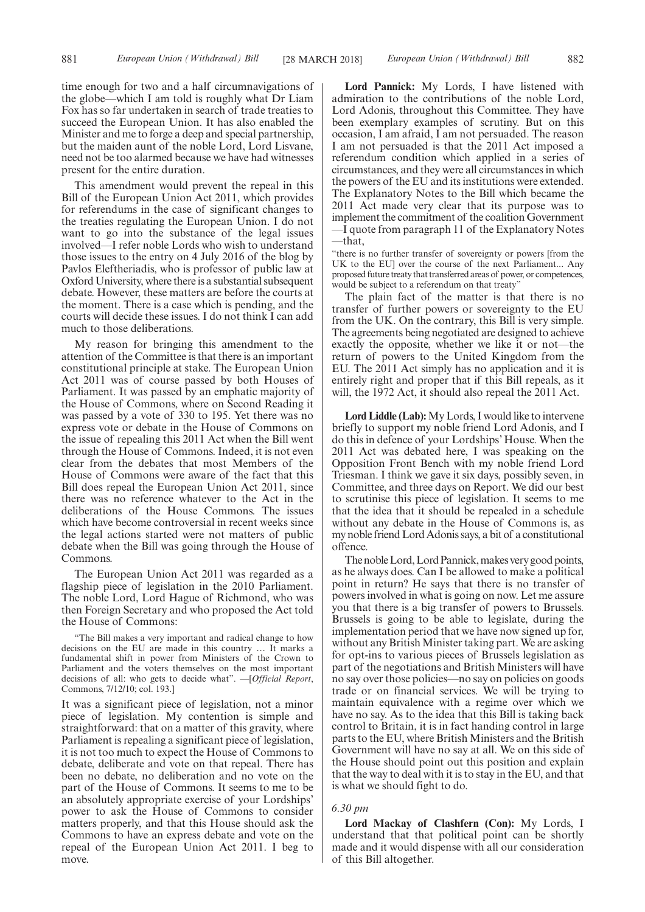time enough for two and a half circumnavigations of the globe—which I am told is roughly what Dr Liam Fox has so far undertaken in search of trade treaties to succeed the European Union. It has also enabled the Minister and me to forge a deep and special partnership, but the maiden aunt of the noble Lord, Lord Lisvane, need not be too alarmed because we have had witnesses present for the entire duration.

This amendment would prevent the repeal in this Bill of the European Union Act 2011, which provides for referendums in the case of significant changes to the treaties regulating the European Union. I do not want to go into the substance of the legal issues involved—I refer noble Lords who wish to understand those issues to the entry on 4 July 2016 of the blog by Pavlos Eleftheriadis, who is professor of public law at Oxford University, where there is a substantial subsequent debate. However, these matters are before the courts at the moment. There is a case which is pending, and the courts will decide these issues. I do not think I can add much to those deliberations.

My reason for bringing this amendment to the attention of the Committee is that there is an important constitutional principle at stake. The European Union Act 2011 was of course passed by both Houses of Parliament. It was passed by an emphatic majority of the House of Commons, where on Second Reading it was passed by a vote of 330 to 195. Yet there was no express vote or debate in the House of Commons on the issue of repealing this 2011 Act when the Bill went through the House of Commons. Indeed, it is not even clear from the debates that most Members of the House of Commons were aware of the fact that this Bill does repeal the European Union Act 2011, since there was no reference whatever to the Act in the deliberations of the House Commons. The issues which have become controversial in recent weeks since the legal actions started were not matters of public debate when the Bill was going through the House of Commons.

The European Union Act 2011 was regarded as a flagship piece of legislation in the 2010 Parliament. The noble Lord, Lord Hague of Richmond, who was then Foreign Secretary and who proposed the Act told the House of Commons:

"The Bill makes a very important and radical change to how decisions on the EU are made in this country … It marks a fundamental shift in power from Ministers of the Crown to Parliament and the voters themselves on the most important decisions of all: who gets to decide what". —[*Official Report*, Commons, 7/12/10; col. 193.]

It was a significant piece of legislation, not a minor piece of legislation. My contention is simple and straightforward: that on a matter of this gravity, where Parliament is repealing a significant piece of legislation, it is not too much to expect the House of Commons to debate, deliberate and vote on that repeal. There has been no debate, no deliberation and no vote on the part of the House of Commons. It seems to me to be an absolutely appropriate exercise of your Lordships' power to ask the House of Commons to consider matters properly, and that this House should ask the Commons to have an express debate and vote on the repeal of the European Union Act 2011. I beg to move.

**Lord Pannick:** My Lords, I have listened with admiration to the contributions of the noble Lord, Lord Adonis, throughout this Committee. They have been exemplary examples of scrutiny. But on this occasion, I am afraid, I am not persuaded. The reason I am not persuaded is that the 2011 Act imposed a referendum condition which applied in a series of circumstances, and they were all circumstances in which the powers of the EU and its institutions were extended. The Explanatory Notes to the Bill which became the 2011 Act made very clear that its purpose was to implement the commitment of the coalition Government —I quote from paragraph 11 of the Explanatory Notes  $-$ that

"there is no further transfer of sovereignty or powers [from the UK to the EU] over the course of the next Parliament... Any proposed future treaty that transferred areas of power, or competences, would be subject to a referendum on that treaty'

The plain fact of the matter is that there is no transfer of further powers or sovereignty to the EU from the UK. On the contrary, this Bill is very simple. The agreements being negotiated are designed to achieve exactly the opposite, whether we like it or not—the return of powers to the United Kingdom from the EU. The 2011 Act simply has no application and it is entirely right and proper that if this Bill repeals, as it will, the 1972 Act, it should also repeal the 2011 Act.

**Lord Liddle (Lab):**My Lords, I would like to intervene briefly to support my noble friend Lord Adonis, and I do this in defence of your Lordships' House. When the 2011 Act was debated here, I was speaking on the Opposition Front Bench with my noble friend Lord Triesman. I think we gave it six days, possibly seven, in Committee, and three days on Report. We did our best to scrutinise this piece of legislation. It seems to me that the idea that it should be repealed in a schedule without any debate in the House of Commons is, as my noble friend Lord Adonis says, a bit of a constitutional offence.

The noble Lord, Lord Pannick, makes very good points, as he always does. Can I be allowed to make a political point in return? He says that there is no transfer of powers involved in what is going on now. Let me assure you that there is a big transfer of powers to Brussels. Brussels is going to be able to legislate, during the implementation period that we have now signed up for, without any British Minister taking part. We are asking for opt-ins to various pieces of Brussels legislation as part of the negotiations and British Ministers will have no say over those policies—no say on policies on goods trade or on financial services. We will be trying to maintain equivalence with a regime over which we have no say. As to the idea that this Bill is taking back control to Britain, it is in fact handing control in large parts to the EU, where British Ministers and the British Government will have no say at all. We on this side of the House should point out this position and explain that the way to deal with it is to stay in the EU, and that is what we should fight to do.

#### *6.30 pm*

**Lord Mackay of Clashfern (Con):** My Lords, I understand that that political point can be shortly made and it would dispense with all our consideration of this Bill altogether.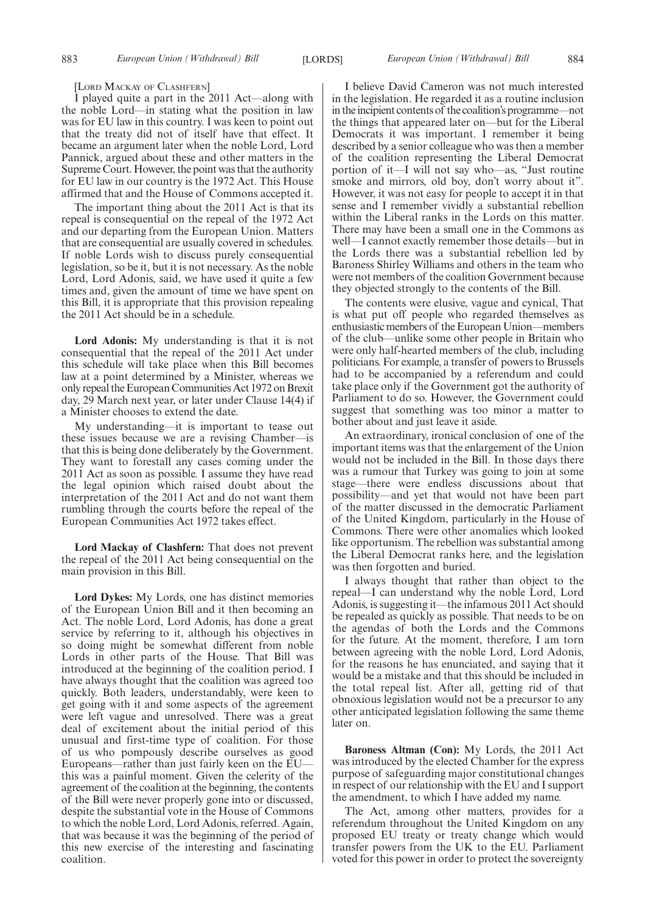[LORD MACKAY OF CLASHFERN]

I played quite a part in the 2011 Act—along with the noble Lord—in stating what the position in law was for EU law in this country. I was keen to point out that the treaty did not of itself have that effect. It became an argument later when the noble Lord, Lord Pannick, argued about these and other matters in the Supreme Court. However, the point was that the authority for EU law in our country is the 1972 Act. This House affirmed that and the House of Commons accepted it.

The important thing about the 2011 Act is that its repeal is consequential on the repeal of the 1972 Act and our departing from the European Union. Matters that are consequential are usually covered in schedules. If noble Lords wish to discuss purely consequential legislation, so be it, but it is not necessary. As the noble Lord, Lord Adonis, said, we have used it quite a few times and, given the amount of time we have spent on this Bill, it is appropriate that this provision repealing the 2011 Act should be in a schedule.

**Lord Adonis:** My understanding is that it is not consequential that the repeal of the 2011 Act under this schedule will take place when this Bill becomes law at a point determined by a Minister, whereas we only repeal the European Communities Act 1972 on Brexit day, 29 March next year, or later under Clause 14(4) if a Minister chooses to extend the date.

My understanding—it is important to tease out these issues because we are a revising Chamber—is that this is being done deliberately by the Government. They want to forestall any cases coming under the 2011 Act as soon as possible. I assume they have read the legal opinion which raised doubt about the interpretation of the 2011 Act and do not want them rumbling through the courts before the repeal of the European Communities Act 1972 takes effect.

**Lord Mackay of Clashfern:** That does not prevent the repeal of the 2011 Act being consequential on the main provision in this Bill.

**Lord Dykes:** My Lords, one has distinct memories of the European Union Bill and it then becoming an Act. The noble Lord, Lord Adonis, has done a great service by referring to it, although his objectives in so doing might be somewhat different from noble Lords in other parts of the House. That Bill was introduced at the beginning of the coalition period. I have always thought that the coalition was agreed too quickly. Both leaders, understandably, were keen to get going with it and some aspects of the agreement were left vague and unresolved. There was a great deal of excitement about the initial period of this unusual and first-time type of coalition. For those of us who pompously describe ourselves as good Europeans—rather than just fairly keen on the EU this was a painful moment. Given the celerity of the agreement of the coalition at the beginning, the contents of the Bill were never properly gone into or discussed, despite the substantial vote in the House of Commons to which the noble Lord, Lord Adonis, referred. Again, that was because it was the beginning of the period of this new exercise of the interesting and fascinating coalition.

I believe David Cameron was not much interested in the legislation. He regarded it as a routine inclusion in the incipient contents of the coalition's programme—not the things that appeared later on—but for the Liberal Democrats it was important. I remember it being described by a senior colleague who was then a member of the coalition representing the Liberal Democrat portion of it—I will not say who—as, "Just routine smoke and mirrors, old boy, don't worry about it". However, it was not easy for people to accept it in that sense and I remember vividly a substantial rebellion within the Liberal ranks in the Lords on this matter. There may have been a small one in the Commons as well—I cannot exactly remember those details—but in the Lords there was a substantial rebellion led by Baroness Shirley Williams and others in the team who were not members of the coalition Government because they objected strongly to the contents of the Bill.

The contents were elusive, vague and cynical, That is what put off people who regarded themselves as enthusiastic members of the European Union—members of the club—unlike some other people in Britain who were only half-hearted members of the club, including politicians. For example, a transfer of powers to Brussels had to be accompanied by a referendum and could take place only if the Government got the authority of Parliament to do so. However, the Government could suggest that something was too minor a matter to bother about and just leave it aside.

An extraordinary, ironical conclusion of one of the important items was that the enlargement of the Union would not be included in the Bill. In those days there was a rumour that Turkey was going to join at some stage—there were endless discussions about that possibility—and yet that would not have been part of the matter discussed in the democratic Parliament of the United Kingdom, particularly in the House of Commons. There were other anomalies which looked like opportunism. The rebellion was substantial among the Liberal Democrat ranks here, and the legislation was then forgotten and buried.

I always thought that rather than object to the repeal—I can understand why the noble Lord, Lord Adonis, is suggesting it—the infamous 2011 Act should be repealed as quickly as possible. That needs to be on the agendas of both the Lords and the Commons for the future. At the moment, therefore, I am torn between agreeing with the noble Lord, Lord Adonis, for the reasons he has enunciated, and saying that it would be a mistake and that this should be included in the total repeal list. After all, getting rid of that obnoxious legislation would not be a precursor to any other anticipated legislation following the same theme later on.

**Baroness Altman (Con):** My Lords, the 2011 Act was introduced by the elected Chamber for the express purpose of safeguarding major constitutional changes in respect of our relationship with the EU and I support the amendment, to which I have added my name.

The Act, among other matters, provides for a referendum throughout the United Kingdom on any proposed EU treaty or treaty change which would transfer powers from the UK to the EU. Parliament voted for this power in order to protect the sovereignty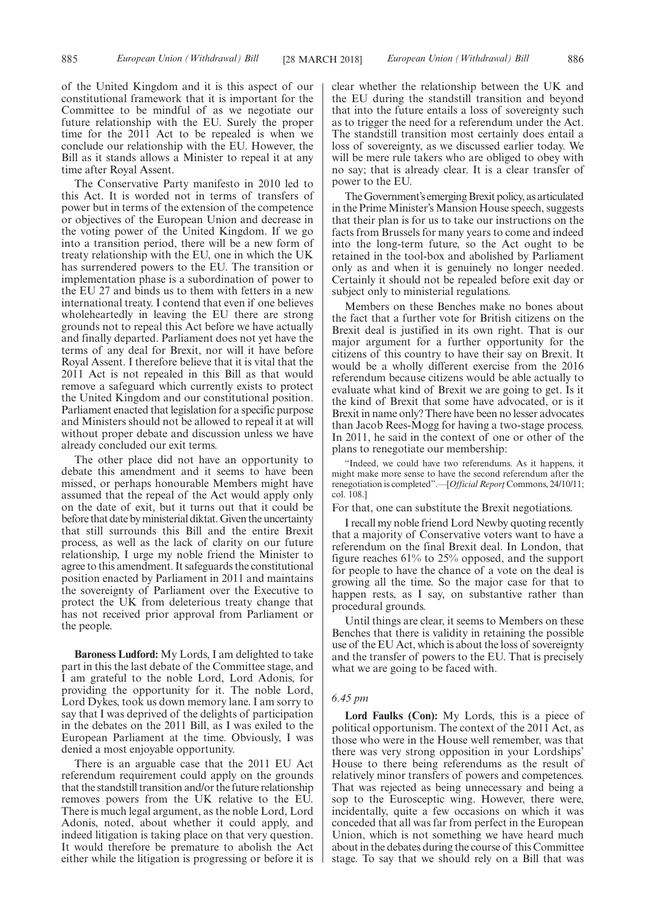of the United Kingdom and it is this aspect of our constitutional framework that it is important for the Committee to be mindful of as we negotiate our future relationship with the EU. Surely the proper time for the 2011 Act to be repealed is when we conclude our relationship with the EU. However, the Bill as it stands allows a Minister to repeal it at any time after Royal Assent.

The Conservative Party manifesto in 2010 led to this Act. It is worded not in terms of transfers of power but in terms of the extension of the competence or objectives of the European Union and decrease in the voting power of the United Kingdom. If we go into a transition period, there will be a new form of treaty relationship with the EU, one in which the UK has surrendered powers to the EU. The transition or implementation phase is a subordination of power to the EU 27 and binds us to them with fetters in a new international treaty. I contend that even if one believes wholeheartedly in leaving the EU there are strong grounds not to repeal this Act before we have actually and finally departed. Parliament does not yet have the terms of any deal for Brexit, nor will it have before Royal Assent. I therefore believe that it is vital that the 2011 Act is not repealed in this Bill as that would remove a safeguard which currently exists to protect the United Kingdom and our constitutional position. Parliament enacted that legislation for a specific purpose and Ministers should not be allowed to repeal it at will without proper debate and discussion unless we have already concluded our exit terms.

The other place did not have an opportunity to debate this amendment and it seems to have been missed, or perhaps honourable Members might have assumed that the repeal of the Act would apply only on the date of exit, but it turns out that it could be before that date by ministerial diktat. Given the uncertainty that still surrounds this Bill and the entire Brexit process, as well as the lack of clarity on our future relationship, I urge my noble friend the Minister to agree to this amendment. It safeguards the constitutional position enacted by Parliament in 2011 and maintains the sovereignty of Parliament over the Executive to protect the UK from deleterious treaty change that has not received prior approval from Parliament or the people.

**Baroness Ludford:** My Lords, I am delighted to take part in this the last debate of the Committee stage, and I am grateful to the noble Lord, Lord Adonis, for providing the opportunity for it. The noble Lord, Lord Dykes, took us down memory lane. I am sorry to say that I was deprived of the delights of participation in the debates on the 2011 Bill, as I was exiled to the European Parliament at the time. Obviously, I was denied a most enjoyable opportunity.

There is an arguable case that the 2011 EU Act referendum requirement could apply on the grounds that the standstill transition and/or the future relationship removes powers from the UK relative to the EU. There is much legal argument, as the noble Lord, Lord Adonis, noted, about whether it could apply, and indeed litigation is taking place on that very question. It would therefore be premature to abolish the Act either while the litigation is progressing or before it is clear whether the relationship between the UK and the EU during the standstill transition and beyond that into the future entails a loss of sovereignty such as to trigger the need for a referendum under the Act. The standstill transition most certainly does entail a loss of sovereignty, as we discussed earlier today. We will be mere rule takers who are obliged to obey with no say; that is already clear. It is a clear transfer of power to the EU.

The Government's emerging Brexit policy, as articulated in the Prime Minister's Mansion House speech, suggests that their plan is for us to take our instructions on the facts from Brussels for many years to come and indeed into the long-term future, so the Act ought to be retained in the tool-box and abolished by Parliament only as and when it is genuinely no longer needed. Certainly it should not be repealed before exit day or subject only to ministerial regulations.

Members on these Benches make no bones about the fact that a further vote for British citizens on the Brexit deal is justified in its own right. That is our major argument for a further opportunity for the citizens of this country to have their say on Brexit. It would be a wholly different exercise from the 2016 referendum because citizens would be able actually to evaluate what kind of Brexit we are going to get. Is it the kind of Brexit that some have advocated, or is it Brexit in name only? There have been no lesser advocates than Jacob Rees-Mogg for having a two-stage process. In 2011, he said in the context of one or other of the plans to renegotiate our membership:

"Indeed, we could have two referendums. As it happens, it might make more sense to have the second referendum after the renegotiation is completed".—[*Official Report¸* Commons, 24/10/11; col. 108.]

For that, one can substitute the Brexit negotiations.

I recall my noble friend Lord Newby quoting recently that a majority of Conservative voters want to have a referendum on the final Brexit deal. In London, that figure reaches 61% to 25% opposed, and the support for people to have the chance of a vote on the deal is growing all the time. So the major case for that to happen rests, as I say, on substantive rather than procedural grounds.

Until things are clear, it seems to Members on these Benches that there is validity in retaining the possible use of the EU Act, which is about the loss of sovereignty and the transfer of powers to the EU. That is precisely what we are going to be faced with.

#### *6.45 pm*

**Lord Faulks (Con):** My Lords, this is a piece of political opportunism. The context of the 2011 Act, as those who were in the House well remember, was that there was very strong opposition in your Lordships' House to there being referendums as the result of relatively minor transfers of powers and competences. That was rejected as being unnecessary and being a sop to the Eurosceptic wing. However, there were, incidentally, quite a few occasions on which it was conceded that all was far from perfect in the European Union, which is not something we have heard much about in the debates during the course of this Committee stage. To say that we should rely on a Bill that was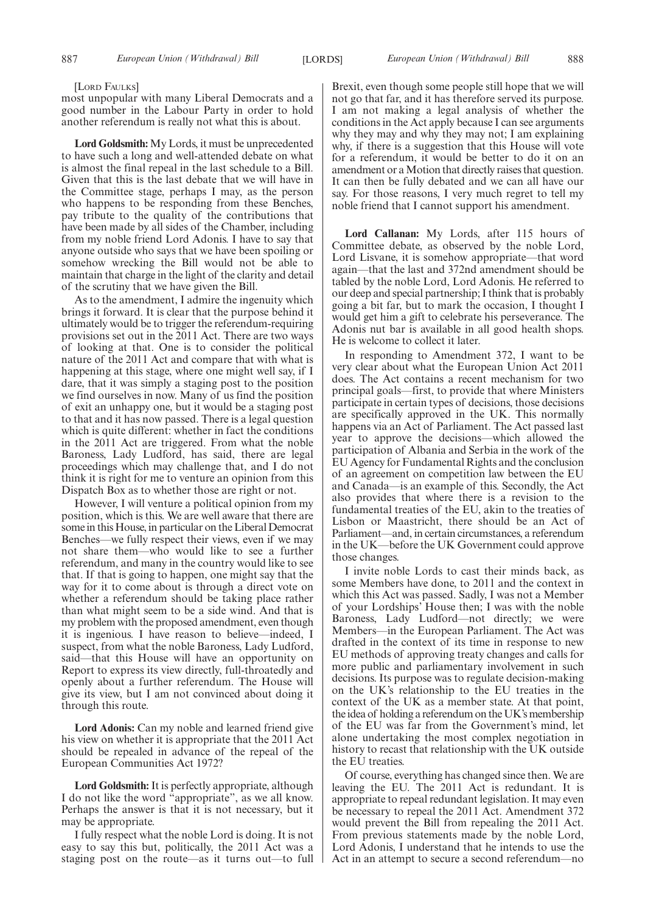#### [LORD FAULKS]

most unpopular with many Liberal Democrats and a good number in the Labour Party in order to hold another referendum is really not what this is about.

**Lord Goldsmith:** My Lords, it must be unprecedented to have such a long and well-attended debate on what is almost the final repeal in the last schedule to a Bill. Given that this is the last debate that we will have in the Committee stage, perhaps I may, as the person who happens to be responding from these Benches, pay tribute to the quality of the contributions that have been made by all sides of the Chamber, including from my noble friend Lord Adonis. I have to say that anyone outside who says that we have been spoiling or somehow wrecking the Bill would not be able to maintain that charge in the light of the clarity and detail of the scrutiny that we have given the Bill.

As to the amendment, I admire the ingenuity which brings it forward. It is clear that the purpose behind it ultimately would be to trigger the referendum-requiring provisions set out in the 2011 Act. There are two ways of looking at that. One is to consider the political nature of the 2011 Act and compare that with what is happening at this stage, where one might well say, if I dare, that it was simply a staging post to the position we find ourselves in now. Many of us find the position of exit an unhappy one, but it would be a staging post to that and it has now passed. There is a legal question which is quite different: whether in fact the conditions in the 2011 Act are triggered. From what the noble Baroness, Lady Ludford, has said, there are legal proceedings which may challenge that, and I do not think it is right for me to venture an opinion from this Dispatch Box as to whether those are right or not.

However, I will venture a political opinion from my position, which is this. We are well aware that there are some in this House, in particular on the Liberal Democrat Benches—we fully respect their views, even if we may not share them—who would like to see a further referendum, and many in the country would like to see that. If that is going to happen, one might say that the way for it to come about is through a direct vote on whether a referendum should be taking place rather than what might seem to be a side wind. And that is my problem with the proposed amendment, even though it is ingenious. I have reason to believe—indeed, I suspect, from what the noble Baroness, Lady Ludford, said—that this House will have an opportunity on Report to express its view directly, full-throatedly and openly about a further referendum. The House will give its view, but I am not convinced about doing it through this route.

**Lord Adonis:** Can my noble and learned friend give his view on whether it is appropriate that the 2011 Act should be repealed in advance of the repeal of the European Communities Act 1972?

**Lord Goldsmith:**It is perfectly appropriate, although I do not like the word "appropriate", as we all know. Perhaps the answer is that it is not necessary, but it may be appropriate.

I fully respect what the noble Lord is doing. It is not easy to say this but, politically, the 2011 Act was a staging post on the route—as it turns out—to full Brexit, even though some people still hope that we will not go that far, and it has therefore served its purpose. I am not making a legal analysis of whether the conditions in the Act apply because I can see arguments why they may and why they may not; I am explaining why, if there is a suggestion that this House will vote for a referendum, it would be better to do it on an amendment or a Motion that directly raises that question. It can then be fully debated and we can all have our say. For those reasons, I very much regret to tell my noble friend that I cannot support his amendment.

**Lord Callanan:** My Lords, after 115 hours of Committee debate, as observed by the noble Lord, Lord Lisvane, it is somehow appropriate—that word again—that the last and 372nd amendment should be tabled by the noble Lord, Lord Adonis. He referred to our deep and special partnership; I think that is probably going a bit far, but to mark the occasion, I thought I would get him a gift to celebrate his perseverance. The Adonis nut bar is available in all good health shops. He is welcome to collect it later.

In responding to Amendment 372, I want to be very clear about what the European Union Act 2011 does. The Act contains a recent mechanism for two principal goals—first, to provide that where Ministers participate in certain types of decisions, those decisions are specifically approved in the UK. This normally happens via an Act of Parliament. The Act passed last year to approve the decisions—which allowed the participation of Albania and Serbia in the work of the EU Agency for Fundamental Rights and the conclusion of an agreement on competition law between the EU and Canada—is an example of this. Secondly, the Act also provides that where there is a revision to the fundamental treaties of the EU, akin to the treaties of Lisbon or Maastricht, there should be an Act of Parliament—and, in certain circumstances, a referendum in the UK—before the UK Government could approve those changes.

I invite noble Lords to cast their minds back, as some Members have done, to 2011 and the context in which this Act was passed. Sadly, I was not a Member of your Lordships' House then; I was with the noble Baroness, Lady Ludford—not directly; we were Members—in the European Parliament. The Act was drafted in the context of its time in response to new EU methods of approving treaty changes and calls for more public and parliamentary involvement in such decisions. Its purpose was to regulate decision-making on the UK's relationship to the EU treaties in the context of the UK as a member state. At that point, the idea of holding a referendum on the UK's membership of the EU was far from the Government's mind, let alone undertaking the most complex negotiation in history to recast that relationship with the UK outside the EU treaties.

Of course, everything has changed since then. We are leaving the EU. The 2011 Act is redundant. It is appropriate to repeal redundant legislation. It may even be necessary to repeal the 2011 Act. Amendment 372 would prevent the Bill from repealing the 2011 Act. From previous statements made by the noble Lord, Lord Adonis, I understand that he intends to use the Act in an attempt to secure a second referendum—no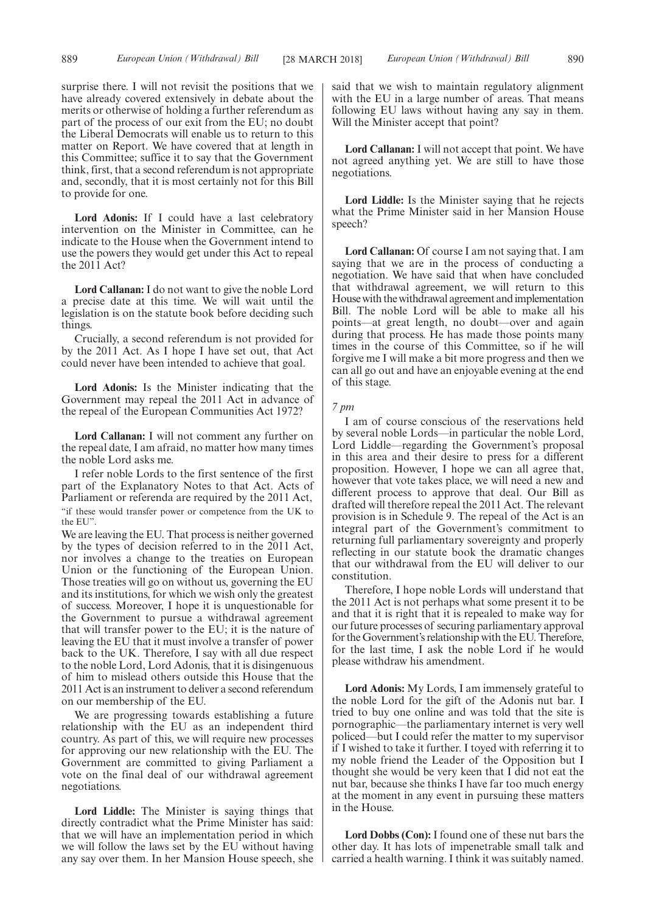surprise there. I will not revisit the positions that we have already covered extensively in debate about the merits or otherwise of holding a further referendum as part of the process of our exit from the EU; no doubt the Liberal Democrats will enable us to return to this matter on Report. We have covered that at length in this Committee; suffice it to say that the Government think, first, that a second referendum is not appropriate and, secondly, that it is most certainly not for this Bill to provide for one.

**Lord Adonis:** If I could have a last celebratory intervention on the Minister in Committee, can he indicate to the House when the Government intend to use the powers they would get under this Act to repeal the 2011 Act?

**Lord Callanan:** I do not want to give the noble Lord a precise date at this time. We will wait until the legislation is on the statute book before deciding such things.

Crucially, a second referendum is not provided for by the 2011 Act. As I hope I have set out, that Act could never have been intended to achieve that goal.

**Lord Adonis:** Is the Minister indicating that the Government may repeal the 2011 Act in advance of the repeal of the European Communities Act 1972?

**Lord Callanan:** I will not comment any further on the repeal date, I am afraid, no matter how many times the noble Lord asks me.

I refer noble Lords to the first sentence of the first part of the Explanatory Notes to that Act. Acts of Parliament or referenda are required by the 2011 Act, "if these would transfer power or competence from the UK to the EU".

We are leaving the EU. That process is neither governed by the types of decision referred to in the 2011 Act, nor involves a change to the treaties on European Union or the functioning of the European Union. Those treaties will go on without us, governing the EU and its institutions, for which we wish only the greatest of success. Moreover, I hope it is unquestionable for the Government to pursue a withdrawal agreement that will transfer power to the EU; it is the nature of leaving the EU that it must involve a transfer of power back to the UK. Therefore, I say with all due respect to the noble Lord, Lord Adonis, that it is disingenuous of him to mislead others outside this House that the 2011 Act is an instrument to deliver a second referendum on our membership of the EU.

We are progressing towards establishing a future relationship with the EU as an independent third country. As part of this, we will require new processes for approving our new relationship with the EU. The Government are committed to giving Parliament a vote on the final deal of our withdrawal agreement negotiations.

**Lord Liddle:** The Minister is saying things that directly contradict what the Prime Minister has said: that we will have an implementation period in which we will follow the laws set by the EU without having any say over them. In her Mansion House speech, she said that we wish to maintain regulatory alignment with the EU in a large number of areas. That means following EU laws without having any say in them. Will the Minister accept that point?

**Lord Callanan:** I will not accept that point. We have not agreed anything yet. We are still to have those negotiations.

**Lord Liddle:** Is the Minister saying that he rejects what the Prime Minister said in her Mansion House speech?

**Lord Callanan:** Of course I am not saying that. I am saying that we are in the process of conducting a negotiation. We have said that when have concluded that withdrawal agreement, we will return to this House with the withdrawal agreement and implementation Bill. The noble Lord will be able to make all his points—at great length, no doubt—over and again during that process. He has made those points many times in the course of this Committee, so if he will forgive me I will make a bit more progress and then we can all go out and have an enjoyable evening at the end of this stage.

*7 pm*

I am of course conscious of the reservations held by several noble Lords—in particular the noble Lord, Lord Liddle—regarding the Government's proposal in this area and their desire to press for a different proposition. However, I hope we can all agree that, however that vote takes place, we will need a new and different process to approve that deal. Our Bill as drafted will therefore repeal the 2011 Act. The relevant provision is in Schedule 9. The repeal of the Act is an integral part of the Government's commitment to returning full parliamentary sovereignty and properly reflecting in our statute book the dramatic changes that our withdrawal from the EU will deliver to our constitution.

Therefore, I hope noble Lords will understand that the 2011 Act is not perhaps what some present it to be and that it is right that it is repealed to make way for our future processes of securing parliamentary approval for the Government's relationship with the EU. Therefore, for the last time, I ask the noble Lord if he would please withdraw his amendment.

**Lord Adonis:** My Lords, I am immensely grateful to the noble Lord for the gift of the Adonis nut bar. I tried to buy one online and was told that the site is pornographic—the parliamentary internet is very well policed—but I could refer the matter to my supervisor if I wished to take it further. I toyed with referring it to my noble friend the Leader of the Opposition but I thought she would be very keen that I did not eat the nut bar, because she thinks I have far too much energy at the moment in any event in pursuing these matters in the House.

**Lord Dobbs (Con):** I found one of these nut bars the other day. It has lots of impenetrable small talk and carried a health warning. I think it was suitably named.